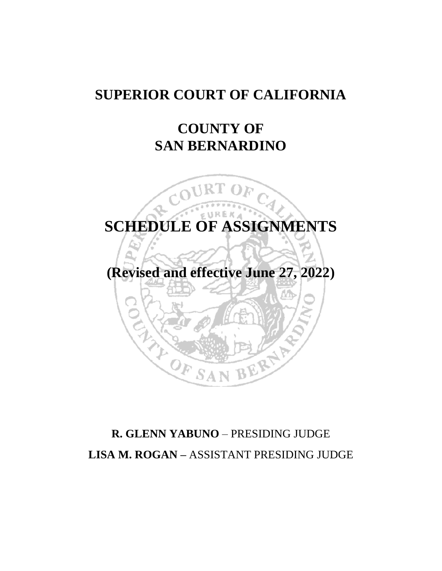# **SUPERIOR COURT OF CALIFORNIA**

# **COUNTY OF SAN BERNARDINO**



# **R. GLENN YABUNO** – PRESIDING JUDGE **LISA M. ROGAN –** ASSISTANT PRESIDING JUDGE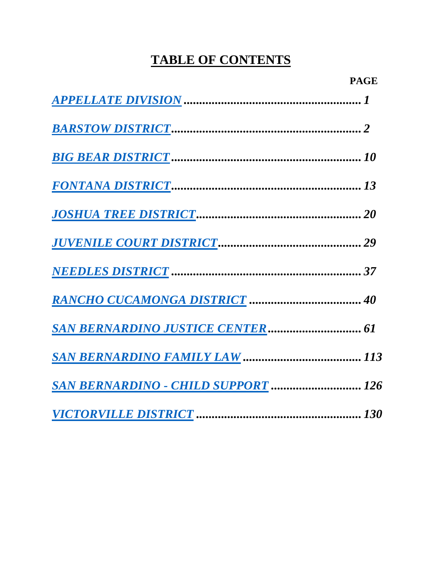# **TABLE OF CONTENTS**

| <b>SAN BERNARDINO - CHILD SUPPORT  126</b> |  |
|--------------------------------------------|--|
|                                            |  |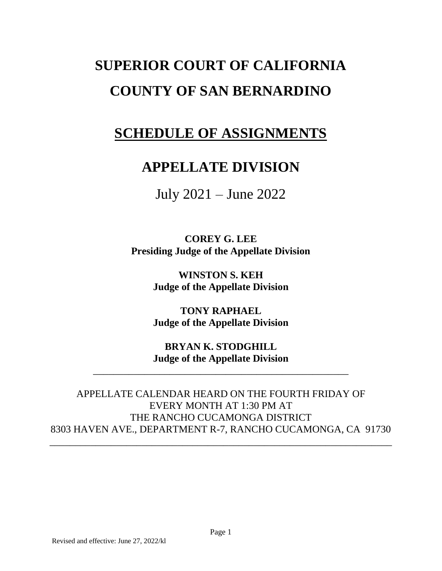# **SUPERIOR COURT OF CALIFORNIA COUNTY OF SAN BERNARDINO**

# <span id="page-2-0"></span>**SCHEDULE OF ASSIGNMENTS**

# **APPELLATE DIVISION**

July 2021 – June 2022

**COREY G. LEE Presiding Judge of the Appellate Division**

> **WINSTON S. KEH Judge of the Appellate Division**

> **TONY RAPHAEL Judge of the Appellate Division**

> **BRYAN K. STODGHILL Judge of the Appellate Division**

\_\_\_\_\_\_\_\_\_\_\_\_\_\_\_\_\_\_\_\_\_\_\_\_\_\_\_\_\_\_\_\_\_\_\_\_\_\_\_\_\_\_\_\_\_\_\_\_\_\_

APPELLATE CALENDAR HEARD ON THE FOURTH FRIDAY OF EVERY MONTH AT 1:30 PM AT THE RANCHO CUCAMONGA DISTRICT 8303 HAVEN AVE., DEPARTMENT R-7, RANCHO CUCAMONGA, CA 91730

\_\_\_\_\_\_\_\_\_\_\_\_\_\_\_\_\_\_\_\_\_\_\_\_\_\_\_\_\_\_\_\_\_\_\_\_\_\_\_\_\_\_\_\_\_\_\_\_\_\_\_\_\_\_\_\_\_\_\_\_\_\_\_\_\_\_\_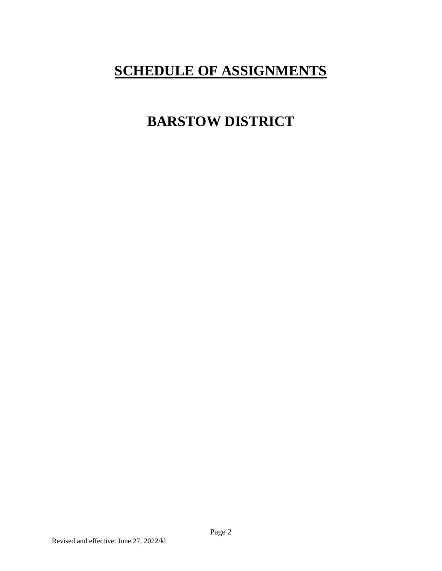# <span id="page-3-0"></span>**SCHEDULE OF ASSIGNMENTS**

# **BARSTOW DISTRICT**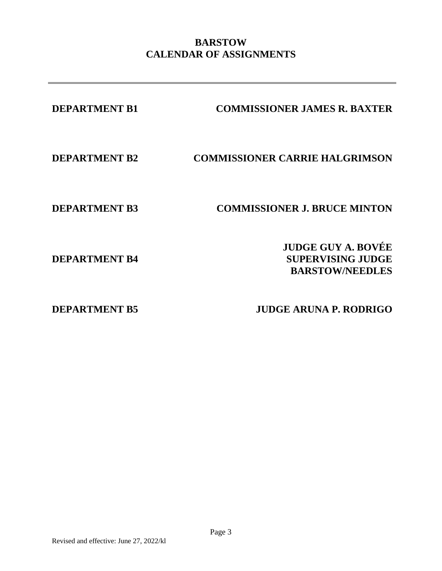# **BARSTOW CALENDAR OF ASSIGNMENTS**

| <b>DEPARTMENT B1</b> | <b>COMMISSIONER JAMES R. BAXTER</b>                                             |
|----------------------|---------------------------------------------------------------------------------|
| <b>DEPARTMENT B2</b> | <b>COMMISSIONER CARRIE HALGRIMSON</b>                                           |
| <b>DEPARTMENT B3</b> | <b>COMMISSIONER J. BRUCE MINTON</b>                                             |
| <b>DEPARTMENT B4</b> | <b>JUDGE GUY A. BOVÉE</b><br><b>SUPERVISING JUDGE</b><br><b>BARSTOW/NEEDLES</b> |
| NED 4 DAMARNA DE     | <b>HIDAR ADIINA D DADDIAA</b>                                                   |

**DEPARTMENT B5 JUDGE ARUNA P. RODRIGO**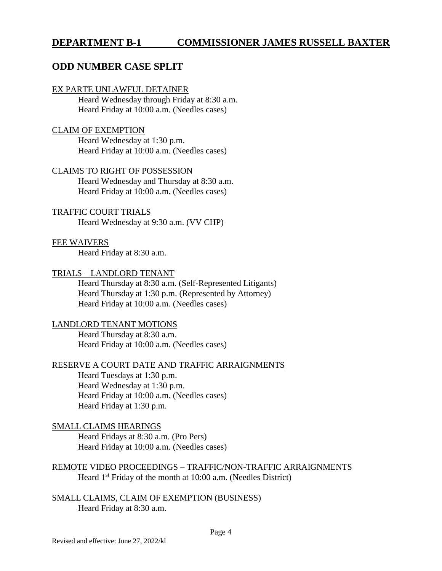## **DEPARTMENT B-1 COMMISSIONER JAMES RUSSELL BAXTER**

## **ODD NUMBER CASE SPLIT**

#### EX PARTE UNLAWFUL DETAINER

Heard Wednesday through Friday at 8:30 a.m. Heard Friday at 10:00 a.m. (Needles cases)

#### CLAIM OF EXEMPTION

Heard Wednesday at 1:30 p.m. Heard Friday at 10:00 a.m. (Needles cases)

#### CLAIMS TO RIGHT OF POSSESSION

Heard Wednesday and Thursday at 8:30 a.m. Heard Friday at 10:00 a.m. (Needles cases)

#### TRAFFIC COURT TRIALS

Heard Wednesday at 9:30 a.m. (VV CHP)

#### FEE WAIVERS

Heard Friday at 8:30 a.m.

#### TRIALS – LANDLORD TENANT

Heard Thursday at 8:30 a.m. (Self-Represented Litigants) Heard Thursday at 1:30 p.m. (Represented by Attorney) Heard Friday at 10:00 a.m. (Needles cases)

#### LANDLORD TENANT MOTIONS

Heard Thursday at 8:30 a.m. Heard Friday at 10:00 a.m. (Needles cases)

#### RESERVE A COURT DATE AND TRAFFIC ARRAIGNMENTS

Heard Tuesdays at 1:30 p.m. Heard Wednesday at 1:30 p.m. Heard Friday at 10:00 a.m. (Needles cases) Heard Friday at 1:30 p.m.

#### SMALL CLAIMS HEARINGS

Heard Fridays at 8:30 a.m. (Pro Pers) Heard Friday at 10:00 a.m. (Needles cases)

#### REMOTE VIDEO PROCEEDINGS – TRAFFIC/NON-TRAFFIC ARRAIGNMENTS Heard  $1<sup>st</sup>$  Friday of the month at 10:00 a.m. (Needles District)

SMALL CLAIMS, CLAIM OF EXEMPTION (BUSINESS) Heard Friday at 8:30 a.m.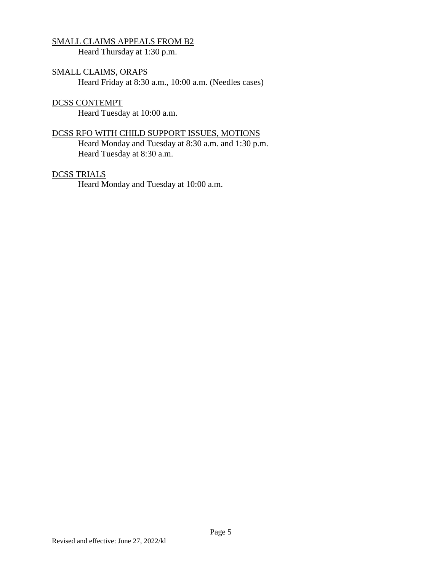### SMALL CLAIMS APPEALS FROM B2

Heard Thursday at 1:30 p.m.

## SMALL CLAIMS, ORAPS

Heard Friday at 8:30 a.m., 10:00 a.m. (Needles cases)

#### DCSS CONTEMPT

Heard Tuesday at 10:00 a.m.

#### DCSS RFO WITH CHILD SUPPORT ISSUES, MOTIONS

Heard Monday and Tuesday at 8:30 a.m. and 1:30 p.m. Heard Tuesday at 8:30 a.m.

### DCSS TRIALS

Heard Monday and Tuesday at 10:00 a.m.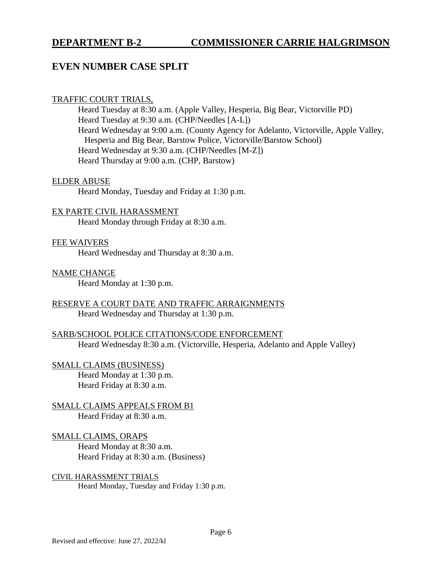## **DEPARTMENT B-2 COMMISSIONER CARRIE HALGRIMSON**

## **EVEN NUMBER CASE SPLIT**

#### TRAFFIC COURT TRIALS,

Heard Tuesday at 8:30 a.m. (Apple Valley, Hesperia, Big Bear, Victorville PD) Heard Tuesday at 9:30 a.m. (CHP/Needles [A-L]) Heard Wednesday at 9:00 a.m. (County Agency for Adelanto, Victorville, Apple Valley, Hesperia and Big Bear, Barstow Police, Victorville/Barstow School) Heard Wednesday at 9:30 a.m. (CHP/Needles [M-Z]) Heard Thursday at 9:00 a.m. (CHP, Barstow)

#### ELDER ABUSE

Heard Monday, Tuesday and Friday at 1:30 p.m.

### EX PARTE CIVIL HARASSMENT

Heard Monday through Friday at 8:30 a.m.

#### FEE WAIVERS

Heard Wednesday and Thursday at 8:30 a.m.

#### NAME CHANGE

Heard Monday at 1:30 p.m.

#### RESERVE A COURT DATE AND TRAFFIC ARRAIGNMENTS Heard Wednesday and Thursday at 1:30 p.m.

### SARB/SCHOOL POLICE CITATIONS/CODE ENFORCEMENT Heard Wednesday 8:30 a.m. (Victorville, Hesperia, Adelanto and Apple Valley)

#### SMALL CLAIMS (BUSINESS)

Heard Monday at 1:30 p.m. Heard Friday at 8:30 a.m.

#### SMALL CLAIMS APPEALS FROM B1 Heard Friday at 8:30 a.m.

## SMALL CLAIMS, ORAPS

Heard Monday at 8:30 a.m. Heard Friday at 8:30 a.m. (Business)

# CIVIL HARASSMENT TRIALS

Heard Monday, Tuesday and Friday 1:30 p.m.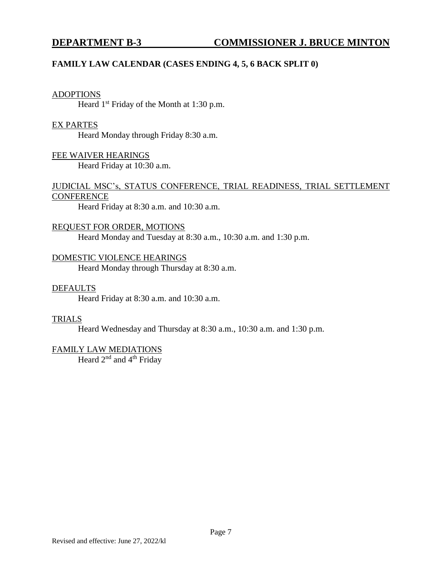### **FAMILY LAW CALENDAR (CASES ENDING 4, 5, 6 BACK SPLIT 0)**

#### ADOPTIONS

Heard  $1<sup>st</sup>$  Friday of the Month at 1:30 p.m.

#### EX PARTES

Heard Monday through Friday 8:30 a.m.

FEE WAIVER HEARINGS Heard Friday at 10:30 a.m.

#### JUDICIAL MSC's, STATUS CONFERENCE, TRIAL READINESS, TRIAL SETTLEMENT **CONFERENCE**

Heard Friday at 8:30 a.m. and 10:30 a.m.

#### REQUEST FOR ORDER, MOTIONS

Heard Monday and Tuesday at 8:30 a.m., 10:30 a.m. and 1:30 p.m.

#### DOMESTIC VIOLENCE HEARINGS

Heard Monday through Thursday at 8:30 a.m.

#### DEFAULTS

Heard Friday at 8:30 a.m. and 10:30 a.m.

#### TRIALS

Heard Wednesday and Thursday at 8:30 a.m., 10:30 a.m. and 1:30 p.m.

#### FAMILY LAW MEDIATIONS

Heard 2<sup>nd</sup> and 4<sup>th</sup> Friday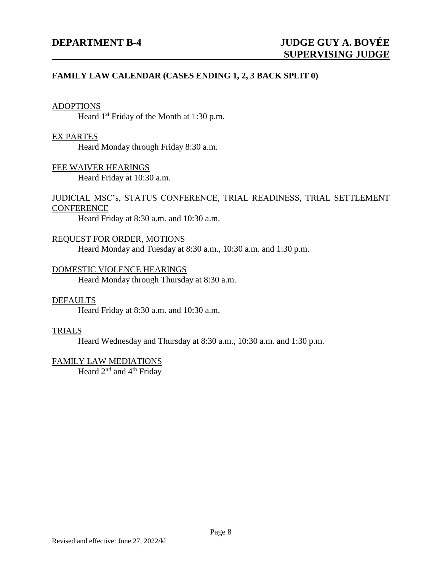#### **FAMILY LAW CALENDAR (CASES ENDING 1, 2, 3 BACK SPLIT 0)**

#### ADOPTIONS

Heard  $1<sup>st</sup>$  Friday of the Month at 1:30 p.m.

#### EX PARTES

Heard Monday through Friday 8:30 a.m.

#### FEE WAIVER HEARINGS

Heard Friday at 10:30 a.m.

### JUDICIAL MSC's, STATUS CONFERENCE, TRIAL READINESS, TRIAL SETTLEMENT **CONFERENCE**

Heard Friday at 8:30 a.m. and 10:30 a.m.

#### REQUEST FOR ORDER, MOTIONS

Heard Monday and Tuesday at 8:30 a.m., 10:30 a.m. and 1:30 p.m.

#### DOMESTIC VIOLENCE HEARINGS

Heard Monday through Thursday at 8:30 a.m.

#### DEFAULTS

Heard Friday at 8:30 a.m. and 10:30 a.m.

#### TRIALS

Heard Wednesday and Thursday at 8:30 a.m., 10:30 a.m. and 1:30 p.m.

#### FAMILY LAW MEDIATIONS

Heard 2<sup>nd</sup> and 4<sup>th</sup> Friday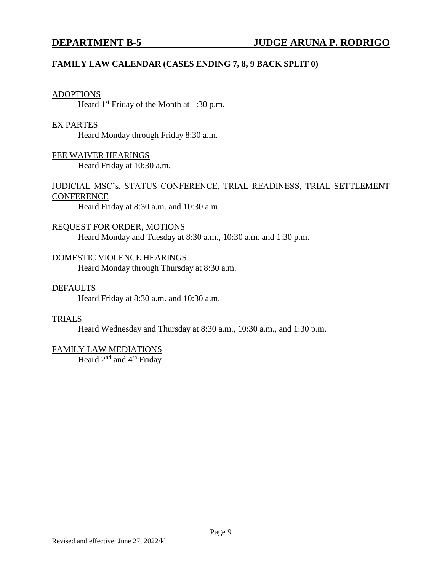#### **FAMILY LAW CALENDAR (CASES ENDING 7, 8, 9 BACK SPLIT 0)**

#### ADOPTIONS

Heard  $1<sup>st</sup>$  Friday of the Month at 1:30 p.m.

#### EX PARTES

Heard Monday through Friday 8:30 a.m.

FEE WAIVER HEARINGS Heard Friday at 10:30 a.m.

#### JUDICIAL MSC's, STATUS CONFERENCE, TRIAL READINESS, TRIAL SETTLEMENT **CONFERENCE**

Heard Friday at 8:30 a.m. and 10:30 a.m.

#### REQUEST FOR ORDER, MOTIONS

Heard Monday and Tuesday at 8:30 a.m., 10:30 a.m. and 1:30 p.m.

#### DOMESTIC VIOLENCE HEARINGS

Heard Monday through Thursday at 8:30 a.m.

#### DEFAULTS

Heard Friday at 8:30 a.m. and 10:30 a.m.

#### TRIALS

Heard Wednesday and Thursday at 8:30 a.m., 10:30 a.m., and 1:30 p.m.

#### FAMILY LAW MEDIATIONS

Heard 2<sup>nd</sup> and 4<sup>th</sup> Friday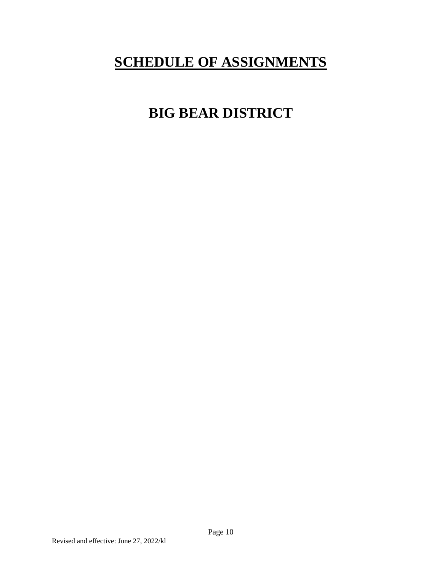# <span id="page-11-0"></span>**SCHEDULE OF ASSIGNMENTS**

# **BIG BEAR DISTRICT**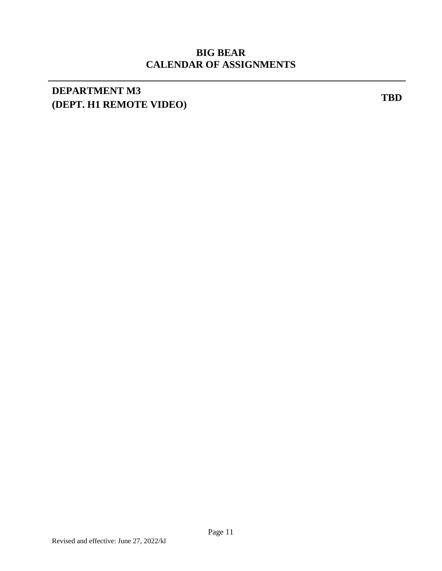# **BIG BEAR CALENDAR OF ASSIGNMENTS**

# **DEPARTMENT M3 (DEPT. H1 REMOTE VIDEO) TBD**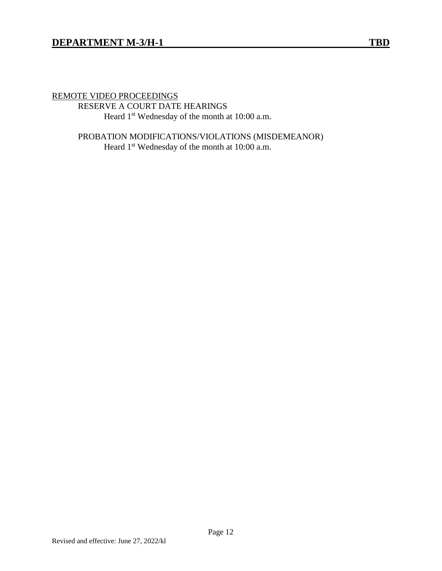### REMOTE VIDEO PROCEEDINGS

RESERVE A COURT DATE HEARINGS Heard 1<sup>st</sup> Wednesday of the month at 10:00 a.m.

PROBATION MODIFICATIONS/VIOLATIONS (MISDEMEANOR) Heard 1<sup>st</sup> Wednesday of the month at 10:00 a.m.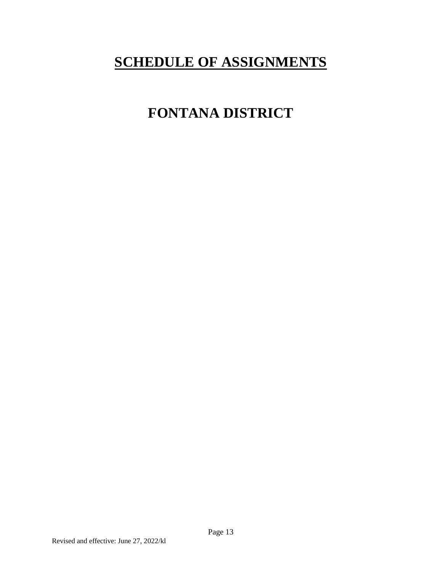# <span id="page-14-0"></span>**SCHEDULE OF ASSIGNMENTS**

# **FONTANA DISTRICT**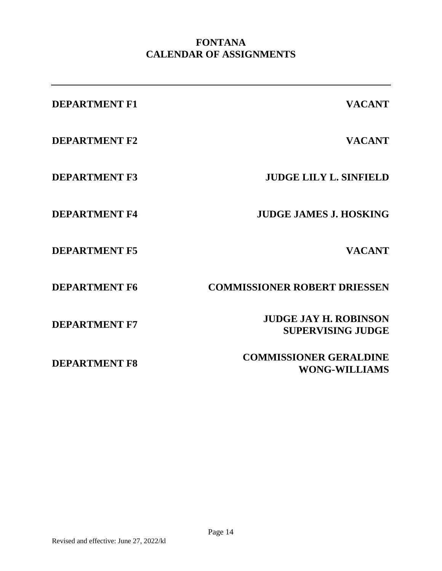# **FONTANA CALENDAR OF ASSIGNMENTS**

| <b>DEPARTMENT F1</b> | <b>VACANT</b>                                            |
|----------------------|----------------------------------------------------------|
| <b>DEPARTMENT F2</b> | <b>VACANT</b>                                            |
| <b>DEPARTMENT F3</b> | <b>JUDGE LILY L. SINFIELD</b>                            |
| <b>DEPARTMENT F4</b> | <b>JUDGE JAMES J. HOSKING</b>                            |
| <b>DEPARTMENT F5</b> | <b>VACANT</b>                                            |
| <b>DEPARTMENT F6</b> | <b>COMMISSIONER ROBERT DRIESSEN</b>                      |
| <b>DEPARTMENT F7</b> | <b>JUDGE JAY H. ROBINSON</b><br><b>SUPERVISING JUDGE</b> |
| <b>DEPARTMENT F8</b> | <b>COMMISSIONER GERALDINE</b><br><b>WONG-WILLIAMS</b>    |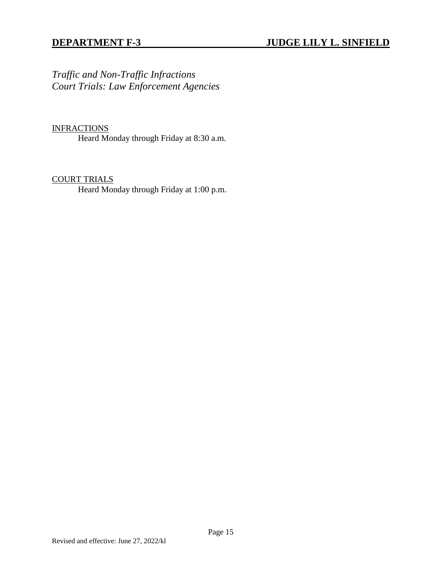*Traffic and Non-Traffic Infractions Court Trials: Law Enforcement Agencies*

#### **INFRACTIONS**

Heard Monday through Friday at 8:30 a.m.

#### COURT TRIALS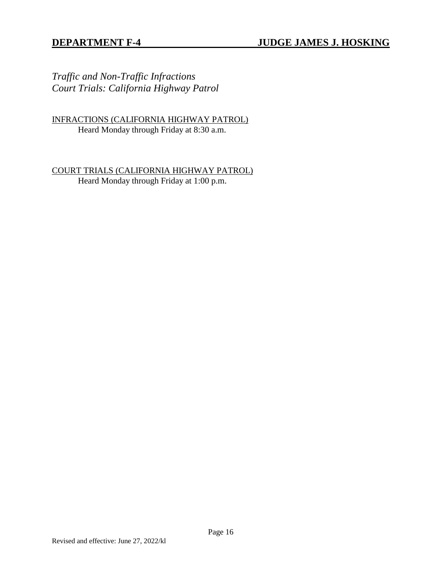*Traffic and Non-Traffic Infractions Court Trials: California Highway Patrol*

INFRACTIONS (CALIFORNIA HIGHWAY PATROL) Heard Monday through Friday at 8:30 a.m.

COURT TRIALS (CALIFORNIA HIGHWAY PATROL) Heard Monday through Friday at 1:00 p.m.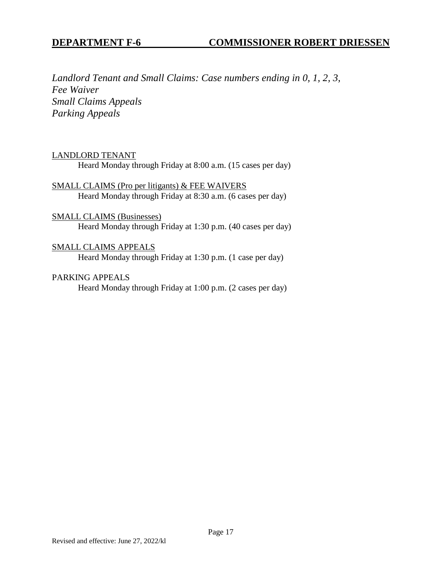*Landlord Tenant and Small Claims: Case numbers ending in 0, 1, 2, 3, Fee Waiver Small Claims Appeals Parking Appeals* 

#### LANDLORD TENANT

Heard Monday through Friday at 8:00 a.m. (15 cases per day)

SMALL CLAIMS (Pro per litigants) & FEE WAIVERS Heard Monday through Friday at 8:30 a.m. (6 cases per day)

#### SMALL CLAIMS (Businesses)

Heard Monday through Friday at 1:30 p.m. (40 cases per day)

## SMALL CLAIMS APPEALS

Heard Monday through Friday at 1:30 p.m. (1 case per day)

#### PARKING APPEALS

Heard Monday through Friday at 1:00 p.m. (2 cases per day)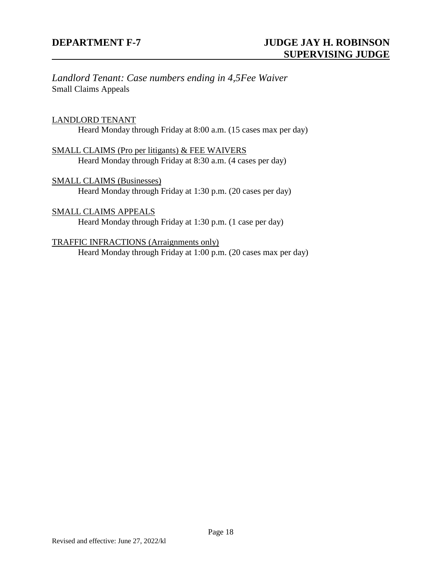*Landlord Tenant: Case numbers ending in 4,5Fee Waiver* Small Claims Appeals

#### LANDLORD TENANT

Heard Monday through Friday at 8:00 a.m. (15 cases max per day)

SMALL CLAIMS (Pro per litigants) & FEE WAIVERS Heard Monday through Friday at 8:30 a.m. (4 cases per day)

SMALL CLAIMS (Businesses) Heard Monday through Friday at 1:30 p.m. (20 cases per day)

SMALL CLAIMS APPEALS Heard Monday through Friday at 1:30 p.m. (1 case per day)

TRAFFIC INFRACTIONS (Arraignments only) Heard Monday through Friday at 1:00 p.m. (20 cases max per day)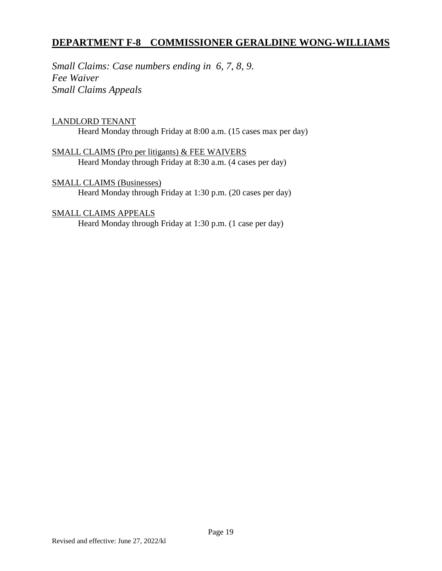## **DEPARTMENT F-8 COMMISSIONER GERALDINE WONG-WILLIAMS**

*Small Claims: Case numbers ending in 6, 7, 8, 9. Fee Waiver Small Claims Appeals*

#### LANDLORD TENANT

Heard Monday through Friday at 8:00 a.m. (15 cases max per day)

SMALL CLAIMS (Pro per litigants) & FEE WAIVERS Heard Monday through Friday at 8:30 a.m. (4 cases per day)

SMALL CLAIMS (Businesses) Heard Monday through Friday at 1:30 p.m. (20 cases per day)

#### SMALL CLAIMS APPEALS

Heard Monday through Friday at 1:30 p.m. (1 case per day)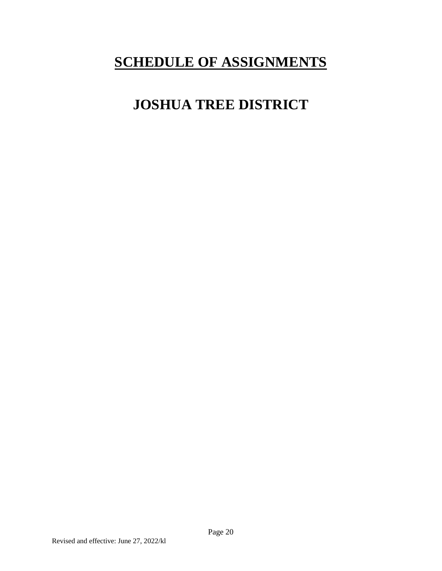# <span id="page-21-0"></span>**SCHEDULE OF ASSIGNMENTS**

# **JOSHUA TREE DISTRICT**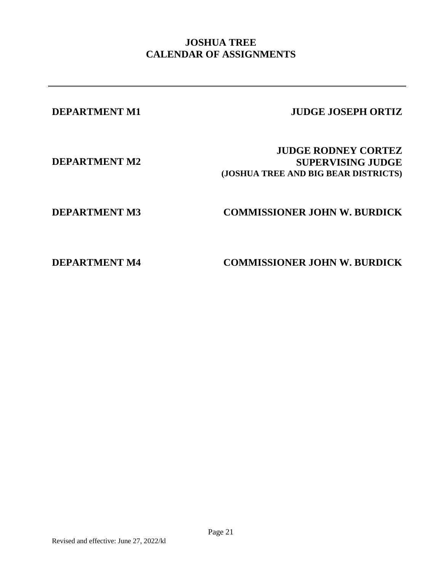## **JOSHUA TREE CALENDAR OF ASSIGNMENTS**

## **DEPARTMENT M1 JUDGE JOSEPH ORTIZ**

**DEPARTMENT M2**

**JUDGE RODNEY CORTEZ SUPERVISING JUDGE (JOSHUA TREE AND BIG BEAR DISTRICTS)**

# **DEPARTMENT M3 COMMISSIONER JOHN W. BURDICK**

**DEPARTMENT M4 COMMISSIONER JOHN W. BURDICK**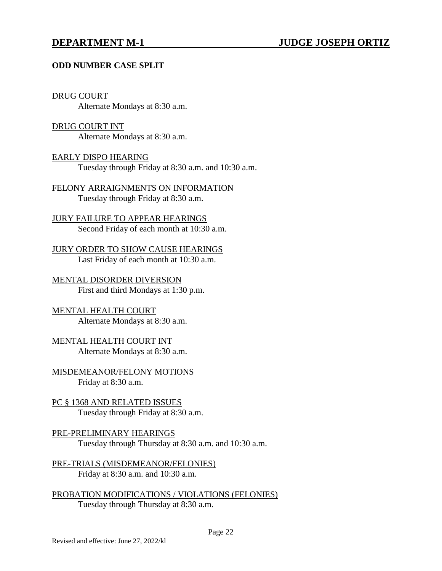#### **ODD NUMBER CASE SPLIT**

#### DRUG COURT

Alternate Mondays at 8:30 a.m.

#### DRUG COURT INT

Alternate Mondays at 8:30 a.m.

#### EARLY DISPO HEARING

Tuesday through Friday at 8:30 a.m. and 10:30 a.m.

#### FELONY ARRAIGNMENTS ON INFORMATION Tuesday through Friday at 8:30 a.m.

JURY FAILURE TO APPEAR HEARINGS Second Friday of each month at 10:30 a.m.

### JURY ORDER TO SHOW CAUSE HEARINGS Last Friday of each month at 10:30 a.m.

MENTAL DISORDER DIVERSION First and third Mondays at 1:30 p.m.

#### MENTAL HEALTH COURT Alternate Mondays at 8:30 a.m.

MENTAL HEALTH COURT INT Alternate Mondays at 8:30 a.m.

MISDEMEANOR/FELONY MOTIONS Friday at 8:30 a.m.

#### PC § 1368 AND RELATED ISSUES Tuesday through Friday at 8:30 a.m.

### PRE-PRELIMINARY HEARINGS Tuesday through Thursday at 8:30 a.m. and 10:30 a.m.

PRE-TRIALS (MISDEMEANOR/FELONIES) Friday at 8:30 a.m. and 10:30 a.m.

PROBATION MODIFICATIONS / VIOLATIONS (FELONIES) Tuesday through Thursday at 8:30 a.m.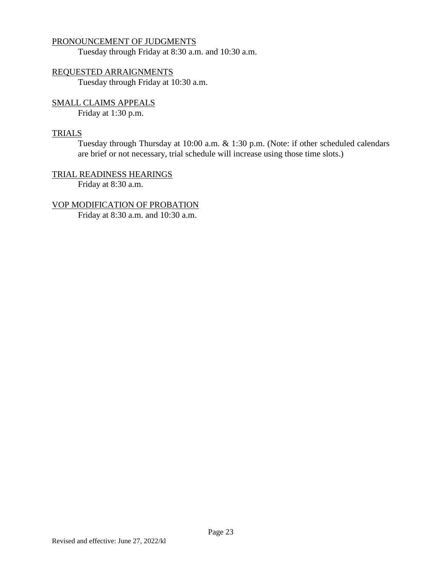#### PRONOUNCEMENT OF JUDGMENTS

Tuesday through Friday at 8:30 a.m. and 10:30 a.m.

### REQUESTED ARRAIGNMENTS

Tuesday through Friday at 10:30 a.m.

# SMALL CLAIMS APPEALS

Friday at 1:30 p.m.

#### **TRIALS**

Tuesday through Thursday at 10:00 a.m. & 1:30 p.m. (Note: if other scheduled calendars are brief or not necessary, trial schedule will increase using those time slots.)

#### TRIAL READINESS HEARINGS Friday at 8:30 a.m.

#### VOP MODIFICATION OF PROBATION

Friday at 8:30 a.m. and 10:30 a.m.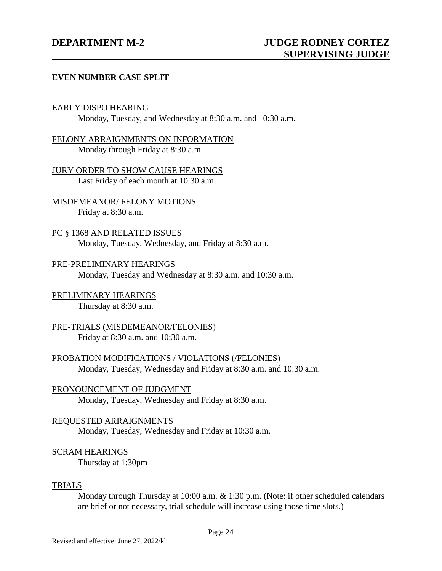#### **EVEN NUMBER CASE SPLIT**

#### EARLY DISPO HEARING

Monday, Tuesday, and Wednesday at 8:30 a.m. and 10:30 a.m.

#### FELONY ARRAIGNMENTS ON INFORMATION Monday through Friday at 8:30 a.m.

JURY ORDER TO SHOW CAUSE HEARINGS Last Friday of each month at 10:30 a.m.

MISDEMEANOR/ FELONY MOTIONS Friday at 8:30 a.m.

PC § 1368 AND RELATED ISSUES Monday, Tuesday, Wednesday, and Friday at 8:30 a.m.

#### PRE-PRELIMINARY HEARINGS Monday, Tuesday and Wednesday at 8:30 a.m. and 10:30 a.m.

# PRELIMINARY HEARINGS

Thursday at 8:30 a.m.

### PRE-TRIALS (MISDEMEANOR/FELONIES) Friday at 8:30 a.m. and 10:30 a.m.

PROBATION MODIFICATIONS / VIOLATIONS (/FELONIES) Monday, Tuesday, Wednesday and Friday at 8:30 a.m. and 10:30 a.m.

#### PRONOUNCEMENT OF JUDGMENT Monday, Tuesday, Wednesday and Friday at 8:30 a.m.

#### REQUESTED ARRAIGNMENTS Monday, Tuesday, Wednesday and Friday at 10:30 a.m.

### SCRAM HEARINGS

Thursday at 1:30pm

#### TRIALS

Monday through Thursday at 10:00 a.m. & 1:30 p.m. (Note: if other scheduled calendars are brief or not necessary, trial schedule will increase using those time slots.)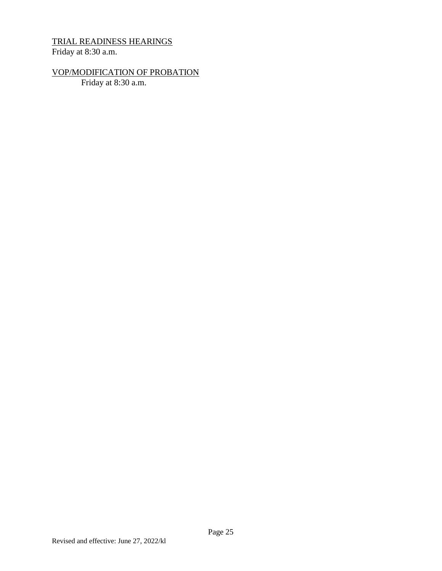# TRIAL READINESS HEARINGS

Friday at 8:30 a.m.

# VOP/MODIFICATION OF PROBATION

Friday at 8:30 a.m.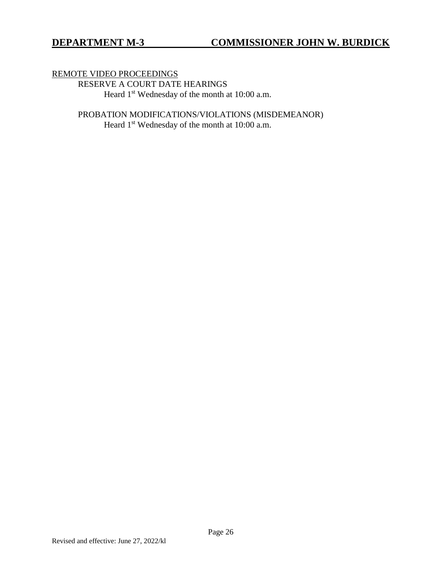REMOTE VIDEO PROCEEDINGS RESERVE A COURT DATE HEARINGS Heard 1<sup>st</sup> Wednesday of the month at 10:00 a.m.

> PROBATION MODIFICATIONS/VIOLATIONS (MISDEMEANOR) Heard 1<sup>st</sup> Wednesday of the month at 10:00 a.m.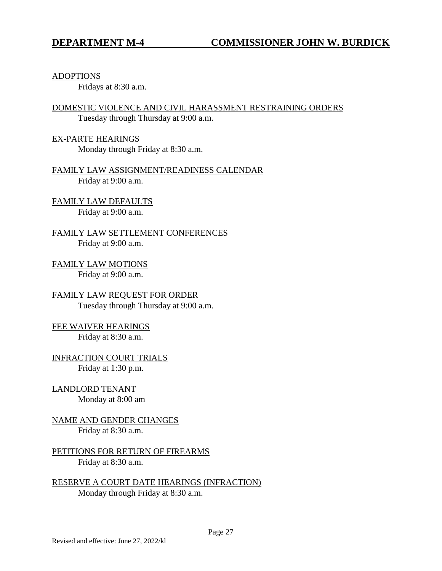ADOPTIONS

Fridays at 8:30 a.m.

DOMESTIC VIOLENCE AND CIVIL HARASSMENT RESTRAINING ORDERS Tuesday through Thursday at 9:00 a.m.

EX-PARTE HEARINGS Monday through Friday at 8:30 a.m.

FAMILY LAW ASSIGNMENT/READINESS CALENDAR Friday at 9:00 a.m.

FAMILY LAW DEFAULTS Friday at 9:00 a.m.

FAMILY LAW SETTLEMENT CONFERENCES Friday at 9:00 a.m.

FAMILY LAW MOTIONS Friday at 9:00 a.m.

FAMILY LAW REQUEST FOR ORDER Tuesday through Thursday at 9:00 a.m.

FEE WAIVER HEARINGS Friday at 8:30 a.m.

INFRACTION COURT TRIALS Friday at 1:30 p.m.

LANDLORD TENANT Monday at 8:00 am

NAME AND GENDER CHANGES Friday at 8:30 a.m.

PETITIONS FOR RETURN OF FIREARMS Friday at 8:30 a.m.

RESERVE A COURT DATE HEARINGS (INFRACTION) Monday through Friday at 8:30 a.m.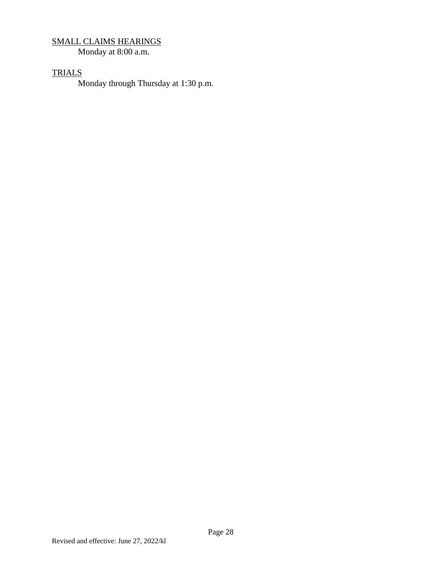## SMALL CLAIMS HEARINGS

Monday at 8:00 a.m.

## **TRIALS**

Monday through Thursday at 1:30 p.m.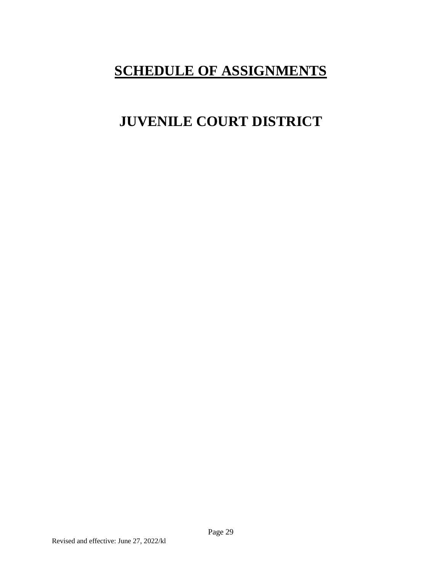# **SCHEDULE OF ASSIGNMENTS**

# <span id="page-30-0"></span>**JUVENILE COURT DISTRICT**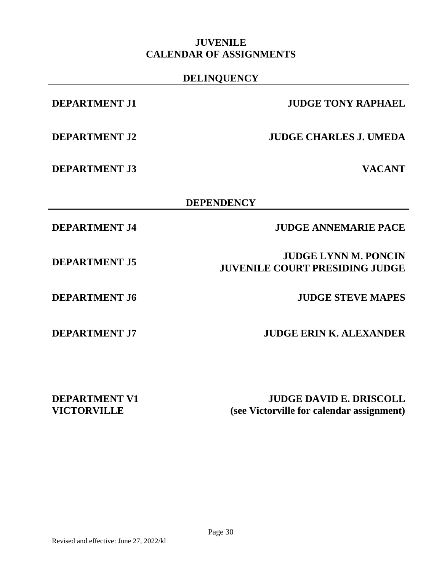## **JUVENILE CALENDAR OF ASSIGNMENTS**

### **DELINQUENCY**

**DEPARTMENT J3 VACANT**

## **DEPARTMENT J1 JUDGE TONY RAPHAEL**

**DEPARTMENT J2 JUDGE CHARLES J. UMEDA**

## **DEPENDENCY**

**DEPARTMENT J4 JUDGE ANNEMARIE PACE**

**JUVENILE COURT PRESIDING JUDGE**

**DEPARTMENT J5 DEPARTMENT J5** *DEPARTMENT J5* 

**DEPARTMENT J6 JUDGE STEVE MAPES**

**DEPARTMENT J7 JUDGE ERIN K. ALEXANDER**

**DEPARTMENT V1 VICTORVILLE**

**JUDGE DAVID E. DRISCOLL (see Victorville for calendar assignment)**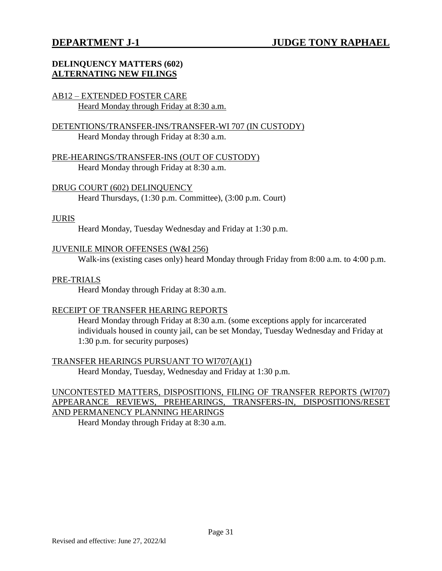### **DELINQUENCY MATTERS (602) ALTERNATING NEW FILINGS**

#### AB12 – EXTENDED FOSTER CARE Heard Monday through Friday at 8:30 a.m.

### DETENTIONS/TRANSFER-INS/TRANSFER-WI 707 (IN CUSTODY) Heard Monday through Friday at 8:30 a.m.

PRE-HEARINGS/TRANSFER-INS (OUT OF CUSTODY) Heard Monday through Friday at 8:30 a.m.

DRUG COURT (602) DELINQUENCY Heard Thursdays, (1:30 p.m. Committee), (3:00 p.m. Court)

#### JURIS

Heard Monday, Tuesday Wednesday and Friday at 1:30 p.m.

#### JUVENILE MINOR OFFENSES (W&I 256)

Walk-ins (existing cases only) heard Monday through Friday from 8:00 a.m. to 4:00 p.m.

#### PRE-TRIALS

Heard Monday through Friday at 8:30 a.m.

#### RECEIPT OF TRANSFER HEARING REPORTS

Heard Monday through Friday at 8:30 a.m. (some exceptions apply for incarcerated individuals housed in county jail, can be set Monday, Tuesday Wednesday and Friday at 1:30 p.m. for security purposes)

TRANSFER HEARINGS PURSUANT TO WI707(A)(1) Heard Monday, Tuesday, Wednesday and Friday at 1:30 p.m.

### UNCONTESTED MATTERS, DISPOSITIONS, FILING OF TRANSFER REPORTS (WI707) APPEARANCE REVIEWS, PREHEARINGS, TRANSFERS-IN, DISPOSITIONS/RESET AND PERMANENCY PLANNING HEARINGS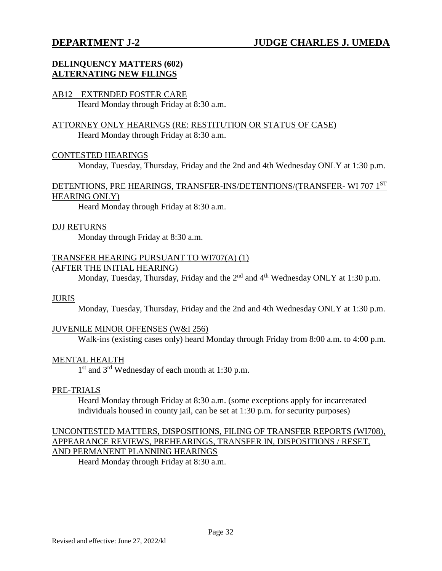## **DELINQUENCY MATTERS (602) ALTERNATING NEW FILINGS**

#### AB12 – EXTENDED FOSTER CARE

Heard Monday through Friday at 8:30 a.m.

#### ATTORNEY ONLY HEARINGS (RE: RESTITUTION OR STATUS OF CASE) Heard Monday through Friday at 8:30 a.m.

#### CONTESTED HEARINGS

Monday, Tuesday, Thursday, Friday and the 2nd and 4th Wednesday ONLY at 1:30 p.m.

#### DETENTIONS, PRE HEARINGS, TRANSFER-INS/DETENTIONS/(TRANSFER- WI 707 1ST HEARING ONLY)

Heard Monday through Friday at 8:30 a.m.

#### DJJ RETURNS

Monday through Friday at 8:30 a.m.

#### TRANSFER HEARING PURSUANT TO WI707(A) (1) (AFTER THE INITIAL HEARING)

Monday, Tuesday, Thursday, Friday and the  $2<sup>nd</sup>$  and  $4<sup>th</sup>$  Wednesday ONLY at 1:30 p.m.

#### JURIS

Monday, Tuesday, Thursday, Friday and the 2nd and 4th Wednesday ONLY at 1:30 p.m.

#### JUVENILE MINOR OFFENSES (W&I 256)

Walk-ins (existing cases only) heard Monday through Friday from 8:00 a.m. to 4:00 p.m.

#### MENTAL HEALTH

1<sup>st</sup> and 3<sup>rd</sup> Wednesday of each month at 1:30 p.m.

#### PRE-TRIALS

Heard Monday through Friday at 8:30 a.m. (some exceptions apply for incarcerated individuals housed in county jail, can be set at 1:30 p.m. for security purposes)

#### UNCONTESTED MATTERS, DISPOSITIONS, FILING OF TRANSFER REPORTS (WI708), APPEARANCE REVIEWS, PREHEARINGS, TRANSFER IN, DISPOSITIONS / RESET, AND PERMANENT PLANNING HEARINGS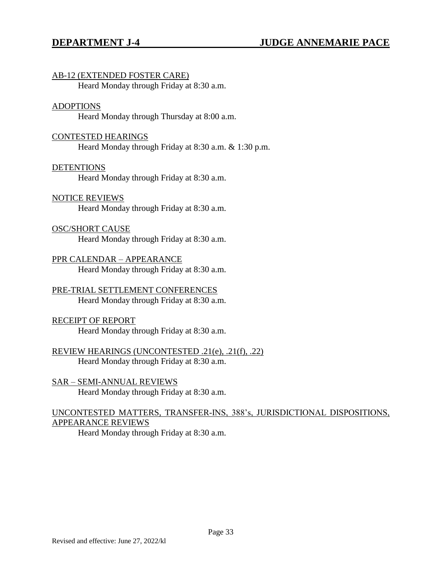#### AB-12 (EXTENDED FOSTER CARE)

Heard Monday through Friday at 8:30 a.m.

#### ADOPTIONS

Heard Monday through Thursday at 8:00 a.m.

#### CONTESTED HEARINGS

Heard Monday through Friday at 8:30 a.m. & 1:30 p.m.

#### DETENTIONS

Heard Monday through Friday at 8:30 a.m.

#### NOTICE REVIEWS

Heard Monday through Friday at 8:30 a.m.

#### OSC/SHORT CAUSE

Heard Monday through Friday at 8:30 a.m.

PPR CALENDAR – APPEARANCE Heard Monday through Friday at 8:30 a.m.

# PRE-TRIAL SETTLEMENT CONFERENCES

Heard Monday through Friday at 8:30 a.m.

#### RECEIPT OF REPORT

Heard Monday through Friday at 8:30 a.m.

#### REVIEW HEARINGS (UNCONTESTED .21(e), .21(f), .22) Heard Monday through Friday at 8:30 a.m.

SAR – SEMI-ANNUAL REVIEWS Heard Monday through Friday at 8:30 a.m.

### UNCONTESTED MATTERS, TRANSFER-INS, 388's, JURISDICTIONAL DISPOSITIONS, APPEARANCE REVIEWS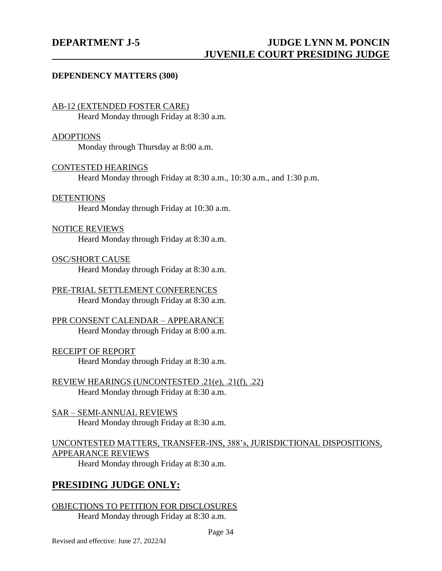#### **DEPENDENCY MATTERS (300)**

#### AB-12 (EXTENDED FOSTER CARE)

Heard Monday through Friday at 8:30 a.m.

#### ADOPTIONS

Monday through Thursday at 8:00 a.m.

### CONTESTED HEARINGS

Heard Monday through Friday at 8:30 a.m., 10:30 a.m., and 1:30 p.m.

### **DETENTIONS**

Heard Monday through Friday at 10:30 a.m.

### NOTICE REVIEWS

Heard Monday through Friday at 8:30 a.m.

### OSC/SHORT CAUSE

Heard Monday through Friday at 8:30 a.m.

#### PRE-TRIAL SETTLEMENT CONFERENCES Heard Monday through Friday at 8:30 a.m.

### PPR CONSENT CALENDAR – APPEARANCE Heard Monday through Friday at 8:00 a.m.

#### RECEIPT OF REPORT Heard Monday through Friday at 8:30 a.m.

REVIEW HEARINGS (UNCONTESTED .21(e), .21(f), .22) Heard Monday through Friday at 8:30 a.m.

### SAR – SEMI-ANNUAL REVIEWS Heard Monday through Friday at 8:30 a.m.

## UNCONTESTED MATTERS, TRANSFER-INS, 388's, JURISDICTIONAL DISPOSITIONS, APPEARANCE REVIEWS

Heard Monday through Friday at 8:30 a.m.

## **PRESIDING JUDGE ONLY:**

## OBJECTIONS TO PETITION FOR DISCLOSURES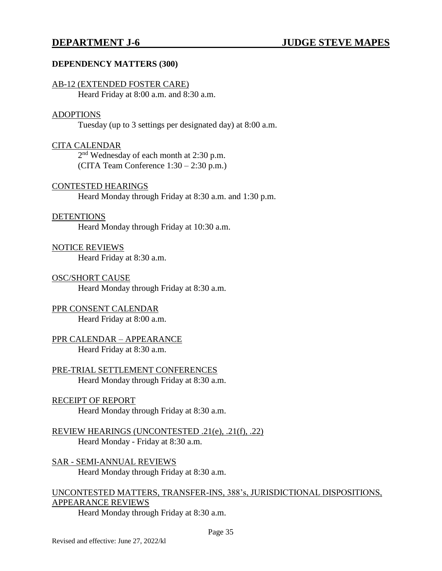### **DEPENDENCY MATTERS (300)**

#### AB-12 (EXTENDED FOSTER CARE)

Heard Friday at 8:00 a.m. and 8:30 a.m.

#### ADOPTIONS

Tuesday (up to 3 settings per designated day) at 8:00 a.m.

#### CITA CALENDAR

2<sup>nd</sup> Wednesday of each month at 2:30 p.m. (CITA Team Conference 1:30 – 2:30 p.m.)

#### CONTESTED HEARINGS

Heard Monday through Friday at 8:30 a.m. and 1:30 p.m.

#### DETENTIONS

Heard Monday through Friday at 10:30 a.m.

#### NOTICE REVIEWS

Heard Friday at 8:30 a.m.

#### OSC/SHORT CAUSE

Heard Monday through Friday at 8:30 a.m.

### PPR CONSENT CALENDAR

Heard Friday at 8:00 a.m.

#### PPR CALENDAR – APPEARANCE Heard Friday at 8:30 a.m.

PRE-TRIAL SETTLEMENT CONFERENCES Heard Monday through Friday at 8:30 a.m.

## RECEIPT OF REPORT

Heard Monday through Friday at 8:30 a.m.

REVIEW HEARINGS (UNCONTESTED .21(e), .21(f), .22) Heard Monday - Friday at 8:30 a.m.

SAR - SEMI-ANNUAL REVIEWS Heard Monday through Friday at 8:30 a.m.

## UNCONTESTED MATTERS, TRANSFER-INS, 388's, JURISDICTIONAL DISPOSITIONS, APPEARANCE REVIEWS

Heard Monday through Friday at 8:30 a.m.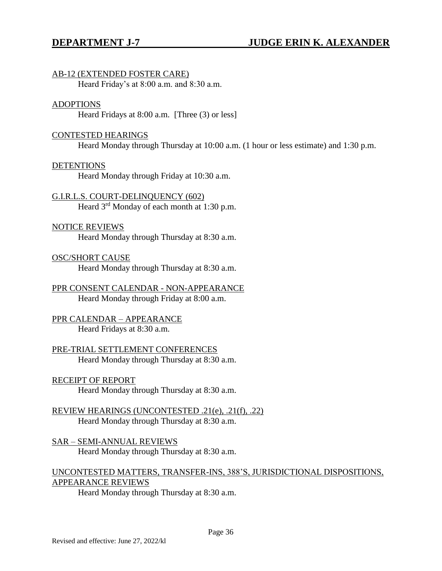## AB-12 (EXTENDED FOSTER CARE)

Heard Friday's at 8:00 a.m. and 8:30 a.m.

#### ADOPTIONS

Heard Fridays at 8:00 a.m. [Three (3) or less]

### CONTESTED HEARINGS

Heard Monday through Thursday at 10:00 a.m. (1 hour or less estimate) and 1:30 p.m.

#### **DETENTIONS**

Heard Monday through Friday at 10:30 a.m.

## G.I.R.L.S. COURT-DELINQUENCY (602)

Heard  $3<sup>rd</sup>$  Monday of each month at 1:30 p.m.

### NOTICE REVIEWS

Heard Monday through Thursday at 8:30 a.m.

### OSC/SHORT CAUSE

Heard Monday through Thursday at 8:30 a.m.

## PPR CONSENT CALENDAR - NON-APPEARANCE Heard Monday through Friday at 8:00 a.m.

## PPR CALENDAR – APPEARANCE Heard Fridays at 8:30 a.m.

### PRE-TRIAL SETTLEMENT CONFERENCES Heard Monday through Thursday at 8:30 a.m.

### RECEIPT OF REPORT

Heard Monday through Thursday at 8:30 a.m.

## REVIEW HEARINGS (UNCONTESTED .21(e), .21(f), .22) Heard Monday through Thursday at 8:30 a.m.

#### SAR – SEMI-ANNUAL REVIEWS Heard Monday through Thursday at 8:30 a.m.

## UNCONTESTED MATTERS, TRANSFER-INS, 388'S, JURISDICTIONAL DISPOSITIONS, APPEARANCE REVIEWS

Heard Monday through Thursday at 8:30 a.m.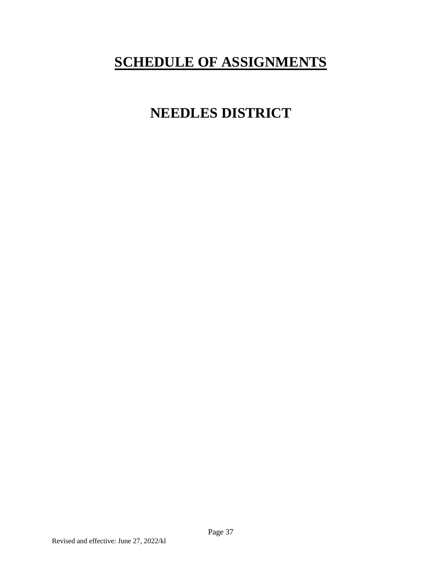# **SCHEDULE OF ASSIGNMENTS**

# **NEEDLES DISTRICT**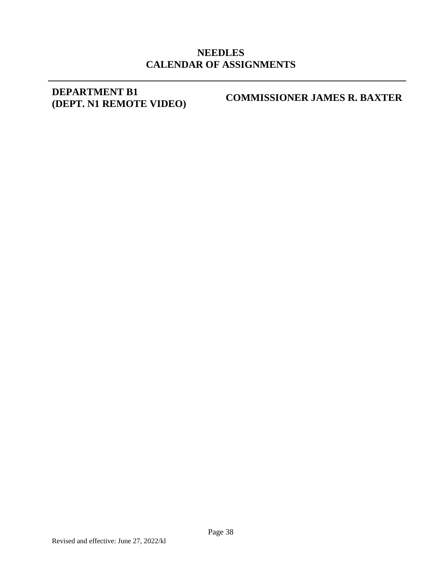## **NEEDLES CALENDAR OF ASSIGNMENTS**

## **DEPARTMENT B1 (DEPT. N1 REMOTE VIDEO)**

**COMMISSIONER JAMES R. BAXTER**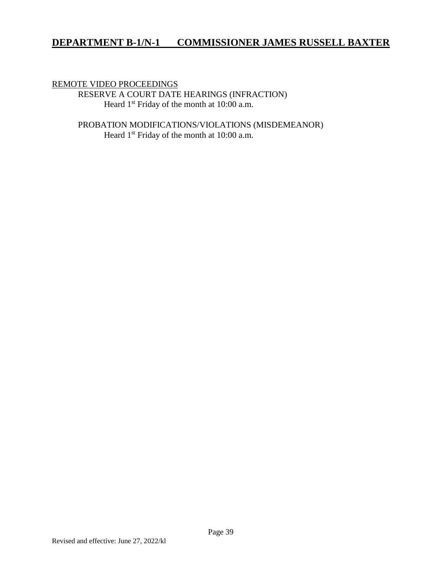## **DEPARTMENT B-1/N-1 COMMISSIONER JAMES RUSSELL BAXTER**

#### REMOTE VIDEO PROCEEDINGS

RESERVE A COURT DATE HEARINGS (INFRACTION) Heard 1<sup>st</sup> Friday of the month at 10:00 a.m.

PROBATION MODIFICATIONS/VIOLATIONS (MISDEMEANOR) Heard 1<sup>st</sup> Friday of the month at 10:00 a.m.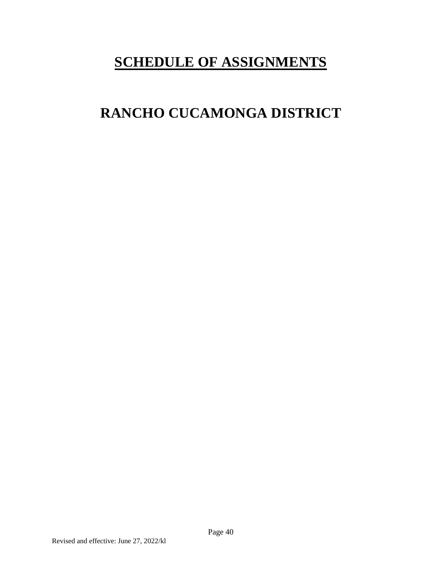# **SCHEDULE OF ASSIGNMENTS**

# **RANCHO CUCAMONGA DISTRICT**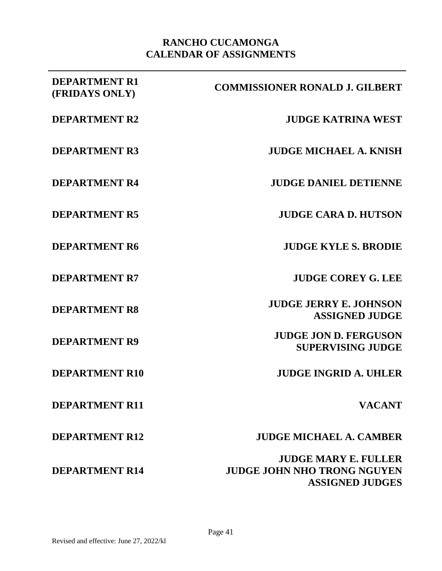## **RANCHO CUCAMONGA CALENDAR OF ASSIGNMENTS**

| <b>DEPARTMENT R1</b><br>(FRIDAYS ONLY) | <b>COMMISSIONER RONALD J. GILBERT</b>                                                       |
|----------------------------------------|---------------------------------------------------------------------------------------------|
| <b>DEPARTMENT R2</b>                   | <b>JUDGE KATRINA WEST</b>                                                                   |
| <b>DEPARTMENT R3</b>                   | <b>JUDGE MICHAEL A. KNISH</b>                                                               |
| <b>DEPARTMENT R4</b>                   | <b>JUDGE DANIEL DETIENNE</b>                                                                |
| <b>DEPARTMENT R5</b>                   | <b>JUDGE CARA D. HUTSON</b>                                                                 |
| <b>DEPARTMENT R6</b>                   | <b>JUDGE KYLE S. BRODIE</b>                                                                 |
| <b>DEPARTMENT R7</b>                   | <b>JUDGE COREY G. LEE</b>                                                                   |
| <b>DEPARTMENT R8</b>                   | <b>JUDGE JERRY E. JOHNSON</b><br><b>ASSIGNED JUDGE</b>                                      |
| <b>DEPARTMENT R9</b>                   | <b>JUDGE JON D. FERGUSON</b><br><b>SUPERVISING JUDGE</b>                                    |
| <b>DEPARTMENT R10</b>                  | <b>JUDGE INGRID A. UHLER</b>                                                                |
| <b>DEPARTMENT R11</b>                  | <b>VACANT</b>                                                                               |
| <b>DEPARTMENT R12</b>                  | <b>JUDGE MICHAEL A. CAMBER</b>                                                              |
| <b>DEPARTMENT R14</b>                  | <b>JUDGE MARY E. FULLER</b><br><b>JUDGE JOHN NHO TRONG NGUYEN</b><br><b>ASSIGNED JUDGES</b> |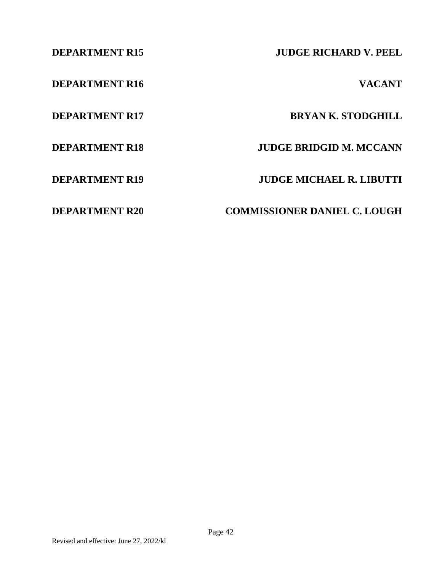**DEPARTMENT R16 VACANT**

**DEPARTMENT R15 JUDGE RICHARD V. PEEL**

**DEPARTMENT R17 BRYAN K. STODGHILL** 

**DEPARTMENT R18 JUDGE BRIDGID M. MCCANN**

**DEPARTMENT R19 JUDGE MICHAEL R. LIBUTTI**

**DEPARTMENT R20 COMMISSIONER DANIEL C. LOUGH**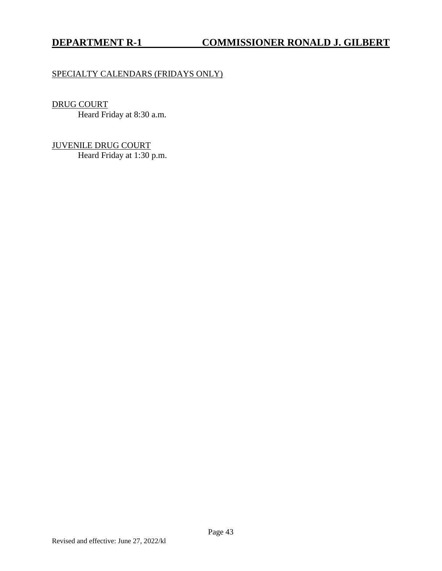## SPECIALTY CALENDARS (FRIDAYS ONLY)

## DRUG COURT

Heard Friday at 8:30 a.m.

JUVENILE DRUG COURT Heard Friday at 1:30 p.m.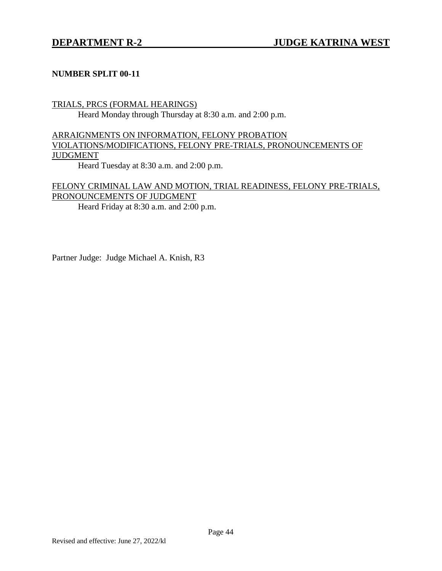## **NUMBER SPLIT 00-11**

## TRIALS, PRCS (FORMAL HEARINGS)

Heard Monday through Thursday at 8:30 a.m. and 2:00 p.m.

## ARRAIGNMENTS ON INFORMATION, FELONY PROBATION VIOLATIONS/MODIFICATIONS, FELONY PRE-TRIALS, PRONOUNCEMENTS OF JUDGMENT

Heard Tuesday at 8:30 a.m. and 2:00 p.m.

## FELONY CRIMINAL LAW AND MOTION, TRIAL READINESS, FELONY PRE-TRIALS, PRONOUNCEMENTS OF JUDGMENT

Heard Friday at 8:30 a.m. and 2:00 p.m.

Partner Judge: Judge Michael A. Knish, R3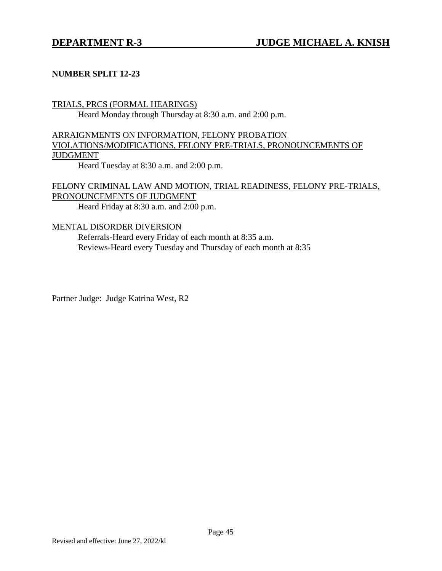## **NUMBER SPLIT 12-23**

## TRIALS, PRCS (FORMAL HEARINGS)

Heard Monday through Thursday at 8:30 a.m. and 2:00 p.m.

## ARRAIGNMENTS ON INFORMATION, FELONY PROBATION VIOLATIONS/MODIFICATIONS, FELONY PRE-TRIALS, PRONOUNCEMENTS OF JUDGMENT

Heard Tuesday at 8:30 a.m. and 2:00 p.m.

## FELONY CRIMINAL LAW AND MOTION, TRIAL READINESS, FELONY PRE-TRIALS, PRONOUNCEMENTS OF JUDGMENT

Heard Friday at 8:30 a.m. and 2:00 p.m.

## MENTAL DISORDER DIVERSION

Referrals-Heard every Friday of each month at 8:35 a.m. Reviews-Heard every Tuesday and Thursday of each month at 8:35

Partner Judge: Judge Katrina West, R2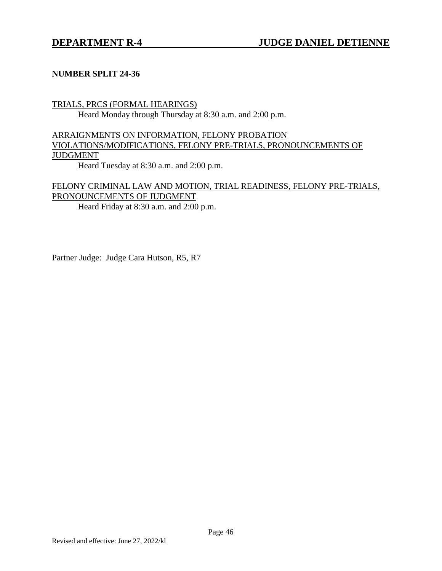## **NUMBER SPLIT 24-36**

## TRIALS, PRCS (FORMAL HEARINGS)

Heard Monday through Thursday at 8:30 a.m. and 2:00 p.m.

## ARRAIGNMENTS ON INFORMATION, FELONY PROBATION VIOLATIONS/MODIFICATIONS, FELONY PRE-TRIALS, PRONOUNCEMENTS OF JUDGMENT

Heard Tuesday at 8:30 a.m. and 2:00 p.m.

## FELONY CRIMINAL LAW AND MOTION, TRIAL READINESS, FELONY PRE-TRIALS, PRONOUNCEMENTS OF JUDGMENT

Heard Friday at 8:30 a.m. and 2:00 p.m.

Partner Judge: Judge Cara Hutson, R5, R7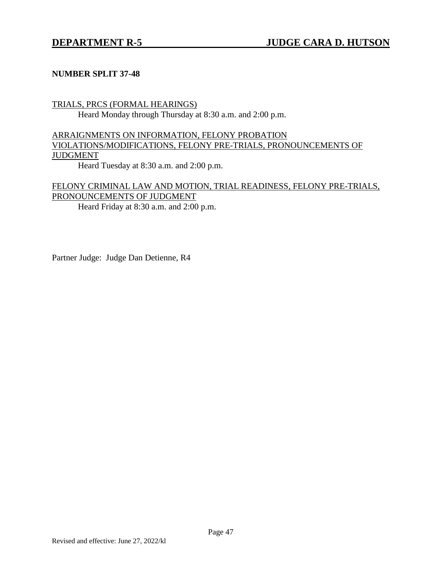## **NUMBER SPLIT 37-48**

## TRIALS, PRCS (FORMAL HEARINGS)

Heard Monday through Thursday at 8:30 a.m. and 2:00 p.m.

## ARRAIGNMENTS ON INFORMATION, FELONY PROBATION VIOLATIONS/MODIFICATIONS, FELONY PRE-TRIALS, PRONOUNCEMENTS OF JUDGMENT

Heard Tuesday at 8:30 a.m. and 2:00 p.m.

## FELONY CRIMINAL LAW AND MOTION, TRIAL READINESS, FELONY PRE-TRIALS, PRONOUNCEMENTS OF JUDGMENT

Heard Friday at 8:30 a.m. and 2:00 p.m.

Partner Judge: Judge Dan Detienne, R4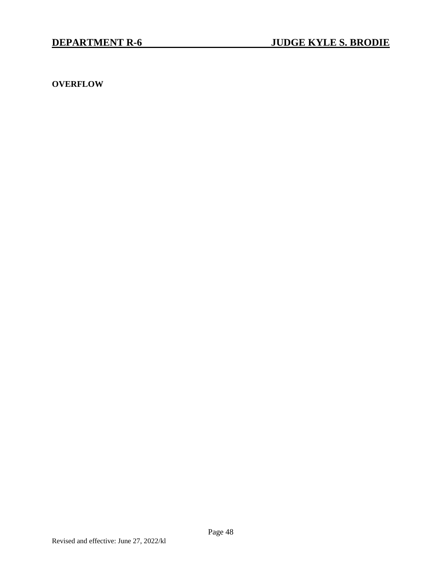**OVERFLOW**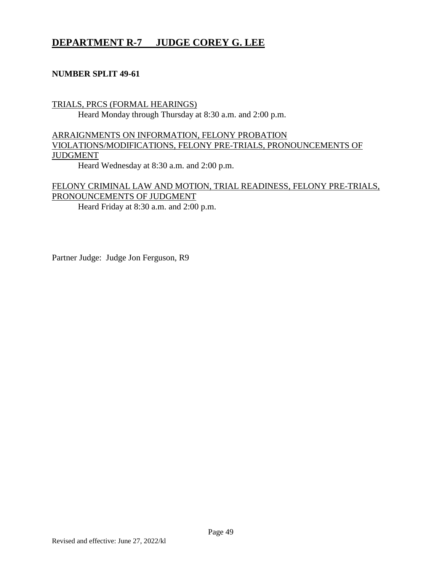## **DEPARTMENT R-7 JUDGE COREY G. LEE**

## **NUMBER SPLIT 49-61**

## TRIALS, PRCS (FORMAL HEARINGS) Heard Monday through Thursday at 8:30 a.m. and 2:00 p.m.

## ARRAIGNMENTS ON INFORMATION, FELONY PROBATION VIOLATIONS/MODIFICATIONS, FELONY PRE-TRIALS, PRONOUNCEMENTS OF JUDGMENT

Heard Wednesday at 8:30 a.m. and 2:00 p.m.

## FELONY CRIMINAL LAW AND MOTION, TRIAL READINESS, FELONY PRE-TRIALS, PRONOUNCEMENTS OF JUDGMENT

Heard Friday at 8:30 a.m. and 2:00 p.m.

Partner Judge: Judge Jon Ferguson, R9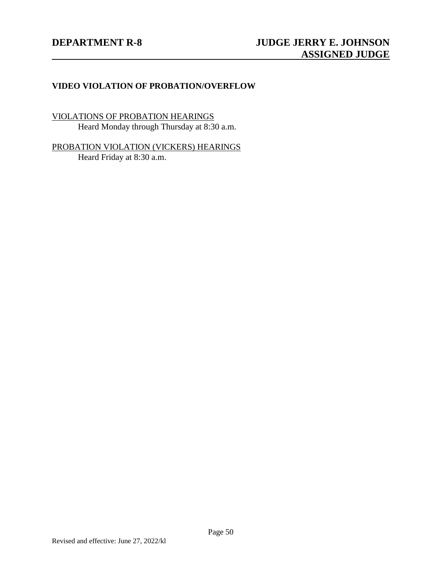## **VIDEO VIOLATION OF PROBATION/OVERFLOW**

VIOLATIONS OF PROBATION HEARINGS Heard Monday through Thursday at 8:30 a.m.

PROBATION VIOLATION (VICKERS) HEARINGS Heard Friday at 8:30 a.m.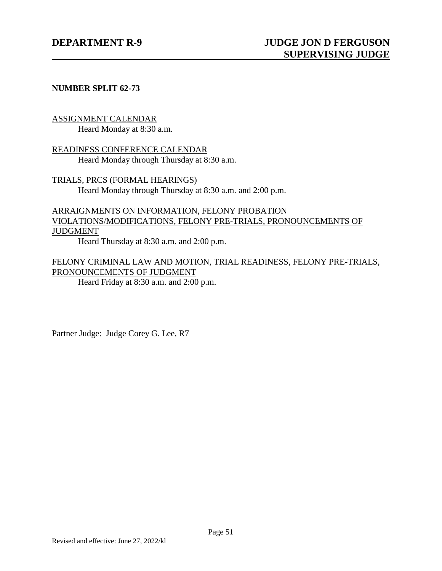## **NUMBER SPLIT 62-73**

### ASSIGNMENT CALENDAR

Heard Monday at 8:30 a.m.

READINESS CONFERENCE CALENDAR Heard Monday through Thursday at 8:30 a.m.

TRIALS, PRCS (FORMAL HEARINGS) Heard Monday through Thursday at 8:30 a.m. and 2:00 p.m.

## ARRAIGNMENTS ON INFORMATION, FELONY PROBATION VIOLATIONS/MODIFICATIONS, FELONY PRE-TRIALS, PRONOUNCEMENTS OF JUDGMENT

Heard Thursday at 8:30 a.m. and 2:00 p.m.

## FELONY CRIMINAL LAW AND MOTION, TRIAL READINESS, FELONY PRE-TRIALS, PRONOUNCEMENTS OF JUDGMENT

Heard Friday at 8:30 a.m. and 2:00 p.m.

Partner Judge: Judge Corey G. Lee, R7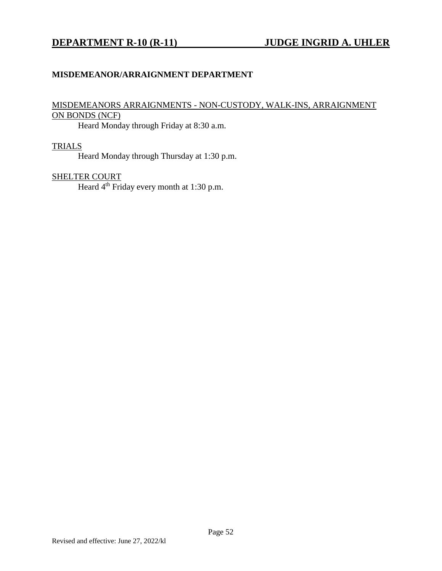## **DEPARTMENT R-10 (R-11) JUDGE INGRID A. UHLER**

## **MISDEMEANOR/ARRAIGNMENT DEPARTMENT**

## MISDEMEANORS ARRAIGNMENTS - NON-CUSTODY, WALK-INS, ARRAIGNMENT ON BONDS (NCF)

Heard Monday through Friday at 8:30 a.m.

### TRIALS

Heard Monday through Thursday at 1:30 p.m.

## SHELTER COURT

Heard 4<sup>th</sup> Friday every month at 1:30 p.m.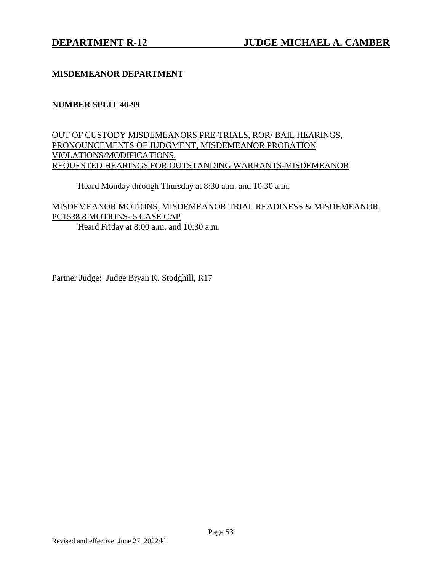## **MISDEMEANOR DEPARTMENT**

## **NUMBER SPLIT 40-99**

## OUT OF CUSTODY MISDEMEANORS PRE-TRIALS, ROR/ BAIL HEARINGS, PRONOUNCEMENTS OF JUDGMENT, MISDEMEANOR PROBATION VIOLATIONS/MODIFICATIONS, REQUESTED HEARINGS FOR OUTSTANDING WARRANTS-MISDEMEANOR

Heard Monday through Thursday at 8:30 a.m. and 10:30 a.m.

## MISDEMEANOR MOTIONS, MISDEMEANOR TRIAL READINESS & MISDEMEANOR PC1538.8 MOTIONS- 5 CASE CAP

Heard Friday at 8:00 a.m. and 10:30 a.m.

Partner Judge: Judge Bryan K. Stodghill, R17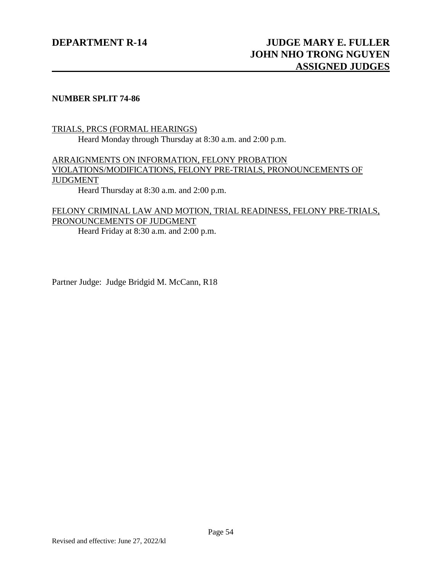## **NUMBER SPLIT 74-86**

## TRIALS, PRCS (FORMAL HEARINGS) Heard Monday through Thursday at 8:30 a.m. and 2:00 p.m.

## ARRAIGNMENTS ON INFORMATION, FELONY PROBATION VIOLATIONS/MODIFICATIONS, FELONY PRE-TRIALS, PRONOUNCEMENTS OF JUDGMENT

Heard Thursday at 8:30 a.m. and 2:00 p.m.

## FELONY CRIMINAL LAW AND MOTION, TRIAL READINESS, FELONY PRE-TRIALS, PRONOUNCEMENTS OF JUDGMENT

Heard Friday at 8:30 a.m. and 2:00 p.m.

Partner Judge: Judge Bridgid M. McCann, R18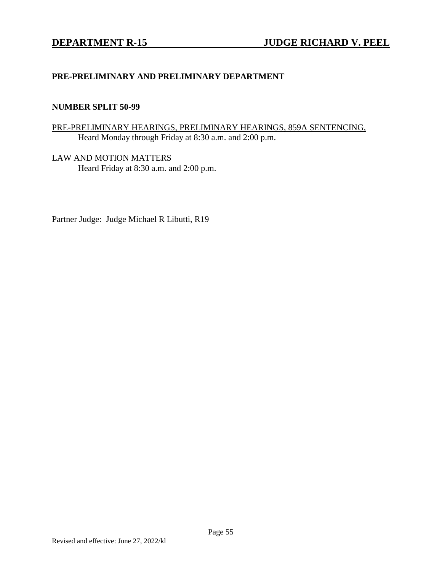## **PRE-PRELIMINARY AND PRELIMINARY DEPARTMENT**

#### **NUMBER SPLIT 50-99**

## PRE-PRELIMINARY HEARINGS, PRELIMINARY HEARINGS, 859A SENTENCING, Heard Monday through Friday at 8:30 a.m. and 2:00 p.m.

LAW AND MOTION MATTERS Heard Friday at 8:30 a.m. and 2:00 p.m.

Partner Judge: Judge Michael R Libutti, R19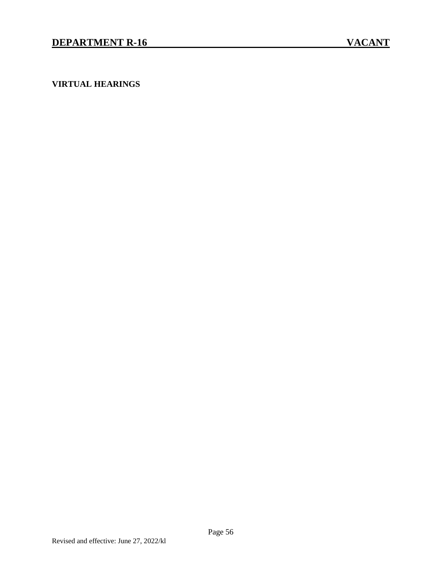**VIRTUAL HEARINGS**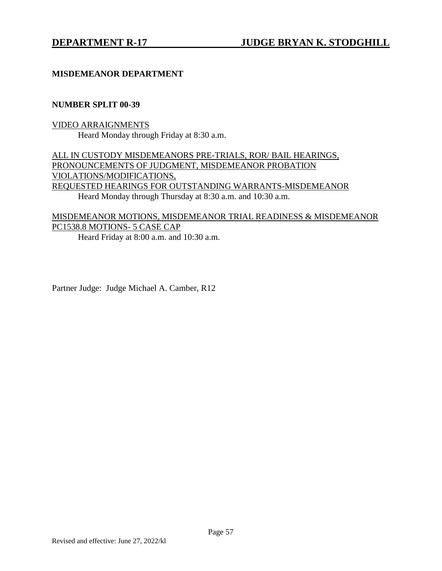## **MISDEMEANOR DEPARTMENT**

#### **NUMBER SPLIT 00-39**

## VIDEO ARRAIGNMENTS Heard Monday through Friday at 8:30 a.m.

ALL IN CUSTODY MISDEMEANORS PRE-TRIALS, ROR/ BAIL HEARINGS, PRONOUNCEMENTS OF JUDGMENT, MISDEMEANOR PROBATION VIOLATIONS/MODIFICATIONS, REQUESTED HEARINGS FOR OUTSTANDING WARRANTS-MISDEMEANOR Heard Monday through Thursday at 8:30 a.m. and 10:30 a.m.

## MISDEMEANOR MOTIONS, MISDEMEANOR TRIAL READINESS & MISDEMEANOR PC1538.8 MOTIONS- 5 CASE CAP

Heard Friday at 8:00 a.m. and 10:30 a.m.

Partner Judge: Judge Michael A. Camber, R12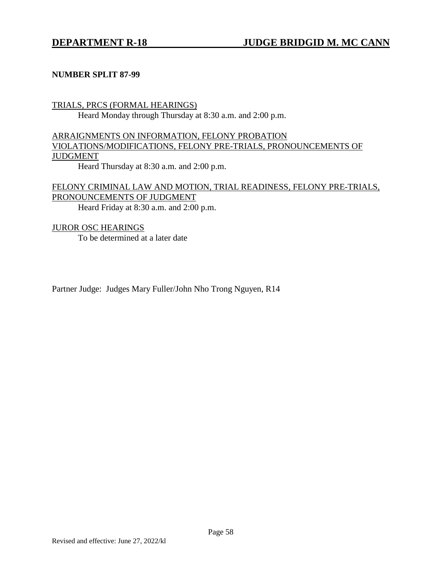### **NUMBER SPLIT 87-99**

## TRIALS, PRCS (FORMAL HEARINGS)

Heard Monday through Thursday at 8:30 a.m. and 2:00 p.m.

## ARRAIGNMENTS ON INFORMATION, FELONY PROBATION VIOLATIONS/MODIFICATIONS, FELONY PRE-TRIALS, PRONOUNCEMENTS OF JUDGMENT

Heard Thursday at 8:30 a.m. and 2:00 p.m.

## FELONY CRIMINAL LAW AND MOTION, TRIAL READINESS, FELONY PRE-TRIALS, PRONOUNCEMENTS OF JUDGMENT Heard Friday at 8:30 a.m. and 2:00 p.m.

# JUROR OSC HEARINGS

To be determined at a later date

Partner Judge: Judges Mary Fuller/John Nho Trong Nguyen, R14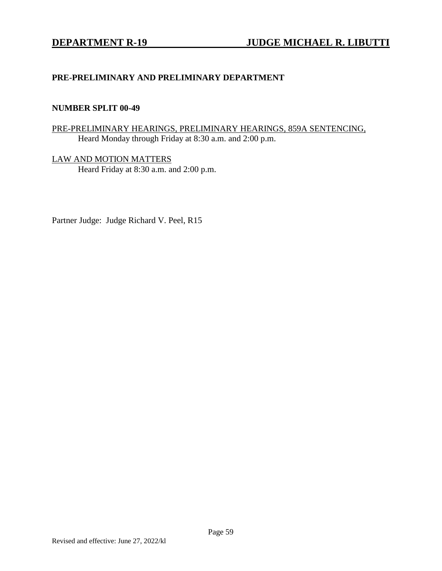## **PRE-PRELIMINARY AND PRELIMINARY DEPARTMENT**

### **NUMBER SPLIT 00-49**

## PRE-PRELIMINARY HEARINGS, PRELIMINARY HEARINGS, 859A SENTENCING, Heard Monday through Friday at 8:30 a.m. and 2:00 p.m.

LAW AND MOTION MATTERS Heard Friday at 8:30 a.m. and 2:00 p.m.

Partner Judge: Judge Richard V. Peel, R15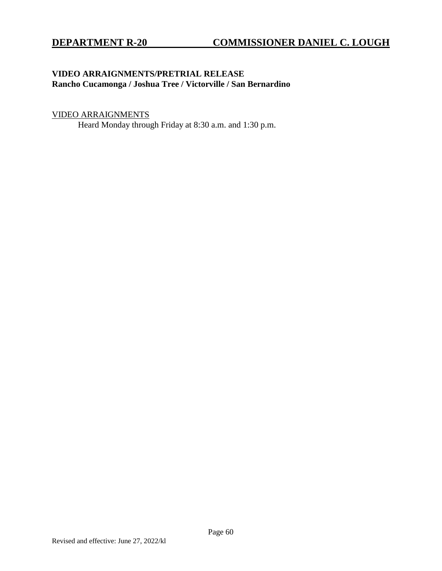## **VIDEO ARRAIGNMENTS/PRETRIAL RELEASE Rancho Cucamonga / Joshua Tree / Victorville / San Bernardino**

## VIDEO ARRAIGNMENTS

Heard Monday through Friday at 8:30 a.m. and 1:30 p.m.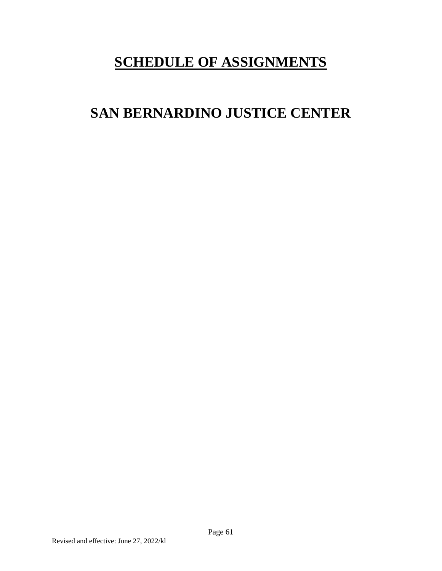# **SCHEDULE OF ASSIGNMENTS**

# **SAN BERNARDINO JUSTICE CENTER**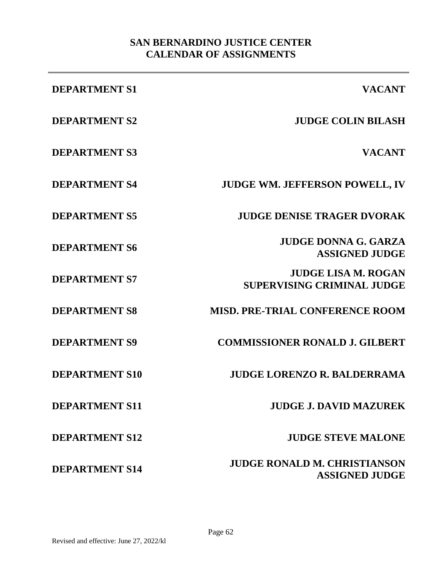## **SAN BERNARDINO JUSTICE CENTER CALENDAR OF ASSIGNMENTS**

| <b>DEPARTMENT S1</b>  | <b>VACANT</b>                                                   |
|-----------------------|-----------------------------------------------------------------|
| <b>DEPARTMENT S2</b>  | <b>JUDGE COLIN BILASH</b>                                       |
| <b>DEPARTMENT S3</b>  | <b>VACANT</b>                                                   |
| <b>DEPARTMENT S4</b>  | <b>JUDGE WM. JEFFERSON POWELL, IV</b>                           |
| <b>DEPARTMENT S5</b>  | <b>JUDGE DENISE TRAGER DVORAK</b>                               |
| <b>DEPARTMENT S6</b>  | <b>JUDGE DONNA G. GARZA</b><br><b>ASSIGNED JUDGE</b>            |
| <b>DEPARTMENT S7</b>  | <b>JUDGE LISA M. ROGAN</b><br><b>SUPERVISING CRIMINAL JUDGE</b> |
| <b>DEPARTMENT S8</b>  | <b>MISD. PRE-TRIAL CONFERENCE ROOM</b>                          |
| <b>DEPARTMENT S9</b>  | <b>COMMISSIONER RONALD J. GILBERT</b>                           |
| <b>DEPARTMENT S10</b> | <b>JUDGE LORENZO R. BALDERRAMA</b>                              |
| <b>DEPARTMENT S11</b> | <b>JUDGE J. DAVID MAZUREK</b>                                   |
| <b>DEPARTMENT S12</b> | <b>JUDGE STEVE MALONE</b>                                       |
| <b>DEPARTMENT S14</b> | <b>JUDGE RONALD M. CHRISTIANSON</b><br><b>ASSIGNED JUDGE</b>    |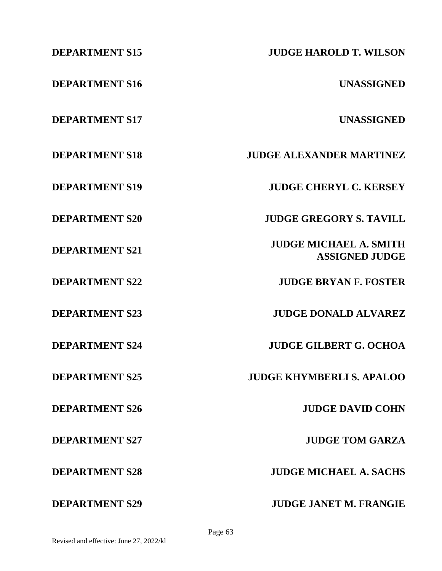| <b>DEPARTMENT S15</b> | <b>JUDGE HAROLD T. WILSON</b>                          |
|-----------------------|--------------------------------------------------------|
| <b>DEPARTMENT S16</b> | <b>UNASSIGNED</b>                                      |
| <b>DEPARTMENT S17</b> | <b>UNASSIGNED</b>                                      |
| <b>DEPARTMENT S18</b> | <b>JUDGE ALEXANDER MARTINEZ</b>                        |
| <b>DEPARTMENT S19</b> | <b>JUDGE CHERYL C. KERSEY</b>                          |
| <b>DEPARTMENT S20</b> | <b>JUDGE GREGORY S. TAVILL</b>                         |
| <b>DEPARTMENT S21</b> | <b>JUDGE MICHAEL A. SMITH</b><br><b>ASSIGNED JUDGE</b> |
| <b>DEPARTMENT S22</b> | <b>JUDGE BRYAN F. FOSTER</b>                           |
| <b>DEPARTMENT S23</b> | <b>JUDGE DONALD ALVAREZ</b>                            |
| <b>DEPARTMENT S24</b> | <b>JUDGE GILBERT G. OCHOA</b>                          |
| <b>DEPARTMENT S25</b> | <b>JUDGE KHYMBERLI S. APALOO</b>                       |
| <b>DEPARTMENT S26</b> | <b>JUDGE DAVID COHN</b>                                |
| <b>DEPARTMENT S27</b> | <b>JUDGE TOM GARZA</b>                                 |
| <b>DEPARTMENT S28</b> | <b>JUDGE MICHAEL A. SACHS</b>                          |
| <b>DEPARTMENT S29</b> | <b>JUDGE JANET M. FRANGIE</b>                          |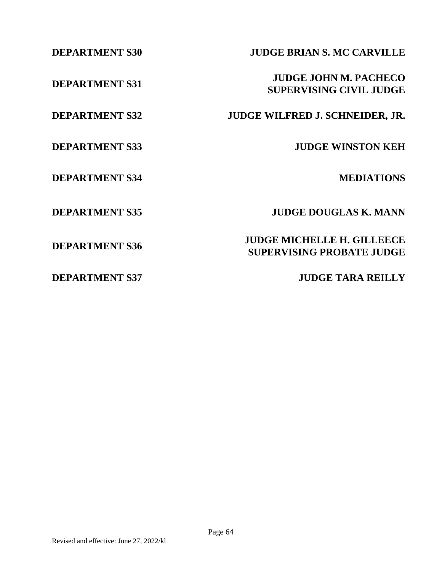**DEPARTMENT S34 MEDIATIONS**

**DEPARTMENT S30 JUDGE BRIAN S. MC CARVILLE**

**DEPARTMENT S31 JUDGE JOHN M. PACHECO SUPERVISING CIVIL JUDGE**

**DEPARTMENT S32 JUDGE WILFRED J. SCHNEIDER, JR.**

**DEPARTMENT S33 JUDGE WINSTON KEH**

**DEPARTMENT S35 JUDGE DOUGLAS K. MANN**

**DEPARTMENT S36 JUDGE MICHELLE H. GILLEECE SUPERVISING PROBATE JUDGE**

**DEPARTMENT S37 JUDGE TARA REILLY**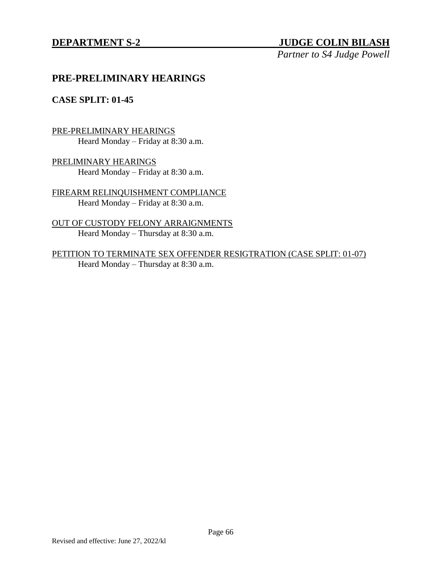## **DEPARTMENT S-2 JUDGE COLIN BILASH**

*Partner to S4 Judge Powell*

## **PRE-PRELIMINARY HEARINGS**

## **CASE SPLIT: 01-45**

## PRE-PRELIMINARY HEARINGS

Heard Monday – Friday at 8:30 a.m.

PRELIMINARY HEARINGS Heard Monday – Friday at 8:30 a.m.

FIREARM RELINQUISHMENT COMPLIANCE Heard Monday – Friday at 8:30 a.m.

OUT OF CUSTODY FELONY ARRAIGNMENTS Heard Monday – Thursday at 8:30 a.m.

PETITION TO TERMINATE SEX OFFENDER RESIGTRATION (CASE SPLIT: 01-07) Heard Monday – Thursday at 8:30 a.m.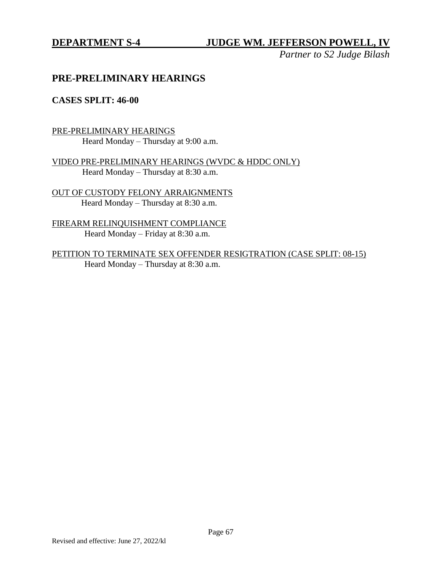*Partner to S2 Judge Bilash*

## **PRE-PRELIMINARY HEARINGS**

## **CASES SPLIT: 46-00**

PRE-PRELIMINARY HEARINGS Heard Monday – Thursday at 9:00 a.m.

VIDEO PRE-PRELIMINARY HEARINGS (WVDC & HDDC ONLY) Heard Monday – Thursday at 8:30 a.m.

OUT OF CUSTODY FELONY ARRAIGNMENTS Heard Monday – Thursday at 8:30 a.m.

FIREARM RELINQUISHMENT COMPLIANCE Heard Monday – Friday at 8:30 a.m.

PETITION TO TERMINATE SEX OFFENDER RESIGTRATION (CASE SPLIT: 08-15) Heard Monday – Thursday at 8:30 a.m.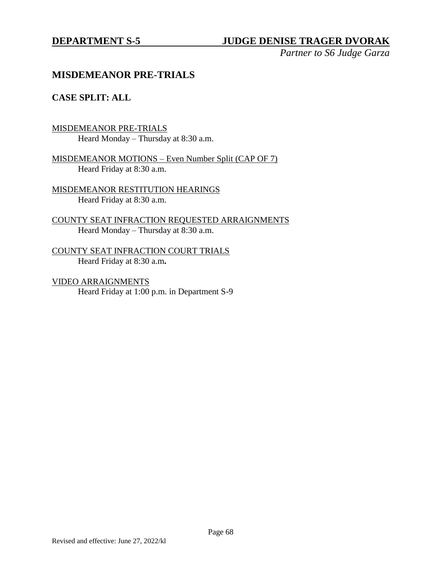## **DEPARTMENT S-5 JUDGE DENISE TRAGER DVORAK**

*Partner to S6 Judge Garza*

## **MISDEMEANOR PRE-TRIALS**

## **CASE SPLIT: ALL**

MISDEMEANOR PRE-TRIALS Heard Monday – Thursday at 8:30 a.m.

MISDEMEANOR MOTIONS – Even Number Split (CAP OF 7) Heard Friday at 8:30 a.m.

MISDEMEANOR RESTITUTION HEARINGS Heard Friday at 8:30 a.m.

COUNTY SEAT INFRACTION REQUESTED ARRAIGNMENTS Heard Monday – Thursday at 8:30 a.m.

COUNTY SEAT INFRACTION COURT TRIALS Heard Friday at 8:30 a.m**.**

VIDEO ARRAIGNMENTS Heard Friday at 1:00 p.m. in Department S-9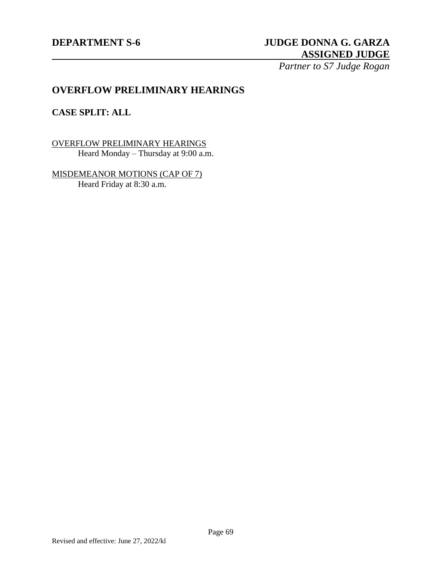## **DEPARTMENT S-6 JUDGE DONNA G. GARZA ASSIGNED JUDGE**

*Partner to S7 Judge Rogan*

## **OVERFLOW PRELIMINARY HEARINGS**

## **CASE SPLIT: ALL**

OVERFLOW PRELIMINARY HEARINGS Heard Monday – Thursday at 9:00 a.m.

MISDEMEANOR MOTIONS (CAP OF 7) Heard Friday at 8:30 a.m.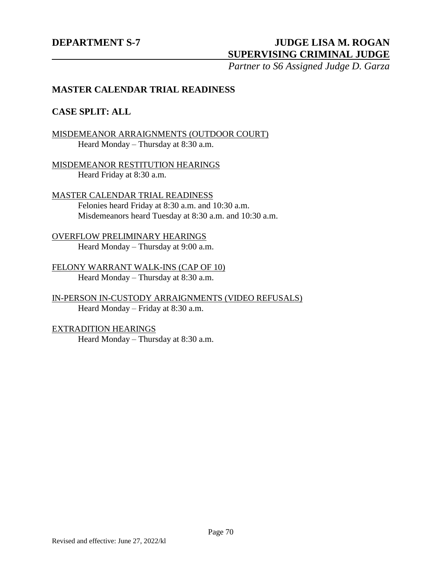## **DEPARTMENT S-7 JUDGE LISA M. ROGAN SUPERVISING CRIMINAL JUDGE**

*Partner to S6 Assigned Judge D. Garza*

## **MASTER CALENDAR TRIAL READINESS**

## **CASE SPLIT: ALL**

## MISDEMEANOR ARRAIGNMENTS (OUTDOOR COURT) Heard Monday – Thursday at 8:30 a.m.

MISDEMEANOR RESTITUTION HEARINGS Heard Friday at 8:30 a.m.

## MASTER CALENDAR TRIAL READINESS

Felonies heard Friday at 8:30 a.m. and 10:30 a.m. Misdemeanors heard Tuesday at 8:30 a.m. and 10:30 a.m.

## OVERFLOW PRELIMINARY HEARINGS

Heard Monday – Thursday at 9:00 a.m.

FELONY WARRANT WALK-INS (CAP OF 10) Heard Monday – Thursday at 8:30 a.m.

IN-PERSON IN-CUSTODY ARRAIGNMENTS (VIDEO REFUSALS) Heard Monday – Friday at 8:30 a.m.

EXTRADITION HEARINGS Heard Monday – Thursday at 8:30 a.m.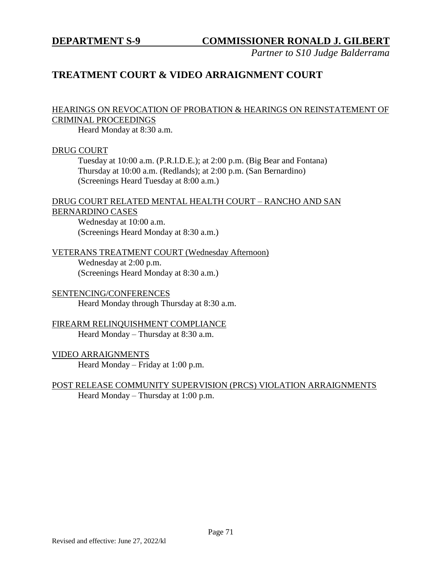*Partner to S10 Judge Balderrama*

# **TREATMENT COURT & VIDEO ARRAIGNMENT COURT**

## HEARINGS ON REVOCATION OF PROBATION & HEARINGS ON REINSTATEMENT OF CRIMINAL PROCEEDINGS

Heard Monday at 8:30 a.m.

#### DRUG COURT

Tuesday at 10:00 a.m. (P.R.I.D.E.); at 2:00 p.m. (Big Bear and Fontana) Thursday at 10:00 a.m. (Redlands); at 2:00 p.m. (San Bernardino) (Screenings Heard Tuesday at 8:00 a.m.)

#### DRUG COURT RELATED MENTAL HEALTH COURT – RANCHO AND SAN BERNARDINO CASES

Wednesday at 10:00 a.m. (Screenings Heard Monday at 8:30 a.m.)

### VETERANS TREATMENT COURT (Wednesday Afternoon)

Wednesday at 2:00 p.m. (Screenings Heard Monday at 8:30 a.m.)

#### SENTENCING/CONFERENCES Heard Monday through Thursday at 8:30 a.m.

## FIREARM RELINQUISHMENT COMPLIANCE Heard Monday – Thursday at 8:30 a.m.

## VIDEO ARRAIGNMENTS

Heard Monday – Friday at 1:00 p.m.

## POST RELEASE COMMUNITY SUPERVISION (PRCS) VIOLATION ARRAIGNMENTS Heard Monday – Thursday at 1:00 p.m.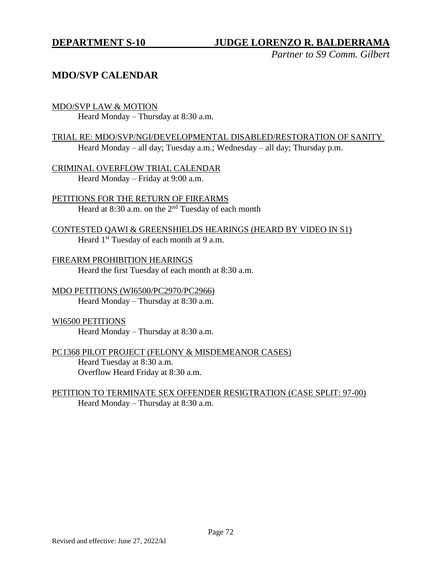*Partner to S9 Comm. Gilbert*

# **MDO/SVP CALENDAR**

### MDO/SVP LAW & MOTION

Heard Monday – Thursday at 8:30 a.m.

## TRIAL RE: MDO/SVP/NGI/DEVELOPMENTAL DISABLED/RESTORATION OF SANITY Heard Monday – all day; Tuesday a.m.; Wednesday – all day; Thursday p.m.

CRIMINAL OVERFLOW TRIAL CALENDAR Heard Monday – Friday at 9:00 a.m.

PETITIONS FOR THE RETURN OF FIREARMS Heard at  $8:30$  a.m. on the  $2<sup>nd</sup>$  Tuesday of each month

CONTESTED QAWI & GREENSHIELDS HEARINGS (HEARD BY VIDEO IN S1) Heard 1<sup>st</sup> Tuesday of each month at 9 a.m.

FIREARM PROHIBITION HEARINGS Heard the first Tuesday of each month at 8:30 a.m.

MDO PETITIONS (WI6500/PC2970/PC2966) Heard Monday – Thursday at 8:30 a.m.

## WI6500 PETITIONS Heard Monday – Thursday at 8:30 a.m.

## PC1368 PILOT PROJECT (FELONY & MISDEMEANOR CASES) Heard Tuesday at 8:30 a.m. Overflow Heard Friday at 8:30 a.m.

## PETITION TO TERMINATE SEX OFFENDER RESIGTRATION (CASE SPLIT: 97-00) Heard Monday – Thursday at 8:30 a.m.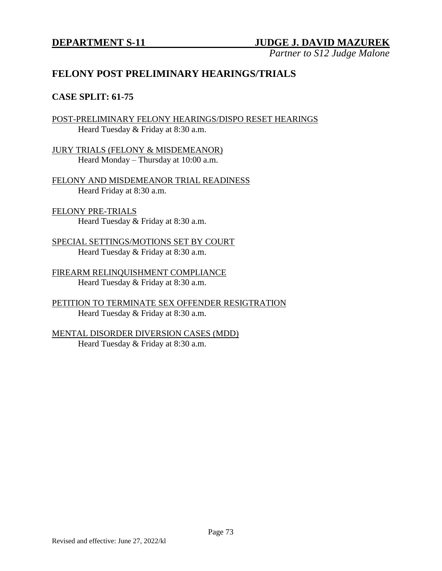*Partner to S12 Judge Malone*

# **FELONY POST PRELIMINARY HEARINGS/TRIALS**

## **CASE SPLIT: 61-75**

POST-PRELIMINARY FELONY HEARINGS/DISPO RESET HEARINGS Heard Tuesday & Friday at 8:30 a.m.

JURY TRIALS (FELONY & MISDEMEANOR) Heard Monday – Thursday at 10:00 a.m.

FELONY AND MISDEMEANOR TRIAL READINESS Heard Friday at 8:30 a.m.

#### FELONY PRE-TRIALS Heard Tuesday & Friday at 8:30 a.m.

SPECIAL SETTINGS/MOTIONS SET BY COURT Heard Tuesday & Friday at 8:30 a.m.

FIREARM RELINQUISHMENT COMPLIANCE Heard Tuesday & Friday at 8:30 a.m.

PETITION TO TERMINATE SEX OFFENDER RESIGTRATION Heard Tuesday & Friday at 8:30 a.m.

MENTAL DISORDER DIVERSION CASES (MDD) Heard Tuesday & Friday at 8:30 a.m.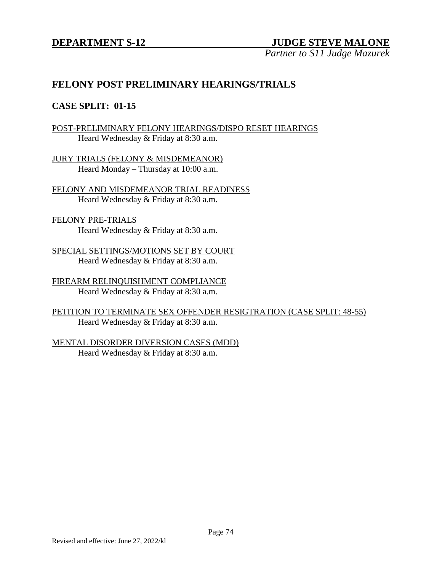# **DEPARTMENT S-12 JUDGE STEVE MALONE**

*Partner to S11 Judge Mazurek*

# **FELONY POST PRELIMINARY HEARINGS/TRIALS**

## **CASE SPLIT: 01-15**

## POST-PRELIMINARY FELONY HEARINGS/DISPO RESET HEARINGS Heard Wednesday & Friday at 8:30 a.m.

JURY TRIALS (FELONY & MISDEMEANOR) Heard Monday – Thursday at 10:00 a.m.

FELONY AND MISDEMEANOR TRIAL READINESS Heard Wednesday & Friday at 8:30 a.m.

## FELONY PRE-TRIALS Heard Wednesday & Friday at 8:30 a.m.

SPECIAL SETTINGS/MOTIONS SET BY COURT Heard Wednesday & Friday at 8:30 a.m.

FIREARM RELINQUISHMENT COMPLIANCE Heard Wednesday & Friday at 8:30 a.m.

PETITION TO TERMINATE SEX OFFENDER RESIGTRATION (CASE SPLIT: 48-55) Heard Wednesday & Friday at 8:30 a.m.

# MENTAL DISORDER DIVERSION CASES (MDD)

Heard Wednesday & Friday at 8:30 a.m.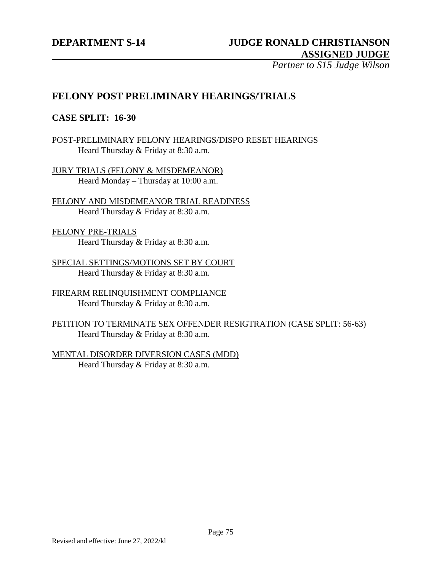*Partner to S15 Judge Wilson*

# **FELONY POST PRELIMINARY HEARINGS/TRIALS**

## **CASE SPLIT: 16-30**

## POST-PRELIMINARY FELONY HEARINGS/DISPO RESET HEARINGS Heard Thursday & Friday at 8:30 a.m.

JURY TRIALS (FELONY & MISDEMEANOR) Heard Monday – Thursday at 10:00 a.m.

FELONY AND MISDEMEANOR TRIAL READINESS Heard Thursday & Friday at 8:30 a.m.

FELONY PRE-TRIALS Heard Thursday & Friday at 8:30 a.m.

SPECIAL SETTINGS/MOTIONS SET BY COURT Heard Thursday & Friday at 8:30 a.m.

FIREARM RELINQUISHMENT COMPLIANCE Heard Thursday & Friday at 8:30 a.m.

PETITION TO TERMINATE SEX OFFENDER RESIGTRATION (CASE SPLIT: 56-63) Heard Thursday & Friday at 8:30 a.m.

MENTAL DISORDER DIVERSION CASES (MDD) Heard Thursday & Friday at 8:30 a.m.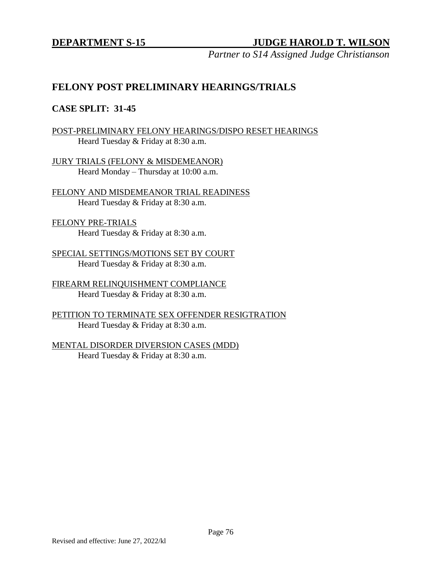*Partner to S14 Assigned Judge Christianson*

# **FELONY POST PRELIMINARY HEARINGS/TRIALS**

## **CASE SPLIT: 31-45**

POST-PRELIMINARY FELONY HEARINGS/DISPO RESET HEARINGS Heard Tuesday & Friday at 8:30 a.m.

JURY TRIALS (FELONY & MISDEMEANOR) Heard Monday – Thursday at 10:00 a.m.

FELONY AND MISDEMEANOR TRIAL READINESS Heard Tuesday & Friday at 8:30 a.m.

FELONY PRE-TRIALS Heard Tuesday & Friday at 8:30 a.m.

SPECIAL SETTINGS/MOTIONS SET BY COURT Heard Tuesday & Friday at 8:30 a.m.

FIREARM RELINQUISHMENT COMPLIANCE Heard Tuesday & Friday at 8:30 a.m.

PETITION TO TERMINATE SEX OFFENDER RESIGTRATION Heard Tuesday & Friday at 8:30 a.m.

MENTAL DISORDER DIVERSION CASES (MDD) Heard Tuesday & Friday at 8:30 a.m.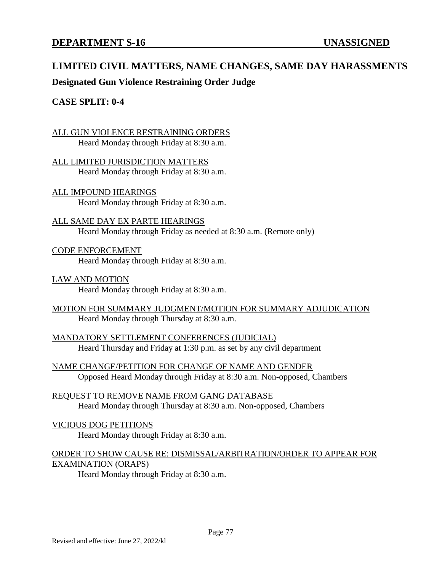# **LIMITED CIVIL MATTERS, NAME CHANGES, SAME DAY HARASSMENTS**

**Designated Gun Violence Restraining Order Judge**

## **CASE SPLIT: 0-4**

ALL GUN VIOLENCE RESTRAINING ORDERS Heard Monday through Friday at 8:30 a.m.

ALL LIMITED JURISDICTION MATTERS Heard Monday through Friday at 8:30 a.m.

ALL IMPOUND HEARINGS Heard Monday through Friday at 8:30 a.m.

ALL SAME DAY EX PARTE HEARINGS Heard Monday through Friday as needed at 8:30 a.m. (Remote only)

CODE ENFORCEMENT Heard Monday through Friday at 8:30 a.m.

LAW AND MOTION Heard Monday through Friday at 8:30 a.m.

MOTION FOR SUMMARY JUDGMENT/MOTION FOR SUMMARY ADJUDICATION Heard Monday through Thursday at 8:30 a.m.

MANDATORY SETTLEMENT CONFERENCES (JUDICIAL) Heard Thursday and Friday at 1:30 p.m. as set by any civil department

NAME CHANGE/PETITION FOR CHANGE OF NAME AND GENDER Opposed Heard Monday through Friday at 8:30 a.m. Non-opposed, Chambers

REQUEST TO REMOVE NAME FROM GANG DATABASE Heard Monday through Thursday at 8:30 a.m. Non-opposed, Chambers

#### VICIOUS DOG PETITIONS

Heard Monday through Friday at 8:30 a.m.

# ORDER TO SHOW CAUSE RE: DISMISSAL/ARBITRATION/ORDER TO APPEAR FOR EXAMINATION (ORAPS)

Heard Monday through Friday at 8:30 a.m.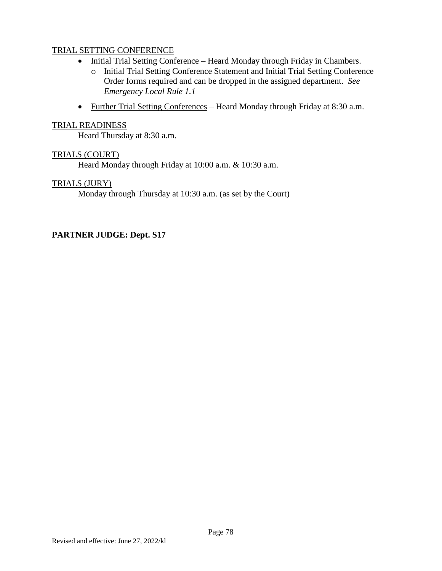## TRIAL SETTING CONFERENCE

- Initial Trial Setting Conference Heard Monday through Friday in Chambers.
	- o Initial Trial Setting Conference Statement and Initial Trial Setting Conference Order forms required and can be dropped in the assigned department. *See Emergency Local Rule 1.1*
- Further Trial Setting Conferences Heard Monday through Friday at 8:30 a.m.

## TRIAL READINESS

Heard Thursday at 8:30 a.m.

### TRIALS (COURT)

Heard Monday through Friday at 10:00 a.m. & 10:30 a.m.

### TRIALS (JURY)

Monday through Thursday at 10:30 a.m. (as set by the Court)

## **PARTNER JUDGE: Dept. S17**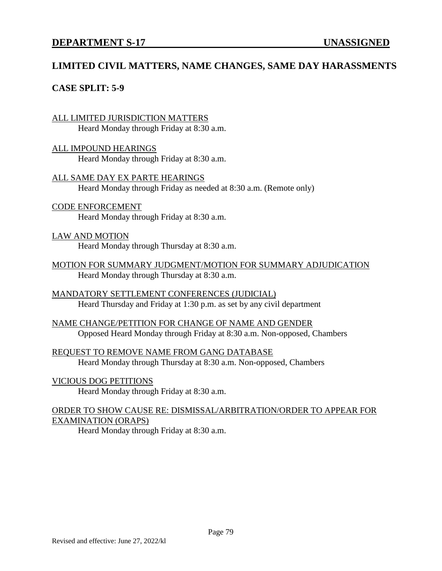# **LIMITED CIVIL MATTERS, NAME CHANGES, SAME DAY HARASSMENTS**

## **CASE SPLIT: 5-9**

#### ALL LIMITED JURISDICTION MATTERS Heard Monday through Friday at 8:30 a.m.

ALL IMPOUND HEARINGS Heard Monday through Friday at 8:30 a.m.

ALL SAME DAY EX PARTE HEARINGS Heard Monday through Friday as needed at 8:30 a.m. (Remote only)

CODE ENFORCEMENT Heard Monday through Friday at 8:30 a.m.

#### LAW AND MOTION

Heard Monday through Thursday at 8:30 a.m.

MOTION FOR SUMMARY JUDGMENT/MOTION FOR SUMMARY ADJUDICATION Heard Monday through Thursday at 8:30 a.m.

MANDATORY SETTLEMENT CONFERENCES (JUDICIAL) Heard Thursday and Friday at 1:30 p.m. as set by any civil department

NAME CHANGE/PETITION FOR CHANGE OF NAME AND GENDER Opposed Heard Monday through Friday at 8:30 a.m. Non-opposed, Chambers

REQUEST TO REMOVE NAME FROM GANG DATABASE Heard Monday through Thursday at 8:30 a.m. Non-opposed, Chambers

#### VICIOUS DOG PETITIONS

Heard Monday through Friday at 8:30 a.m.

### ORDER TO SHOW CAUSE RE: DISMISSAL/ARBITRATION/ORDER TO APPEAR FOR EXAMINATION (ORAPS)

Heard Monday through Friday at 8:30 a.m.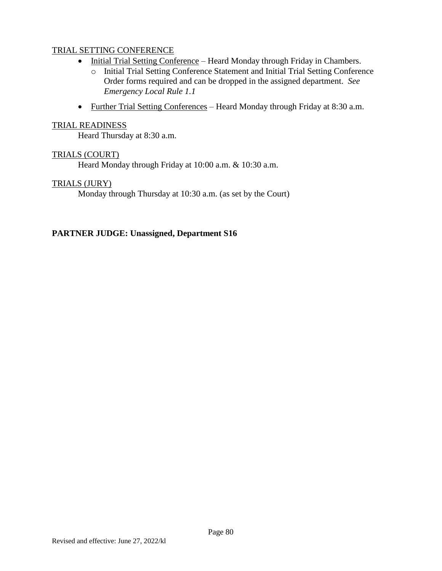## TRIAL SETTING CONFERENCE

- Initial Trial Setting Conference Heard Monday through Friday in Chambers.
	- o Initial Trial Setting Conference Statement and Initial Trial Setting Conference Order forms required and can be dropped in the assigned department. *See Emergency Local Rule 1.1*
- Further Trial Setting Conferences Heard Monday through Friday at 8:30 a.m.

#### TRIAL READINESS

Heard Thursday at 8:30 a.m.

#### TRIALS (COURT)

Heard Monday through Friday at 10:00 a.m. & 10:30 a.m.

#### TRIALS (JURY)

Monday through Thursday at 10:30 a.m. (as set by the Court)

#### **PARTNER JUDGE: Unassigned, Department S16**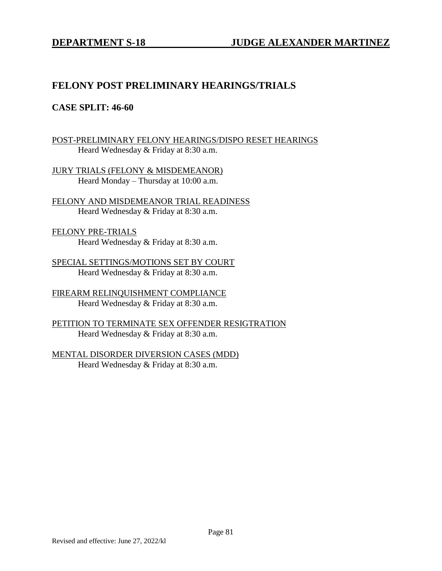# **FELONY POST PRELIMINARY HEARINGS/TRIALS**

## **CASE SPLIT: 46-60**

POST-PRELIMINARY FELONY HEARINGS/DISPO RESET HEARINGS Heard Wednesday & Friday at 8:30 a.m.

JURY TRIALS (FELONY & MISDEMEANOR) Heard Monday – Thursday at 10:00 a.m.

FELONY AND MISDEMEANOR TRIAL READINESS Heard Wednesday & Friday at 8:30 a.m.

FELONY PRE-TRIALS Heard Wednesday & Friday at 8:30 a.m.

SPECIAL SETTINGS/MOTIONS SET BY COURT Heard Wednesday & Friday at 8:30 a.m.

FIREARM RELINQUISHMENT COMPLIANCE Heard Wednesday & Friday at 8:30 a.m.

PETITION TO TERMINATE SEX OFFENDER RESIGTRATION Heard Wednesday & Friday at 8:30 a.m.

MENTAL DISORDER DIVERSION CASES (MDD) Heard Wednesday & Friday at 8:30 a.m.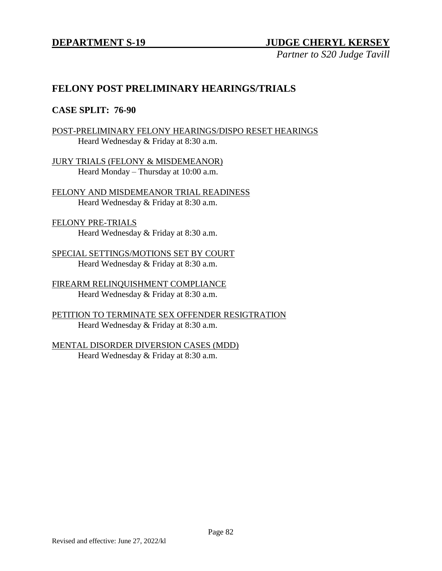## **DEPARTMENT S-19 JUDGE CHERYL KERSEY**

*Partner to S20 Judge Tavill*

# **FELONY POST PRELIMINARY HEARINGS/TRIALS**

## **CASE SPLIT: 76-90**

POST-PRELIMINARY FELONY HEARINGS/DISPO RESET HEARINGS Heard Wednesday & Friday at 8:30 a.m.

JURY TRIALS (FELONY & MISDEMEANOR) Heard Monday – Thursday at 10:00 a.m.

FELONY AND MISDEMEANOR TRIAL READINESS Heard Wednesday & Friday at 8:30 a.m.

FELONY PRE-TRIALS Heard Wednesday & Friday at 8:30 a.m.

SPECIAL SETTINGS/MOTIONS SET BY COURT Heard Wednesday & Friday at 8:30 a.m.

FIREARM RELINQUISHMENT COMPLIANCE Heard Wednesday & Friday at 8:30 a.m.

PETITION TO TERMINATE SEX OFFENDER RESIGTRATION Heard Wednesday & Friday at 8:30 a.m.

MENTAL DISORDER DIVERSION CASES (MDD) Heard Wednesday & Friday at 8:30 a.m.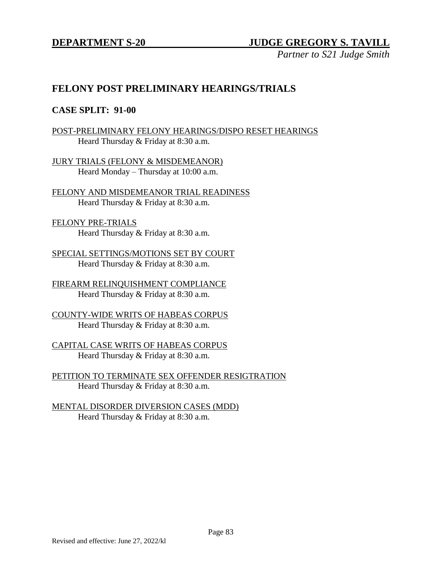*Partner to S21 Judge Smith*

# **FELONY POST PRELIMINARY HEARINGS/TRIALS**

## **CASE SPLIT: 91-00**

POST-PRELIMINARY FELONY HEARINGS/DISPO RESET HEARINGS Heard Thursday & Friday at 8:30 a.m.

JURY TRIALS (FELONY & MISDEMEANOR) Heard Monday – Thursday at 10:00 a.m.

FELONY AND MISDEMEANOR TRIAL READINESS Heard Thursday & Friday at 8:30 a.m.

FELONY PRE-TRIALS Heard Thursday & Friday at 8:30 a.m.

SPECIAL SETTINGS/MOTIONS SET BY COURT Heard Thursday & Friday at 8:30 a.m.

FIREARM RELINQUISHMENT COMPLIANCE Heard Thursday & Friday at 8:30 a.m.

COUNTY-WIDE WRITS OF HABEAS CORPUS Heard Thursday & Friday at 8:30 a.m.

CAPITAL CASE WRITS OF HABEAS CORPUS Heard Thursday & Friday at 8:30 a.m.

PETITION TO TERMINATE SEX OFFENDER RESIGTRATION Heard Thursday & Friday at 8:30 a.m.

MENTAL DISORDER DIVERSION CASES (MDD) Heard Thursday & Friday at 8:30 a.m.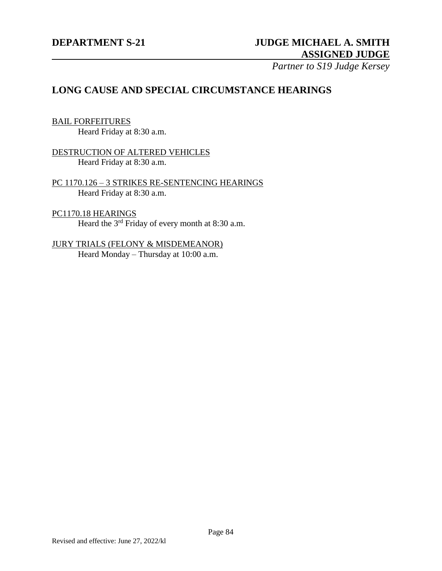# **DEPARTMENT S-21 JUDGE MICHAEL A. SMITH ASSIGNED JUDGE**

*Partner to S19 Judge Kersey*

# **LONG CAUSE AND SPECIAL CIRCUMSTANCE HEARINGS**

#### BAIL FORFEITURES

Heard Friday at 8:30 a.m.

## DESTRUCTION OF ALTERED VEHICLES Heard Friday at 8:30 a.m.

PC 1170.126 – 3 STRIKES RE-SENTENCING HEARINGS Heard Friday at 8:30 a.m.

#### PC1170.18 HEARINGS

Heard the 3<sup>rd</sup> Friday of every month at 8:30 a.m.

# JURY TRIALS (FELONY & MISDEMEANOR) Heard Monday – Thursday at 10:00 a.m.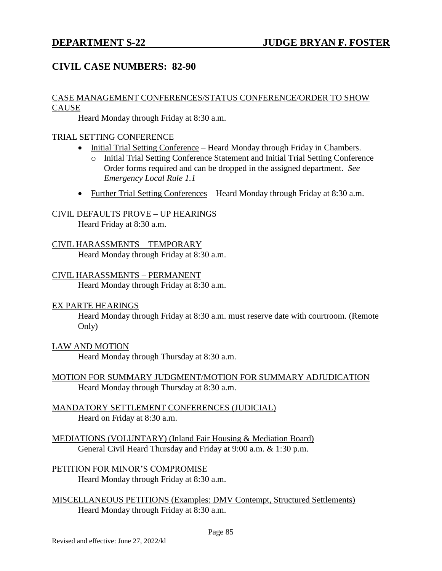# **CIVIL CASE NUMBERS: 82-90**

#### CASE MANAGEMENT CONFERENCES/STATUS CONFERENCE/ORDER TO SHOW **CAUSE**

Heard Monday through Friday at 8:30 a.m.

## TRIAL SETTING CONFERENCE

- Initial Trial Setting Conference Heard Monday through Friday in Chambers.
	- o Initial Trial Setting Conference Statement and Initial Trial Setting Conference Order forms required and can be dropped in the assigned department. *See Emergency Local Rule 1.1*
- Further Trial Setting Conferences Heard Monday through Friday at 8:30 a.m.

### CIVIL DEFAULTS PROVE – UP HEARINGS

Heard Friday at 8:30 a.m.

### CIVIL HARASSMENTS – TEMPORARY

Heard Monday through Friday at 8:30 a.m.

#### CIVIL HARASSMENTS – PERMANENT

Heard Monday through Friday at 8:30 a.m.

#### EX PARTE HEARINGS

Heard Monday through Friday at 8:30 a.m. must reserve date with courtroom. (Remote Only)

#### LAW AND MOTION

Heard Monday through Thursday at 8:30 a.m.

- MOTION FOR SUMMARY JUDGMENT/MOTION FOR SUMMARY ADJUDICATION Heard Monday through Thursday at 8:30 a.m.
- MANDATORY SETTLEMENT CONFERENCES (JUDICIAL) Heard on Friday at 8:30 a.m.
- MEDIATIONS (VOLUNTARY) (Inland Fair Housing & Mediation Board) General Civil Heard Thursday and Friday at 9:00 a.m. & 1:30 p.m.

PETITION FOR MINOR'S COMPROMISE Heard Monday through Friday at 8:30 a.m.

MISCELLANEOUS PETITIONS (Examples: DMV Contempt, Structured Settlements) Heard Monday through Friday at 8:30 a.m.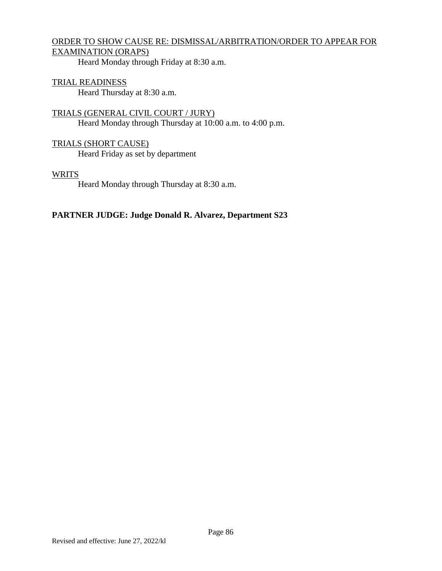## ORDER TO SHOW CAUSE RE: DISMISSAL/ARBITRATION/ORDER TO APPEAR FOR EXAMINATION (ORAPS)

Heard Monday through Friday at 8:30 a.m.

### TRIAL READINESS

Heard Thursday at 8:30 a.m.

TRIALS (GENERAL CIVIL COURT / JURY) Heard Monday through Thursday at 10:00 a.m. to 4:00 p.m.

TRIALS (SHORT CAUSE) Heard Friday as set by department

### **WRITS**

Heard Monday through Thursday at 8:30 a.m.

## **PARTNER JUDGE: Judge Donald R. Alvarez, Department S23**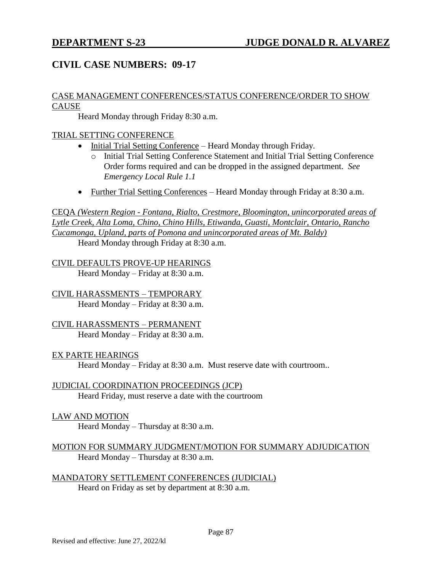# **CIVIL CASE NUMBERS: 09-17**

## CASE MANAGEMENT CONFERENCES/STATUS CONFERENCE/ORDER TO SHOW CAUSE

Heard Monday through Friday 8:30 a.m.

### TRIAL SETTING CONFERENCE

- Initial Trial Setting Conference Heard Monday through Friday.
	- o Initial Trial Setting Conference Statement and Initial Trial Setting Conference Order forms required and can be dropped in the assigned department. *See Emergency Local Rule 1.1*
- Further Trial Setting Conferences Heard Monday through Friday at 8:30 a.m.

CEQA *(Western Region - Fontana, Rialto, Crestmore, Bloomington, unincorporated areas of Lytle Creek, Alta Loma, Chino, Chino Hills, Etiwanda, Guasti, Montclair, Ontario, Rancho Cucamonga, Upland, parts of Pomona and unincorporated areas of Mt. Baldy)* Heard Monday through Friday at 8:30 a.m.

CIVIL DEFAULTS PROVE-UP HEARINGS Heard Monday – Friday at  $8:30$  a.m.

CIVIL HARASSMENTS – TEMPORARY Heard Monday – Friday at 8:30 a.m.

CIVIL HARASSMENTS – PERMANENT Heard Monday – Friday at 8:30 a.m.

EX PARTE HEARINGS

Heard Monday – Friday at 8:30 a.m. Must reserve date with courtroom..

JUDICIAL COORDINATION PROCEEDINGS (JCP) Heard Friday, must reserve a date with the courtroom

LAW AND MOTION

Heard Monday – Thursday at 8:30 a.m.

MOTION FOR SUMMARY JUDGMENT/MOTION FOR SUMMARY ADJUDICATION Heard Monday – Thursday at 8:30 a.m.

MANDATORY SETTLEMENT CONFERENCES (JUDICIAL) Heard on Friday as set by department at 8:30 a.m.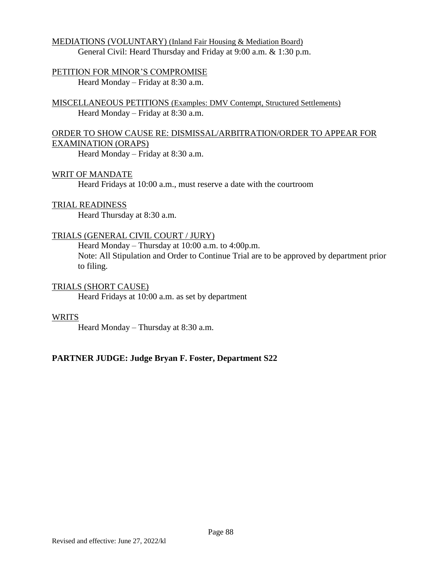## MEDIATIONS (VOLUNTARY) (Inland Fair Housing & Mediation Board) General Civil: Heard Thursday and Friday at 9:00 a.m. & 1:30 p.m.

## PETITION FOR MINOR'S COMPROMISE

Heard Monday – Friday at 8:30 a.m.

MISCELLANEOUS PETITIONS (Examples: DMV Contempt, Structured Settlements) Heard Monday – Friday at 8:30 a.m.

## ORDER TO SHOW CAUSE RE: DISMISSAL/ARBITRATION/ORDER TO APPEAR FOR EXAMINATION (ORAPS)

Heard Monday – Friday at 8:30 a.m.

### WRIT OF MANDATE

Heard Fridays at 10:00 a.m., must reserve a date with the courtroom

### TRIAL READINESS

Heard Thursday at 8:30 a.m.

## TRIALS (GENERAL CIVIL COURT / JURY)

Heard Monday – Thursday at 10:00 a.m. to 4:00p.m. Note: All Stipulation and Order to Continue Trial are to be approved by department prior to filing.

## TRIALS (SHORT CAUSE)

Heard Fridays at 10:00 a.m. as set by department

#### **WRITS**

Heard Monday – Thursday at 8:30 a.m.

## **PARTNER JUDGE: Judge Bryan F. Foster, Department S22**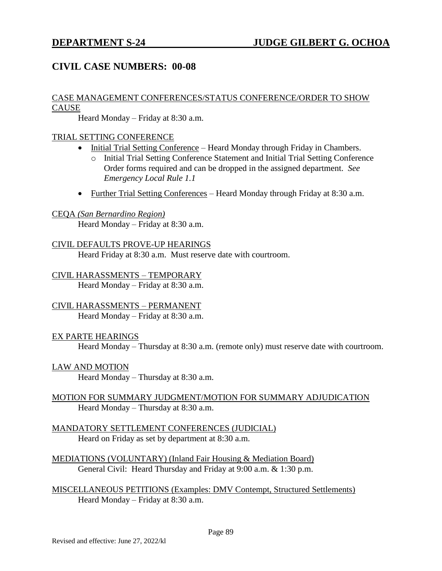# **CIVIL CASE NUMBERS: 00-08**

#### CASE MANAGEMENT CONFERENCES/STATUS CONFERENCE/ORDER TO SHOW **CAUSE**

Heard Monday – Friday at 8:30 a.m.

## TRIAL SETTING CONFERENCE

- Initial Trial Setting Conference Heard Monday through Friday in Chambers.
	- o Initial Trial Setting Conference Statement and Initial Trial Setting Conference Order forms required and can be dropped in the assigned department. *See Emergency Local Rule 1.1*
- Further Trial Setting Conferences Heard Monday through Friday at 8:30 a.m.

#### CEQA *(San Bernardino Region)*

Heard Monday – Friday at 8:30 a.m.

#### CIVIL DEFAULTS PROVE-UP HEARINGS

Heard Friday at 8:30 a.m. Must reserve date with courtroom.

## CIVIL HARASSMENTS – TEMPORARY

Heard Monday – Friday at 8:30 a.m.

## CIVIL HARASSMENTS – PERMANENT

Heard Monday – Friday at 8:30 a.m.

#### EX PARTE HEARINGS

Heard Monday – Thursday at 8:30 a.m. (remote only) must reserve date with courtroom.

#### LAW AND MOTION

Heard Monday – Thursday at 8:30 a.m.

### MOTION FOR SUMMARY JUDGMENT/MOTION FOR SUMMARY ADJUDICATION Heard Monday – Thursday at 8:30 a.m.

## MANDATORY SETTLEMENT CONFERENCES (JUDICIAL) Heard on Friday as set by department at 8:30 a.m.

MEDIATIONS (VOLUNTARY) (Inland Fair Housing & Mediation Board) General Civil: Heard Thursday and Friday at 9:00 a.m. & 1:30 p.m.

MISCELLANEOUS PETITIONS (Examples: DMV Contempt, Structured Settlements) Heard Monday – Friday at 8:30 a.m.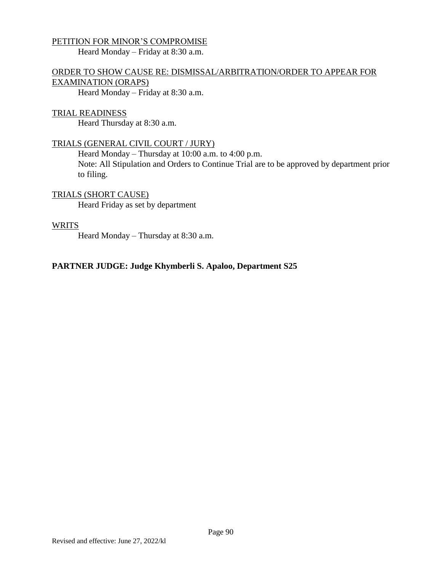## PETITION FOR MINOR'S COMPROMISE

Heard Monday – Friday at 8:30 a.m.

## ORDER TO SHOW CAUSE RE: DISMISSAL/ARBITRATION/ORDER TO APPEAR FOR EXAMINATION (ORAPS)

Heard Monday – Friday at 8:30 a.m.

#### TRIAL READINESS

Heard Thursday at 8:30 a.m.

### TRIALS (GENERAL CIVIL COURT / JURY)

Heard Monday – Thursday at 10:00 a.m. to 4:00 p.m.

Note: All Stipulation and Orders to Continue Trial are to be approved by department prior to filing.

## TRIALS (SHORT CAUSE)

Heard Friday as set by department

#### WRITS

Heard Monday – Thursday at 8:30 a.m.

#### **PARTNER JUDGE: Judge Khymberli S. Apaloo, Department S25**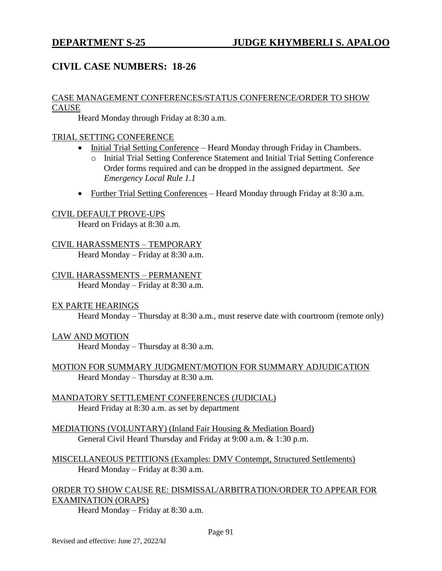# **CIVIL CASE NUMBERS: 18-26**

#### CASE MANAGEMENT CONFERENCES/STATUS CONFERENCE/ORDER TO SHOW **CAUSE**

Heard Monday through Friday at 8:30 a.m.

## TRIAL SETTING CONFERENCE

- Initial Trial Setting Conference Heard Monday through Friday in Chambers.
	- o Initial Trial Setting Conference Statement and Initial Trial Setting Conference Order forms required and can be dropped in the assigned department. *See Emergency Local Rule 1.1*
- Further Trial Setting Conferences Heard Monday through Friday at 8:30 a.m.

#### CIVIL DEFAULT PROVE-UPS

Heard on Fridays at 8:30 a.m.

# CIVIL HARASSMENTS – TEMPORARY

Heard Monday – Friday at 8:30 a.m.

#### CIVIL HARASSMENTS – PERMANENT Heard Monday – Friday at 8:30 a.m.

#### EX PARTE HEARINGS

Heard Monday – Thursday at 8:30 a.m., must reserve date with courtroom (remote only)

## LAW AND MOTION

Heard Monday – Thursday at 8:30 a.m.

### MOTION FOR SUMMARY JUDGMENT/MOTION FOR SUMMARY ADJUDICATION Heard Monday – Thursday at 8:30 a.m.

MANDATORY SETTLEMENT CONFERENCES (JUDICIAL) Heard Friday at 8:30 a.m. as set by department

MEDIATIONS (VOLUNTARY) (Inland Fair Housing & Mediation Board) General Civil Heard Thursday and Friday at 9:00 a.m. & 1:30 p.m.

MISCELLANEOUS PETITIONS (Examples: DMV Contempt, Structured Settlements) Heard Monday – Friday at 8:30 a.m.

## ORDER TO SHOW CAUSE RE: DISMISSAL/ARBITRATION/ORDER TO APPEAR FOR EXAMINATION (ORAPS)

Heard Monday – Friday at 8:30 a.m.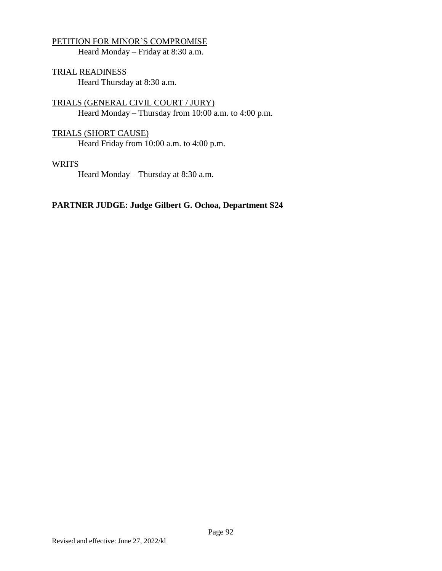## PETITION FOR MINOR'S COMPROMISE

Heard Monday – Friday at 8:30 a.m.

TRIAL READINESS Heard Thursday at 8:30 a.m.

TRIALS (GENERAL CIVIL COURT / JURY) Heard Monday – Thursday from 10:00 a.m. to 4:00 p.m.

## TRIALS (SHORT CAUSE)

Heard Friday from 10:00 a.m. to 4:00 p.m.

#### **WRITS**

Heard Monday – Thursday at 8:30 a.m.

### **PARTNER JUDGE: Judge Gilbert G. Ochoa, Department S24**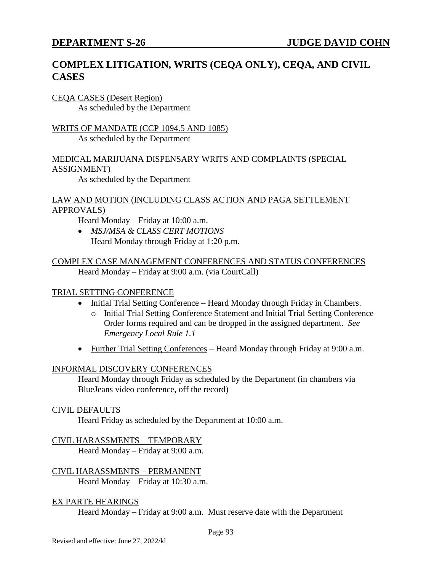# **COMPLEX LITIGATION, WRITS (CEQA ONLY), CEQA, AND CIVIL CASES**

#### CEQA CASES (Desert Region) As scheduled by the Department

## WRITS OF MANDATE (CCP 1094.5 AND 1085) As scheduled by the Department

## MEDICAL MARIJUANA DISPENSARY WRITS AND COMPLAINTS (SPECIAL ASSIGNMENT)

As scheduled by the Department

## LAW AND MOTION (INCLUDING CLASS ACTION AND PAGA SETTLEMENT APPROVALS)

Heard Monday – Friday at 10:00 a.m.

 *MSJ/MSA & CLASS CERT MOTIONS* Heard Monday through Friday at 1:20 p.m.

## COMPLEX CASE MANAGEMENT CONFERENCES AND STATUS CONFERENCES Heard Monday – Friday at 9:00 a.m. (via CourtCall)

## TRIAL SETTING CONFERENCE

- Initial Trial Setting Conference Heard Monday through Friday in Chambers.
	- o Initial Trial Setting Conference Statement and Initial Trial Setting Conference Order forms required and can be dropped in the assigned department. *See Emergency Local Rule 1.1*
- Further Trial Setting Conferences Heard Monday through Friday at 9:00 a.m.

## INFORMAL DISCOVERY CONFERENCES

Heard Monday through Friday as scheduled by the Department (in chambers via BlueJeans video conference, off the record)

## CIVIL DEFAULTS

Heard Friday as scheduled by the Department at 10:00 a.m.

## CIVIL HARASSMENTS – TEMPORARY

Heard Monday – Friday at 9:00 a.m.

#### CIVIL HARASSMENTS – PERMANENT Heard Monday – Friday at 10:30 a.m.

## EX PARTE HEARINGS

Heard Monday – Friday at 9:00 a.m. Must reserve date with the Department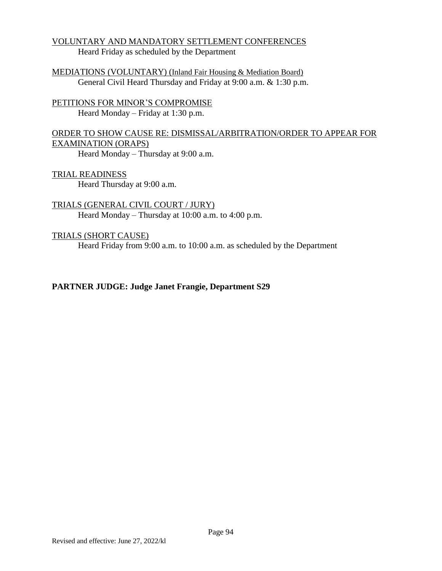#### VOLUNTARY AND MANDATORY SETTLEMENT CONFERENCES Heard Friday as scheduled by the Department

MEDIATIONS (VOLUNTARY) (Inland Fair Housing & Mediation Board) General Civil Heard Thursday and Friday at 9:00 a.m. & 1:30 p.m.

PETITIONS FOR MINOR'S COMPROMISE Heard Monday – Friday at 1:30 p.m.

ORDER TO SHOW CAUSE RE: DISMISSAL/ARBITRATION/ORDER TO APPEAR FOR EXAMINATION (ORAPS)

Heard Monday – Thursday at 9:00 a.m.

TRIAL READINESS Heard Thursday at 9:00 a.m.

TRIALS (GENERAL CIVIL COURT / JURY) Heard Monday – Thursday at 10:00 a.m. to 4:00 p.m.

TRIALS (SHORT CAUSE)

Heard Friday from 9:00 a.m. to 10:00 a.m. as scheduled by the Department

## **PARTNER JUDGE: Judge Janet Frangie, Department S29**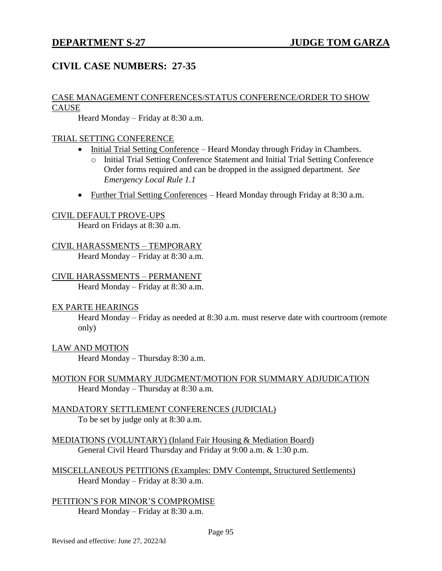# **CIVIL CASE NUMBERS: 27-35**

#### CASE MANAGEMENT CONFERENCES/STATUS CONFERENCE/ORDER TO SHOW CAUSE

Heard Monday – Friday at 8:30 a.m.

## TRIAL SETTING CONFERENCE

- Initial Trial Setting Conference Heard Monday through Friday in Chambers.
	- o Initial Trial Setting Conference Statement and Initial Trial Setting Conference Order forms required and can be dropped in the assigned department. *See Emergency Local Rule 1.1*
- Further Trial Setting Conferences Heard Monday through Friday at 8:30 a.m.

#### CIVIL DEFAULT PROVE-UPS

Heard on Fridays at 8:30 a.m.

### CIVIL HARASSMENTS – TEMPORARY

Heard Monday – Friday at 8:30 a.m.

### CIVIL HARASSMENTS – PERMANENT

Heard Monday – Friday at 8:30 a.m.

#### EX PARTE HEARINGS

Heard Monday – Friday as needed at 8:30 a.m. must reserve date with courtroom (remote only)

#### LAW AND MOTION

Heard Monday – Thursday 8:30 a.m.

### MOTION FOR SUMMARY JUDGMENT/MOTION FOR SUMMARY ADJUDICATION Heard Monday – Thursday at 8:30 a.m.

#### MANDATORY SETTLEMENT CONFERENCES (JUDICIAL) To be set by judge only at 8:30 a.m.

- MEDIATIONS (VOLUNTARY) (Inland Fair Housing & Mediation Board) General Civil Heard Thursday and Friday at 9:00 a.m. & 1:30 p.m.
- MISCELLANEOUS PETITIONS (Examples: DMV Contempt, Structured Settlements) Heard Monday – Friday at 8:30 a.m.
- PETITION'S FOR MINOR'S COMPROMISE Heard Monday – Friday at 8:30 a.m.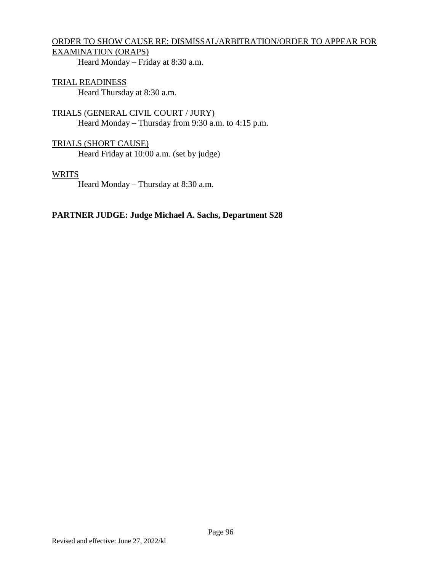# ORDER TO SHOW CAUSE RE: DISMISSAL/ARBITRATION/ORDER TO APPEAR FOR EXAMINATION (ORAPS)

Heard Monday – Friday at 8:30 a.m.

# TRIAL READINESS

Heard Thursday at 8:30 a.m.

TRIALS (GENERAL CIVIL COURT / JURY) Heard Monday – Thursday from 9:30 a.m. to 4:15 p.m.

### TRIALS (SHORT CAUSE) Heard Friday at 10:00 a.m. (set by judge)

#### WRITS

Heard Monday – Thursday at 8:30 a.m.

### **PARTNER JUDGE: Judge Michael A. Sachs, Department S28**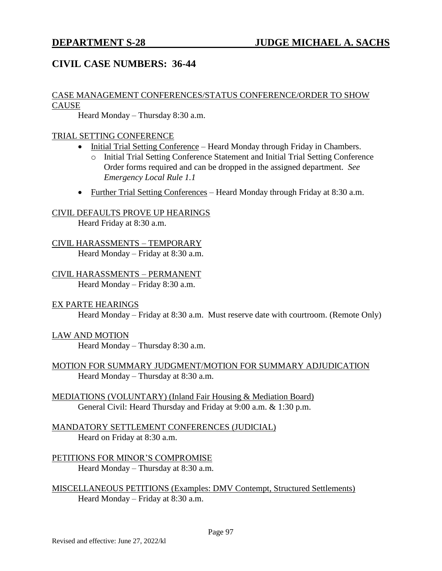# **CIVIL CASE NUMBERS: 36-44**

### CASE MANAGEMENT CONFERENCES/STATUS CONFERENCE/ORDER TO SHOW **CAUSE**

Heard Monday – Thursday 8:30 a.m.

### TRIAL SETTING CONFERENCE

- Initial Trial Setting Conference Heard Monday through Friday in Chambers.
	- o Initial Trial Setting Conference Statement and Initial Trial Setting Conference Order forms required and can be dropped in the assigned department. *See Emergency Local Rule 1.1*
- Further Trial Setting Conferences Heard Monday through Friday at 8:30 a.m.

### CIVIL DEFAULTS PROVE UP HEARINGS

Heard Friday at 8:30 a.m.

## CIVIL HARASSMENTS – TEMPORARY

Heard Monday – Friday at 8:30 a.m.

# CIVIL HARASSMENTS – PERMANENT

Heard Monday – Friday 8:30 a.m.

#### EX PARTE HEARINGS

Heard Monday – Friday at 8:30 a.m. Must reserve date with courtroom. (Remote Only)

## LAW AND MOTION

Heard Monday – Thursday 8:30 a.m.

### MOTION FOR SUMMARY JUDGMENT/MOTION FOR SUMMARY ADJUDICATION Heard Monday – Thursday at 8:30 a.m.

MEDIATIONS (VOLUNTARY) (Inland Fair Housing & Mediation Board) General Civil: Heard Thursday and Friday at 9:00 a.m. & 1:30 p.m.

#### MANDATORY SETTLEMENT CONFERENCES (JUDICIAL) Heard on Friday at 8:30 a.m.

PETITIONS FOR MINOR'S COMPROMISE Heard Monday – Thursday at 8:30 a.m.

MISCELLANEOUS PETITIONS (Examples: DMV Contempt, Structured Settlements) Heard Monday – Friday at 8:30 a.m.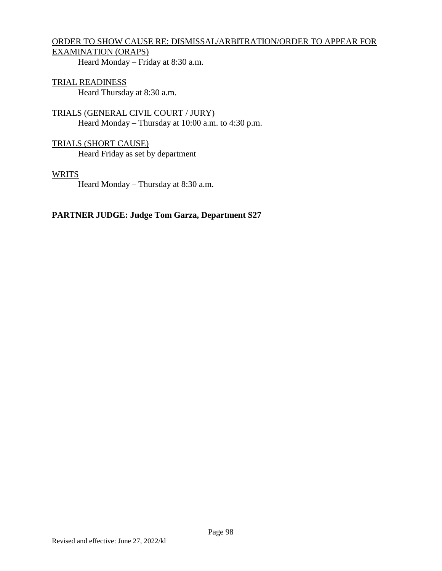# ORDER TO SHOW CAUSE RE: DISMISSAL/ARBITRATION/ORDER TO APPEAR FOR EXAMINATION (ORAPS)

Heard Monday – Friday at 8:30 a.m.

#### TRIAL READINESS Heard Thursday at 8:30 a.m.

TRIALS (GENERAL CIVIL COURT / JURY) Heard Monday – Thursday at 10:00 a.m. to 4:30 p.m.

TRIALS (SHORT CAUSE) Heard Friday as set by department

#### WRITS

Heard Monday – Thursday at 8:30 a.m.

# **PARTNER JUDGE: Judge Tom Garza, Department S27**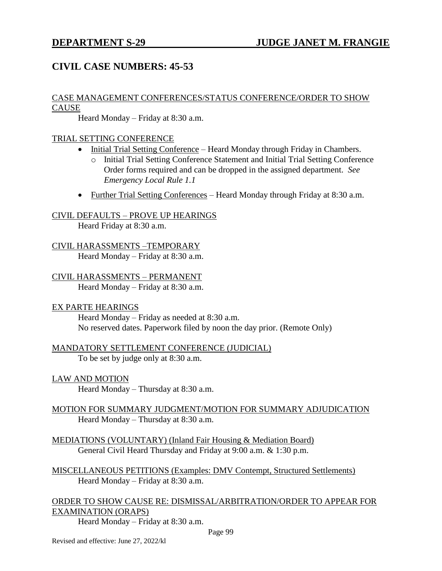# **CIVIL CASE NUMBERS: 45-53**

## CASE MANAGEMENT CONFERENCES/STATUS CONFERENCE/ORDER TO SHOW **CAUSE**

Heard Monday – Friday at 8:30 a.m.

## TRIAL SETTING CONFERENCE

- Initial Trial Setting Conference Heard Monday through Friday in Chambers.
	- o Initial Trial Setting Conference Statement and Initial Trial Setting Conference Order forms required and can be dropped in the assigned department. *See Emergency Local Rule 1.1*
- Further Trial Setting Conferences Heard Monday through Friday at 8:30 a.m.

## CIVIL DEFAULTS – PROVE UP HEARINGS

Heard Friday at 8:30 a.m.

# CIVIL HARASSMENTS –TEMPORARY

Heard Monday – Friday at 8:30 a.m.

# CIVIL HARASSMENTS – PERMANENT

Heard Monday – Friday at 8:30 a.m.

## EX PARTE HEARINGS

Heard Monday – Friday as needed at 8:30 a.m. No reserved dates. Paperwork filed by noon the day prior. (Remote Only)

## MANDATORY SETTLEMENT CONFERENCE (JUDICIAL)

To be set by judge only at 8:30 a.m.

## LAW AND MOTION

Heard Monday – Thursday at 8:30 a.m.

## MOTION FOR SUMMARY JUDGMENT/MOTION FOR SUMMARY ADJUDICATION Heard Monday – Thursday at 8:30 a.m.

MEDIATIONS (VOLUNTARY) (Inland Fair Housing & Mediation Board) General Civil Heard Thursday and Friday at 9:00 a.m. & 1:30 p.m.

MISCELLANEOUS PETITIONS (Examples: DMV Contempt, Structured Settlements) Heard Monday – Friday at 8:30 a.m.

ORDER TO SHOW CAUSE RE: DISMISSAL/ARBITRATION/ORDER TO APPEAR FOR EXAMINATION (ORAPS)

Heard Monday – Friday at 8:30 a.m.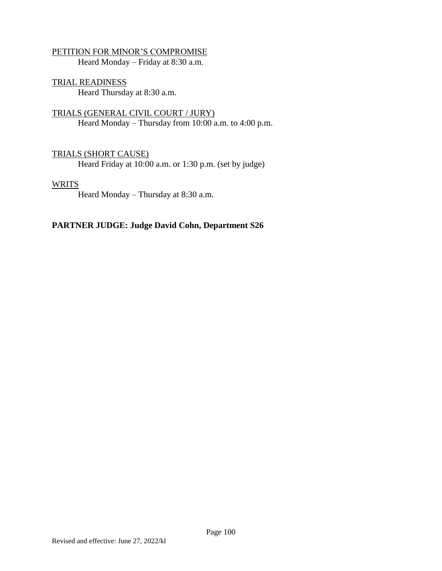## PETITION FOR MINOR'S COMPROMISE

Heard Monday – Friday at 8:30 a.m.

TRIAL READINESS Heard Thursday at 8:30 a.m.

TRIALS (GENERAL CIVIL COURT / JURY) Heard Monday – Thursday from 10:00 a.m. to 4:00 p.m.

## TRIALS (SHORT CAUSE)

Heard Friday at 10:00 a.m. or 1:30 p.m. (set by judge)

#### WRITS

Heard Monday – Thursday at 8:30 a.m.

## **PARTNER JUDGE: Judge David Cohn, Department S26**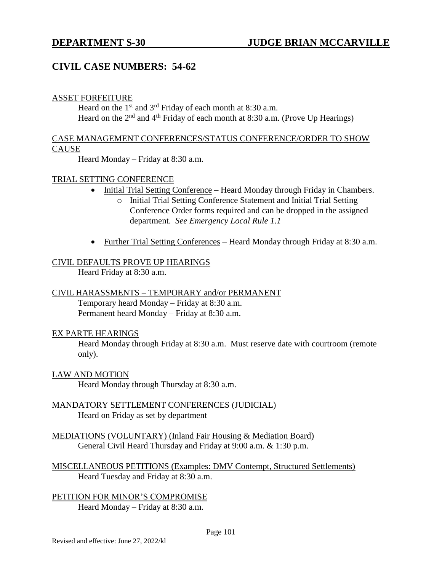# **CIVIL CASE NUMBERS: 54-62**

#### ASSET FORFEITURE

Heard on the  $1<sup>st</sup>$  and  $3<sup>rd</sup>$  Friday of each month at 8:30 a.m. Heard on the  $2<sup>nd</sup>$  and  $4<sup>th</sup>$  Friday of each month at 8:30 a.m. (Prove Up Hearings)

#### CASE MANAGEMENT CONFERENCES/STATUS CONFERENCE/ORDER TO SHOW **CAUSE**

Heard Monday – Friday at 8:30 a.m.

#### TRIAL SETTING CONFERENCE

- Initial Trial Setting Conference Heard Monday through Friday in Chambers.
	- o Initial Trial Setting Conference Statement and Initial Trial Setting Conference Order forms required and can be dropped in the assigned department. *See Emergency Local Rule 1.1*
- Further Trial Setting Conferences Heard Monday through Friday at 8:30 a.m.

#### CIVIL DEFAULTS PROVE UP HEARINGS

Heard Friday at 8:30 a.m.

#### CIVIL HARASSMENTS – TEMPORARY and/or PERMANENT

Temporary heard Monday – Friday at 8:30 a.m. Permanent heard Monday – Friday at 8:30 a.m.

#### EX PARTE HEARINGS

Heard Monday through Friday at 8:30 a.m. Must reserve date with courtroom (remote only).

LAW AND MOTION

Heard Monday through Thursday at 8:30 a.m.

- MANDATORY SETTLEMENT CONFERENCES (JUDICIAL) Heard on Friday as set by department
- MEDIATIONS (VOLUNTARY) (Inland Fair Housing & Mediation Board) General Civil Heard Thursday and Friday at 9:00 a.m. & 1:30 p.m.
- MISCELLANEOUS PETITIONS (Examples: DMV Contempt, Structured Settlements) Heard Tuesday and Friday at 8:30 a.m.

PETITION FOR MINOR'S COMPROMISE Heard Monday – Friday at 8:30 a.m.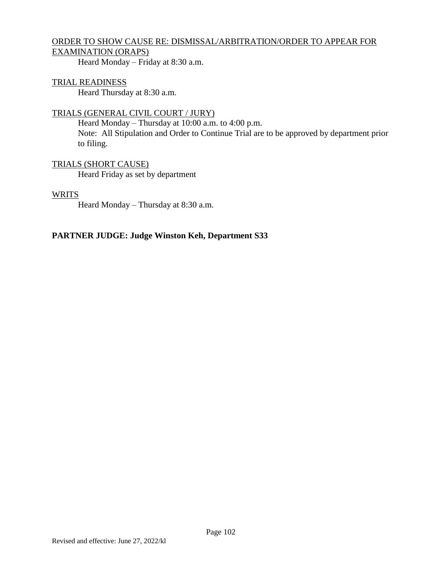## ORDER TO SHOW CAUSE RE: DISMISSAL/ARBITRATION/ORDER TO APPEAR FOR EXAMINATION (ORAPS)

Heard Monday – Friday at 8:30 a.m.

## TRIAL READINESS

Heard Thursday at 8:30 a.m.

## TRIALS (GENERAL CIVIL COURT / JURY)

Heard Monday – Thursday at 10:00 a.m. to 4:00 p.m. Note: All Stipulation and Order to Continue Trial are to be approved by department prior to filing.

## TRIALS (SHORT CAUSE)

Heard Friday as set by department

#### **WRITS**

Heard Monday – Thursday at 8:30 a.m.

## **PARTNER JUDGE: Judge Winston Keh, Department S33**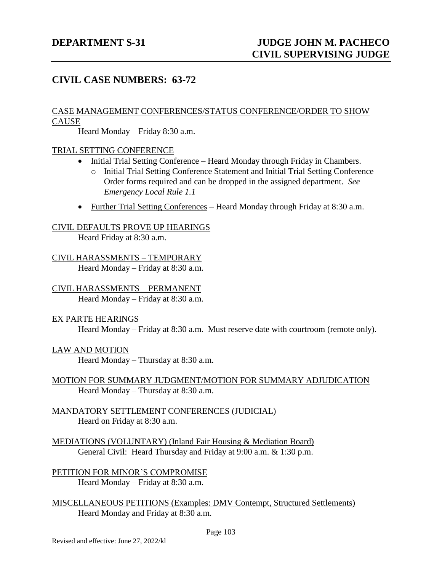# **CIVIL CASE NUMBERS: 63-72**

#### CASE MANAGEMENT CONFERENCES/STATUS CONFERENCE/ORDER TO SHOW CAUSE

Heard Monday – Friday 8:30 a.m.

#### TRIAL SETTING CONFERENCE

- Initial Trial Setting Conference Heard Monday through Friday in Chambers.
	- o Initial Trial Setting Conference Statement and Initial Trial Setting Conference Order forms required and can be dropped in the assigned department. *See Emergency Local Rule 1.1*
- Further Trial Setting Conferences Heard Monday through Friday at 8:30 a.m.

CIVIL DEFAULTS PROVE UP HEARINGS Heard Friday at 8:30 a.m.

CIVIL HARASSMENTS – TEMPORARY Heard Monday – Friday at 8:30 a.m.

CIVIL HARASSMENTS – PERMANENT Heard Monday – Friday at 8:30 a.m.

#### EX PARTE HEARINGS

Heard Monday – Friday at 8:30 a.m. Must reserve date with courtroom (remote only).

#### LAW AND MOTION

Heard Monday – Thursday at 8:30 a.m.

### MOTION FOR SUMMARY JUDGMENT/MOTION FOR SUMMARY ADJUDICATION Heard Monday – Thursday at 8:30 a.m.

#### MANDATORY SETTLEMENT CONFERENCES (JUDICIAL) Heard on Friday at 8:30 a.m.

MEDIATIONS (VOLUNTARY) (Inland Fair Housing & Mediation Board) General Civil: Heard Thursday and Friday at 9:00 a.m. & 1:30 p.m.

PETITION FOR MINOR'S COMPROMISE Heard Monday – Friday at 8:30 a.m.

MISCELLANEOUS PETITIONS (Examples: DMV Contempt, Structured Settlements) Heard Monday and Friday at 8:30 a.m.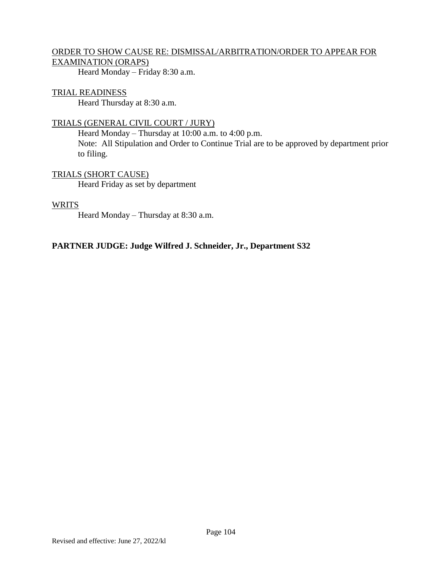## ORDER TO SHOW CAUSE RE: DISMISSAL/ARBITRATION/ORDER TO APPEAR FOR EXAMINATION (ORAPS)

Heard Monday – Friday 8:30 a.m.

## TRIAL READINESS

Heard Thursday at 8:30 a.m.

## TRIALS (GENERAL CIVIL COURT / JURY)

Heard Monday – Thursday at 10:00 a.m. to 4:00 p.m. Note: All Stipulation and Order to Continue Trial are to be approved by department prior to filing.

## TRIALS (SHORT CAUSE)

Heard Friday as set by department

## **WRITS**

Heard Monday – Thursday at 8:30 a.m.

## **PARTNER JUDGE: Judge Wilfred J. Schneider, Jr., Department S32**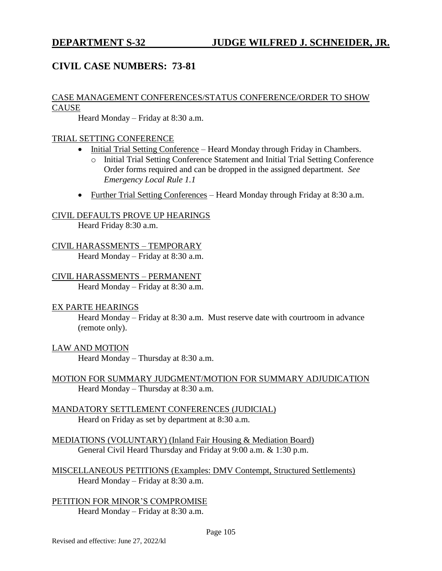# **CIVIL CASE NUMBERS: 73-81**

#### CASE MANAGEMENT CONFERENCES/STATUS CONFERENCE/ORDER TO SHOW CAUSE

Heard Monday – Friday at 8:30 a.m.

## TRIAL SETTING CONFERENCE

- Initial Trial Setting Conference Heard Monday through Friday in Chambers.
	- o Initial Trial Setting Conference Statement and Initial Trial Setting Conference Order forms required and can be dropped in the assigned department. *See Emergency Local Rule 1.1*
- Further Trial Setting Conferences Heard Monday through Friday at 8:30 a.m.

#### CIVIL DEFAULTS PROVE UP HEARINGS

Heard Friday 8:30 a.m.

## CIVIL HARASSMENTS – TEMPORARY

Heard Monday – Friday at 8:30 a.m.

## CIVIL HARASSMENTS – PERMANENT

Heard Monday – Friday at 8:30 a.m.

#### EX PARTE HEARINGS

Heard Monday – Friday at 8:30 a.m. Must reserve date with courtroom in advance (remote only).

#### LAW AND MOTION

Heard Monday – Thursday at 8:30 a.m.

### MOTION FOR SUMMARY JUDGMENT/MOTION FOR SUMMARY ADJUDICATION Heard Monday – Thursday at 8:30 a.m.

MANDATORY SETTLEMENT CONFERENCES (JUDICIAL) Heard on Friday as set by department at 8:30 a.m.

MEDIATIONS (VOLUNTARY) (Inland Fair Housing & Mediation Board) General Civil Heard Thursday and Friday at 9:00 a.m. & 1:30 p.m.

MISCELLANEOUS PETITIONS (Examples: DMV Contempt, Structured Settlements) Heard Monday – Friday at 8:30 a.m.

PETITION FOR MINOR'S COMPROMISE Heard Monday – Friday at  $8:30$  a.m.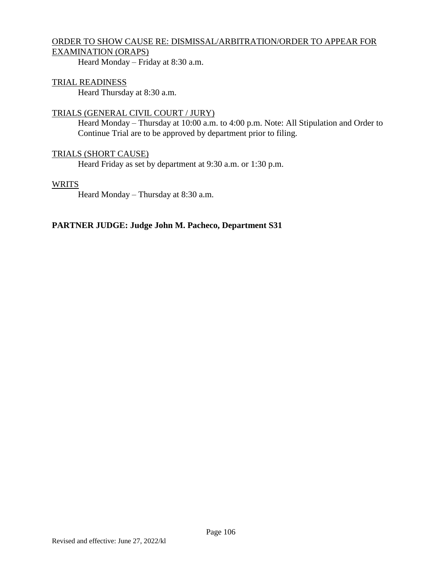## ORDER TO SHOW CAUSE RE: DISMISSAL/ARBITRATION/ORDER TO APPEAR FOR EXAMINATION (ORAPS)

Heard Monday – Friday at 8:30 a.m.

## TRIAL READINESS

Heard Thursday at 8:30 a.m.

## TRIALS (GENERAL CIVIL COURT / JURY)

Heard Monday – Thursday at 10:00 a.m. to 4:00 p.m. Note: All Stipulation and Order to Continue Trial are to be approved by department prior to filing.

### TRIALS (SHORT CAUSE)

Heard Friday as set by department at 9:30 a.m. or 1:30 p.m.

#### **WRITS**

Heard Monday – Thursday at 8:30 a.m.

### **PARTNER JUDGE: Judge John M. Pacheco, Department S31**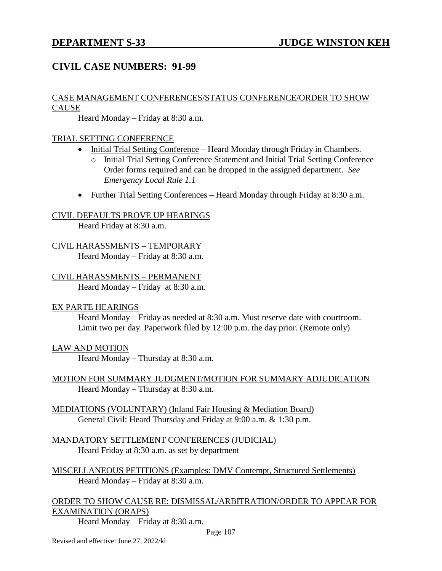# **CIVIL CASE NUMBERS: 91-99**

#### CASE MANAGEMENT CONFERENCES/STATUS CONFERENCE/ORDER TO SHOW **CAUSE**

Heard Monday – Friday at 8:30 a.m.

#### TRIAL SETTING CONFERENCE

- Initial Trial Setting Conference Heard Monday through Friday in Chambers.
	- o Initial Trial Setting Conference Statement and Initial Trial Setting Conference Order forms required and can be dropped in the assigned department. *See Emergency Local Rule 1.1*
- Further Trial Setting Conferences Heard Monday through Friday at 8:30 a.m.

#### CIVIL DEFAULTS PROVE UP HEARINGS

Heard Friday at 8:30 a.m.

# CIVIL HARASSMENTS – TEMPORARY

Heard Monday – Friday at 8:30 a.m.

#### CIVIL HARASSMENTS – PERMANENT

Heard Monday – Friday at 8:30 a.m.

#### EX PARTE HEARINGS

Heard Monday – Friday as needed at 8:30 a.m. Must reserve date with courtroom. Limit two per day. Paperwork filed by 12:00 p.m. the day prior. (Remote only)

#### LAW AND MOTION

Heard Monday – Thursday at 8:30 a.m.

- MOTION FOR SUMMARY JUDGMENT/MOTION FOR SUMMARY ADJUDICATION Heard Monday – Thursday at 8:30 a.m.
- MEDIATIONS (VOLUNTARY) (Inland Fair Housing & Mediation Board) General Civil: Heard Thursday and Friday at 9:00 a.m. & 1:30 p.m.

#### MANDATORY SETTLEMENT CONFERENCES (JUDICIAL) Heard Friday at 8:30 a.m. as set by department

MISCELLANEOUS PETITIONS (Examples: DMV Contempt, Structured Settlements) Heard Monday – Friday at 8:30 a.m.

ORDER TO SHOW CAUSE RE: DISMISSAL/ARBITRATION/ORDER TO APPEAR FOR EXAMINATION (ORAPS)

Heard Monday – Friday at 8:30 a.m.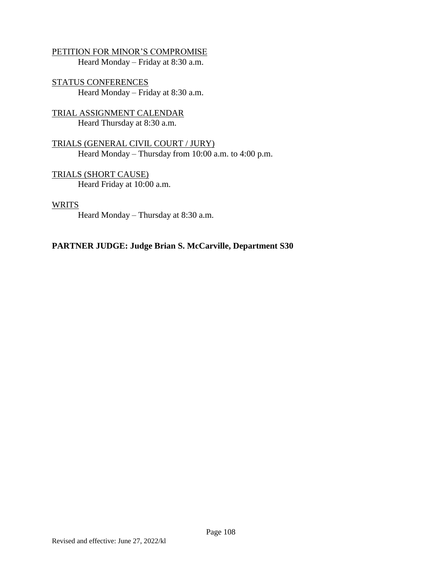PETITION FOR MINOR'S COMPROMISE Heard Monday – Friday at 8:30 a.m.

STATUS CONFERENCES Heard Monday – Friday at 8:30 a.m.

TRIAL ASSIGNMENT CALENDAR Heard Thursday at 8:30 a.m.

TRIALS (GENERAL CIVIL COURT / JURY) Heard Monday – Thursday from 10:00 a.m. to 4:00 p.m.

TRIALS (SHORT CAUSE) Heard Friday at 10:00 a.m.

**WRITS** 

Heard Monday – Thursday at 8:30 a.m.

### **PARTNER JUDGE: Judge Brian S. McCarville, Department S30**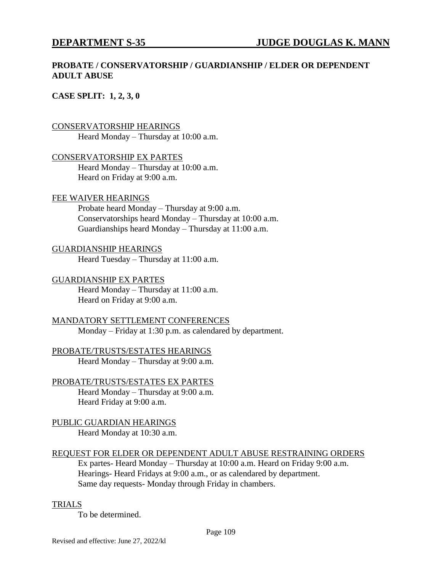### **PROBATE / CONSERVATORSHIP / GUARDIANSHIP / ELDER OR DEPENDENT ADULT ABUSE**

#### **CASE SPLIT: 1, 2, 3, 0**

#### CONSERVATORSHIP HEARINGS

Heard Monday – Thursday at 10:00 a.m.

#### CONSERVATORSHIP EX PARTES

Heard Monday – Thursday at 10:00 a.m. Heard on Friday at 9:00 a.m.

#### FEE WAIVER HEARINGS

Probate heard Monday – Thursday at 9:00 a.m. Conservatorships heard Monday – Thursday at 10:00 a.m. Guardianships heard Monday – Thursday at 11:00 a.m.

#### GUARDIANSHIP HEARINGS

Heard Tuesday – Thursday at 11:00 a.m.

#### GUARDIANSHIP EX PARTES

Heard Monday – Thursday at 11:00 a.m. Heard on Friday at 9:00 a.m.

#### MANDATORY SETTLEMENT CONFERENCES

Monday – Friday at 1:30 p.m. as calendared by department.

PROBATE/TRUSTS/ESTATES HEARINGS Heard Monday – Thursday at 9:00 a.m.

#### PROBATE/TRUSTS/ESTATES EX PARTES

Heard Monday – Thursday at 9:00 a.m. Heard Friday at 9:00 a.m.

PUBLIC GUARDIAN HEARINGS Heard Monday at 10:30 a.m.

### REQUEST FOR ELDER OR DEPENDENT ADULT ABUSE RESTRAINING ORDERS

Ex partes- Heard Monday – Thursday at 10:00 a.m. Heard on Friday 9:00 a.m. Hearings- Heard Fridays at 9:00 a.m., or as calendared by department. Same day requests- Monday through Friday in chambers.

#### TRIALS

To be determined.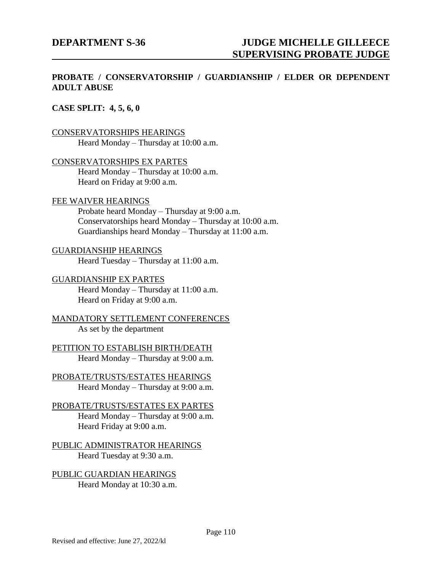### **PROBATE / CONSERVATORSHIP / GUARDIANSHIP / ELDER OR DEPENDENT ADULT ABUSE**

#### **CASE SPLIT: 4, 5, 6, 0**

#### CONSERVATORSHIPS HEARINGS

Heard Monday – Thursday at 10:00 a.m.

#### CONSERVATORSHIPS EX PARTES

Heard Monday – Thursday at 10:00 a.m. Heard on Friday at 9:00 a.m.

#### FEE WAIVER HEARINGS

Probate heard Monday – Thursday at 9:00 a.m. Conservatorships heard Monday – Thursday at 10:00 a.m. Guardianships heard Monday – Thursday at 11:00 a.m.

#### GUARDIANSHIP HEARINGS

Heard Tuesday – Thursday at 11:00 a.m.

#### GUARDIANSHIP EX PARTES

Heard Monday – Thursday at 11:00 a.m. Heard on Friday at 9:00 a.m.

#### MANDATORY SETTLEMENT CONFERENCES As set by the department

PETITION TO ESTABLISH BIRTH/DEATH Heard Monday – Thursday at  $9:00$  a.m.

PROBATE/TRUSTS/ESTATES HEARINGS Heard Monday – Thursday at 9:00 a.m.

#### PROBATE/TRUSTS/ESTATES EX PARTES Heard Monday – Thursday at 9:00 a.m. Heard Friday at 9:00 a.m.

PUBLIC ADMINISTRATOR HEARINGS Heard Tuesday at 9:30 a.m.

PUBLIC GUARDIAN HEARINGS Heard Monday at 10:30 a.m.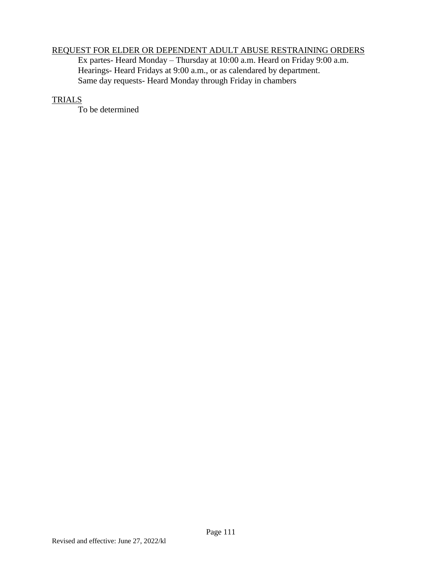# REQUEST FOR ELDER OR DEPENDENT ADULT ABUSE RESTRAINING ORDERS

Ex partes- Heard Monday – Thursday at 10:00 a.m. Heard on Friday 9:00 a.m. Hearings- Heard Fridays at 9:00 a.m., or as calendared by department. Same day requests- Heard Monday through Friday in chambers

#### TRIALS

To be determined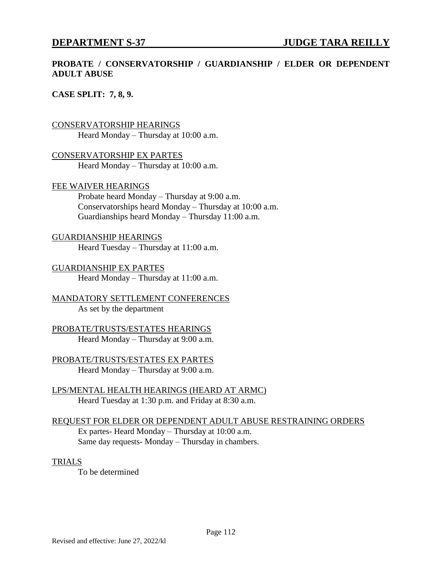### **PROBATE / CONSERVATORSHIP / GUARDIANSHIP / ELDER OR DEPENDENT ADULT ABUSE**

#### **CASE SPLIT: 7, 8, 9.**

#### CONSERVATORSHIP HEARINGS

Heard Monday – Thursday at 10:00 a.m.

CONSERVATORSHIP EX PARTES Heard Monday – Thursday at 10:00 a.m.

#### FEE WAIVER HEARINGS

Probate heard Monday – Thursday at 9:00 a.m. Conservatorships heard Monday – Thursday at 10:00 a.m. Guardianships heard Monday – Thursday 11:00 a.m.

#### GUARDIANSHIP HEARINGS

Heard Tuesday – Thursday at 11:00 a.m.

GUARDIANSHIP EX PARTES Heard Monday – Thursday at 11:00 a.m.

MANDATORY SETTLEMENT CONFERENCES As set by the department

#### PROBATE/TRUSTS/ESTATES HEARINGS Heard Monday – Thursday at 9:00 a.m.

PROBATE/TRUSTS/ESTATES EX PARTES Heard Monday – Thursday at 9:00 a.m.

LPS/MENTAL HEALTH HEARINGS (HEARD AT ARMC) Heard Tuesday at 1:30 p.m. and Friday at 8:30 a.m.

#### REQUEST FOR ELDER OR DEPENDENT ADULT ABUSE RESTRAINING ORDERS Ex partes- Heard Monday – Thursday at 10:00 a.m. Same day requests- Monday – Thursday in chambers.

#### TRIALS

To be determined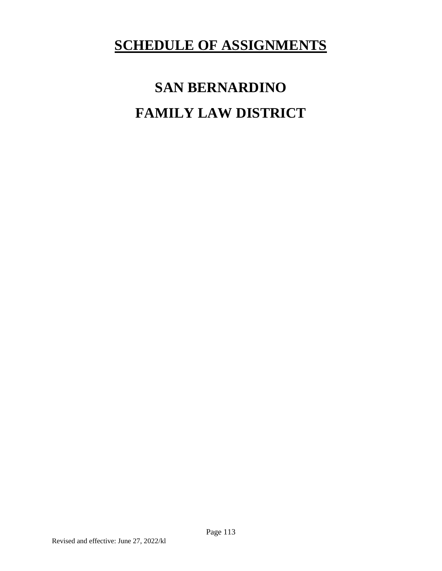# **SCHEDULE OF ASSIGNMENTS**

# **SAN BERNARDINO FAMILY LAW DISTRICT**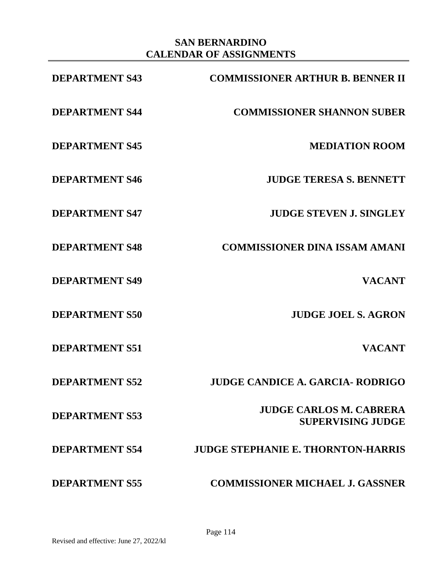# **SAN BERNARDINO CALENDAR OF ASSIGNMENTS**

| <b>DEPARTMENT S43</b> | <b>COMMISSIONER ARTHUR B. BENNER II</b>                    |
|-----------------------|------------------------------------------------------------|
| <b>DEPARTMENT S44</b> | <b>COMMISSIONER SHANNON SUBER</b>                          |
| <b>DEPARTMENT S45</b> | <b>MEDIATION ROOM</b>                                      |
| <b>DEPARTMENT S46</b> | <b>JUDGE TERESA S. BENNETT</b>                             |
| <b>DEPARTMENT S47</b> | <b>JUDGE STEVEN J. SINGLEY</b>                             |
| <b>DEPARTMENT S48</b> | <b>COMMISSIONER DINA ISSAM AMANI</b>                       |
| <b>DEPARTMENT S49</b> | <b>VACANT</b>                                              |
| <b>DEPARTMENT S50</b> | <b>JUDGE JOEL S. AGRON</b>                                 |
| <b>DEPARTMENT S51</b> | <b>VACANT</b>                                              |
| <b>DEPARTMENT S52</b> | <b>JUDGE CANDICE A. GARCIA- RODRIGO</b>                    |
| <b>DEPARTMENT S53</b> | <b>JUDGE CARLOS M. CABRERA</b><br><b>SUPERVISING JUDGE</b> |
| <b>DEPARTMENT S54</b> | <b>JUDGE STEPHANIE E. THORNTON-HARRIS</b>                  |
| <b>DEPARTMENT S55</b> | <b>COMMISSIONER MICHAEL J. GASSNER</b>                     |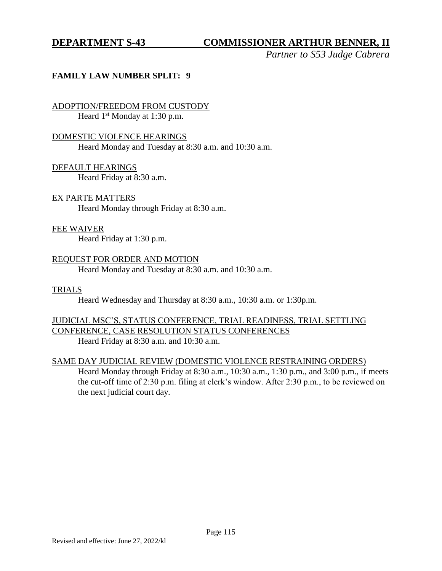# **DEPARTMENT S-43 COMMISSIONER ARTHUR BENNER, II**

*Partner to S53 Judge Cabrera*

#### **FAMILY LAW NUMBER SPLIT: 9**

ADOPTION/FREEDOM FROM CUSTODY Heard  $1<sup>st</sup>$  Monday at 1:30 p.m.

#### DOMESTIC VIOLENCE HEARINGS

Heard Monday and Tuesday at 8:30 a.m. and 10:30 a.m.

DEFAULT HEARINGS

Heard Friday at 8:30 a.m.

#### EX PARTE MATTERS

Heard Monday through Friday at 8:30 a.m.

#### FEE WAIVER

Heard Friday at 1:30 p.m.

#### REQUEST FOR ORDER AND MOTION

Heard Monday and Tuesday at 8:30 a.m. and 10:30 a.m.

#### TRIALS

Heard Wednesday and Thursday at 8:30 a.m., 10:30 a.m. or 1:30p.m.

# JUDICIAL MSC'S, STATUS CONFERENCE, TRIAL READINESS, TRIAL SETTLING CONFERENCE, CASE RESOLUTION STATUS CONFERENCES

Heard Friday at 8:30 a.m. and 10:30 a.m.

#### SAME DAY JUDICIAL REVIEW (DOMESTIC VIOLENCE RESTRAINING ORDERS)

Heard Monday through Friday at 8:30 a.m., 10:30 a.m., 1:30 p.m., and 3:00 p.m., if meets the cut-off time of 2:30 p.m. filing at clerk's window. After 2:30 p.m., to be reviewed on the next judicial court day.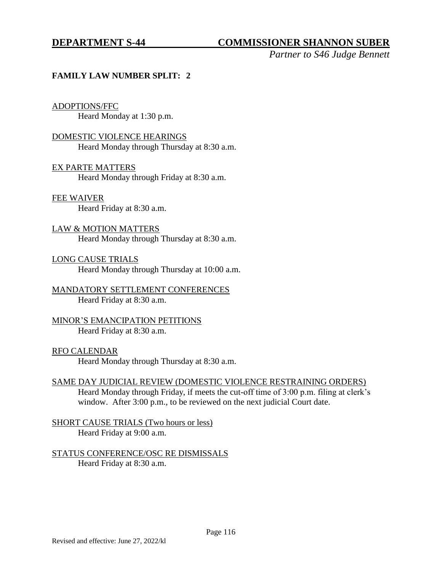# **DEPARTMENT S-44 COMMISSIONER SHANNON SUBER**

*Partner to S46 Judge Bennett*

### **FAMILY LAW NUMBER SPLIT: 2**

#### ADOPTIONS/FFC

Heard Monday at 1:30 p.m.

#### DOMESTIC VIOLENCE HEARINGS

Heard Monday through Thursday at 8:30 a.m.

#### EX PARTE MATTERS

Heard Monday through Friday at 8:30 a.m.

#### FEE WAIVER

Heard Friday at 8:30 a.m.

### LAW & MOTION MATTERS Heard Monday through Thursday at 8:30 a.m.

LONG CAUSE TRIALS Heard Monday through Thursday at 10:00 a.m.

#### MANDATORY SETTLEMENT CONFERENCES Heard Friday at 8:30 a.m.

### MINOR'S EMANCIPATION PETITIONS Heard Friday at 8:30 a.m.

#### RFO CALENDAR

Heard Monday through Thursday at 8:30 a.m.

#### SAME DAY JUDICIAL REVIEW (DOMESTIC VIOLENCE RESTRAINING ORDERS)

Heard Monday through Friday, if meets the cut-off time of 3:00 p.m. filing at clerk's window. After 3:00 p.m., to be reviewed on the next judicial Court date.

SHORT CAUSE TRIALS (Two hours or less) Heard Friday at 9:00 a.m.

#### STATUS CONFERENCE/OSC RE DISMISSALS Heard Friday at 8:30 a.m.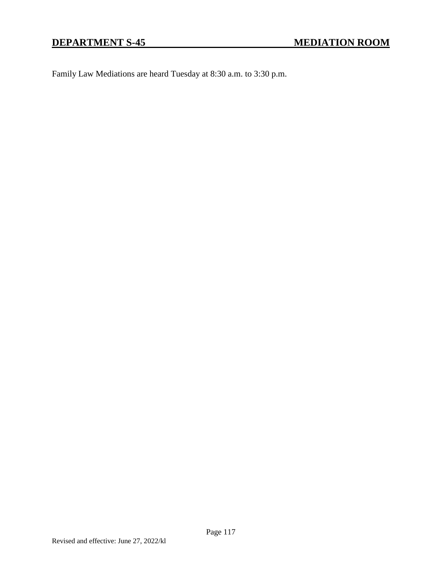Family Law Mediations are heard Tuesday at 8:30 a.m. to 3:30 p.m.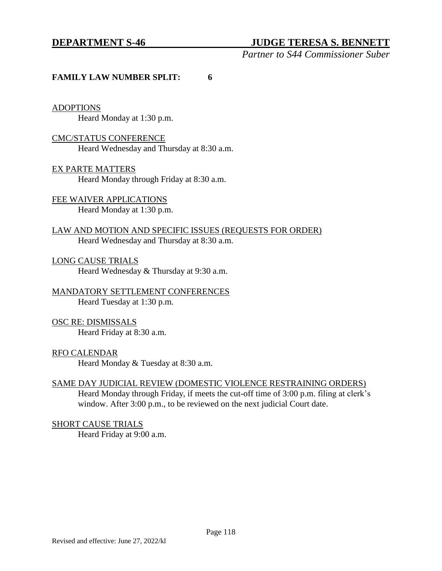### **DEPARTMENT S-46 JUDGE TERESA S. BENNETT**

*Partner to S44 Commissioner Suber*

#### **FAMILY LAW NUMBER SPLIT: 6**

#### ADOPTIONS

Heard Monday at 1:30 p.m.

#### CMC/STATUS CONFERENCE

Heard Wednesday and Thursday at 8:30 a.m.

#### EX PARTE MATTERS

Heard Monday through Friday at 8:30 a.m.

# FEE WAIVER APPLICATIONS

Heard Monday at 1:30 p.m.

### LAW AND MOTION AND SPECIFIC ISSUES (REQUESTS FOR ORDER) Heard Wednesday and Thursday at 8:30 a.m.

LONG CAUSE TRIALS Heard Wednesday & Thursday at 9:30 a.m.

# MANDATORY SETTLEMENT CONFERENCES

Heard Tuesday at 1:30 p.m.

#### OSC RE: DISMISSALS

Heard Friday at 8:30 a.m.

#### RFO CALENDAR

Heard Monday & Tuesday at 8:30 a.m.

#### SAME DAY JUDICIAL REVIEW (DOMESTIC VIOLENCE RESTRAINING ORDERS)

Heard Monday through Friday, if meets the cut-off time of 3:00 p.m. filing at clerk's window. After 3:00 p.m., to be reviewed on the next judicial Court date.

#### SHORT CAUSE TRIALS

Heard Friday at 9:00 a.m.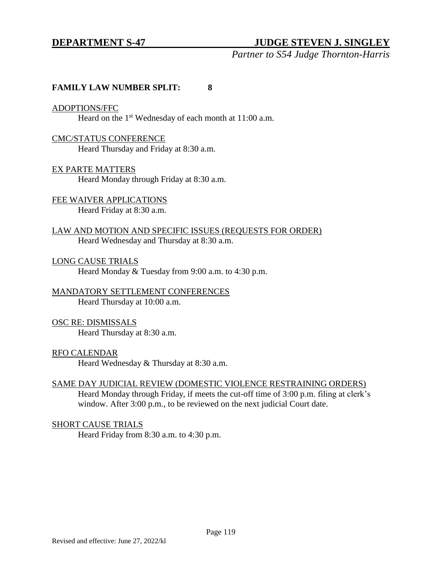# **DEPARTMENT S-47 JUDGE STEVEN J. SINGLEY**

*Partner to S54 Judge Thornton-Harris*

#### **FAMILY LAW NUMBER SPLIT: 8**

#### ADOPTIONS/FFC

Heard on the 1<sup>st</sup> Wednesday of each month at 11:00 a.m.

#### CMC/STATUS CONFERENCE

Heard Thursday and Friday at 8:30 a.m.

#### EX PARTE MATTERS

Heard Monday through Friday at 8:30 a.m.

#### FEE WAIVER APPLICATIONS Heard Friday at 8:30 a.m.

LAW AND MOTION AND SPECIFIC ISSUES (REQUESTS FOR ORDER) Heard Wednesday and Thursday at 8:30 a.m.

LONG CAUSE TRIALS Heard Monday & Tuesday from 9:00 a.m. to 4:30 p.m.

#### MANDATORY SETTLEMENT CONFERENCES Heard Thursday at 10:00 a.m.

### OSC RE: DISMISSALS

Heard Thursday at 8:30 a.m.

#### RFO CALENDAR

Heard Wednesday & Thursday at 8:30 a.m.

#### SAME DAY JUDICIAL REVIEW (DOMESTIC VIOLENCE RESTRAINING ORDERS)

Heard Monday through Friday, if meets the cut-off time of 3:00 p.m. filing at clerk's window. After 3:00 p.m., to be reviewed on the next judicial Court date.

#### SHORT CAUSE TRIALS

Heard Friday from 8:30 a.m. to 4:30 p.m.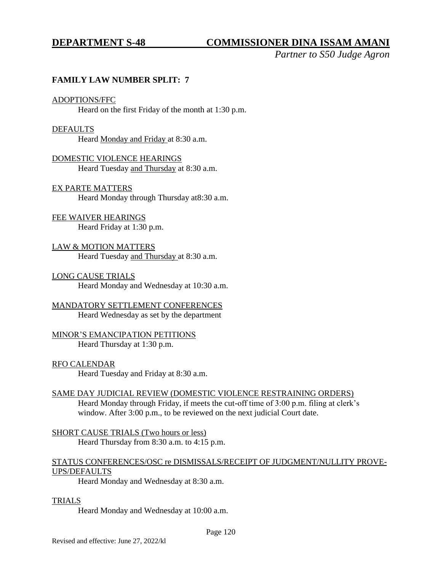# **DEPARTMENT S-48 COMMISSIONER DINA ISSAM AMANI**

*Partner to S50 Judge Agron*

#### **FAMILY LAW NUMBER SPLIT: 7**

#### ADOPTIONS/FFC

Heard on the first Friday of the month at 1:30 p.m.

#### DEFAULTS

Heard Monday and Friday at 8:30 a.m.

# DOMESTIC VIOLENCE HEARINGS

Heard Tuesday and Thursday at 8:30 a.m.

#### EX PARTE MATTERS

Heard Monday through Thursday at8:30 a.m.

# FEE WAIVER HEARINGS

Heard Friday at 1:30 p.m.

#### LAW & MOTION MATTERS Heard Tuesday and Thursday at 8:30 a.m.

#### LONG CAUSE TRIALS

Heard Monday and Wednesday at 10:30 a.m.

#### MANDATORY SETTLEMENT CONFERENCES

Heard Wednesday as set by the department

### MINOR'S EMANCIPATION PETITIONS

Heard Thursday at 1:30 p.m.

#### RFO CALENDAR

Heard Tuesday and Friday at 8:30 a.m.

#### SAME DAY JUDICIAL REVIEW (DOMESTIC VIOLENCE RESTRAINING ORDERS)

Heard Monday through Friday, if meets the cut-off time of 3:00 p.m. filing at clerk's window. After 3:00 p.m., to be reviewed on the next judicial Court date.

#### SHORT CAUSE TRIALS (Two hours or less) Heard Thursday from 8:30 a.m. to 4:15 p.m.

#### STATUS CONFERENCES/OSC re DISMISSALS/RECEIPT OF JUDGMENT/NULLITY PROVE-UPS/DEFAULTS

Heard Monday and Wednesday at 8:30 a.m.

#### TRIALS

Heard Monday and Wednesday at 10:00 a.m.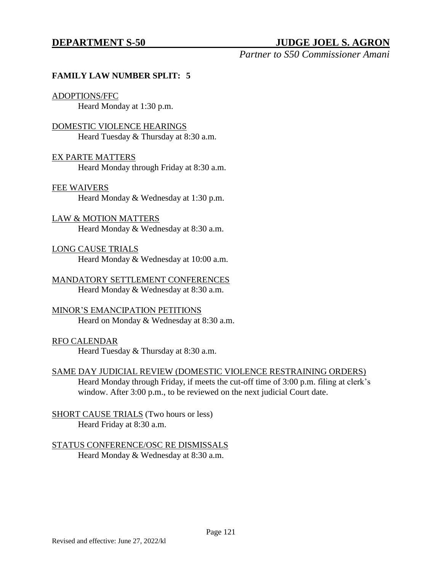# **DEPARTMENT S-50 JUDGE JOEL S. AGRON**

*Partner to S50 Commissioner Amani*

#### **FAMILY LAW NUMBER SPLIT: 5**

#### ADOPTIONS/FFC

Heard Monday at 1:30 p.m.

#### DOMESTIC VIOLENCE HEARINGS

Heard Tuesday & Thursday at 8:30 a.m.

#### EX PARTE MATTERS

Heard Monday through Friday at 8:30 a.m.

#### FEE WAIVERS

Heard Monday & Wednesday at 1:30 p.m.

### LAW & MOTION MATTERS Heard Monday & Wednesday at 8:30 a.m.

LONG CAUSE TRIALS Heard Monday & Wednesday at 10:00 a.m.

MANDATORY SETTLEMENT CONFERENCES Heard Monday & Wednesday at 8:30 a.m.

#### MINOR'S EMANCIPATION PETITIONS

Heard on Monday & Wednesday at 8:30 a.m.

#### RFO CALENDAR

Heard Tuesday & Thursday at 8:30 a.m.

# SAME DAY JUDICIAL REVIEW (DOMESTIC VIOLENCE RESTRAINING ORDERS)

Heard Monday through Friday, if meets the cut-off time of 3:00 p.m. filing at clerk's window. After 3:00 p.m., to be reviewed on the next judicial Court date.

#### SHORT CAUSE TRIALS (Two hours or less) Heard Friday at 8:30 a.m.

# STATUS CONFERENCE/OSC RE DISMISSALS

Heard Monday & Wednesday at 8:30 a.m.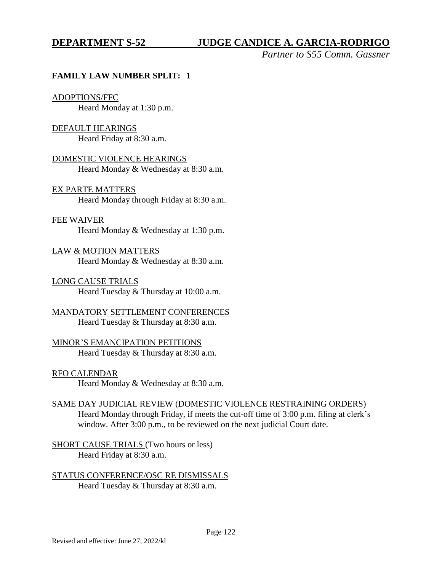# **DEPARTMENT S-52 JUDGE CANDICE A. GARCIA-RODRIGO**

*Partner to S55 Comm. Gassner*

#### **FAMILY LAW NUMBER SPLIT: 1**

#### ADOPTIONS/FFC

Heard Monday at 1:30 p.m.

#### DEFAULT HEARINGS

Heard Friday at 8:30 a.m.

#### DOMESTIC VIOLENCE HEARINGS Heard Monday & Wednesday at 8:30 a.m.

#### EX PARTE MATTERS

Heard Monday through Friday at 8:30 a.m.

#### FEE WAIVER

Heard Monday & Wednesday at 1:30 p.m.

#### LAW & MOTION MATTERS

Heard Monday & Wednesday at 8:30 a.m.

#### LONG CAUSE TRIALS

Heard Tuesday & Thursday at 10:00 a.m.

# MANDATORY SETTLEMENT CONFERENCES

Heard Tuesday & Thursday at 8:30 a.m.

#### MINOR'S EMANCIPATION PETITIONS Heard Tuesday & Thursday at 8:30 a.m.

RFO CALENDAR

Heard Monday & Wednesday at 8:30 a.m.

#### SAME DAY JUDICIAL REVIEW (DOMESTIC VIOLENCE RESTRAINING ORDERS)

Heard Monday through Friday, if meets the cut-off time of 3:00 p.m. filing at clerk's window. After 3:00 p.m., to be reviewed on the next judicial Court date.

SHORT CAUSE TRIALS (Two hours or less) Heard Friday at 8:30 a.m.

#### STATUS CONFERENCE/OSC RE DISMISSALS Heard Tuesday & Thursday at 8:30 a.m.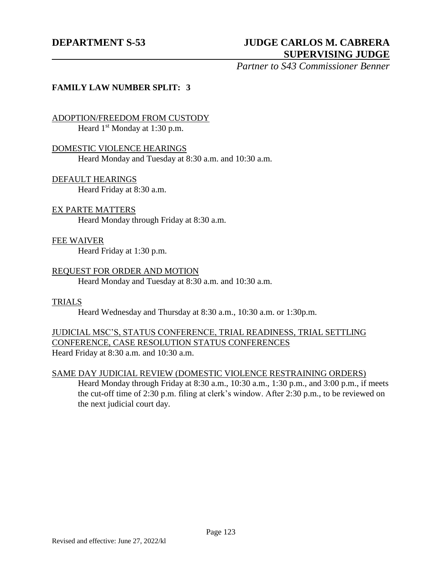# **DEPARTMENT S-53 JUDGE CARLOS M. CABRERA SUPERVISING JUDGE**

*Partner to S43 Commissioner Benner*

#### **FAMILY LAW NUMBER SPLIT: 3**

# ADOPTION/FREEDOM FROM CUSTODY

Heard 1<sup>st</sup> Monday at 1:30 p.m.

#### DOMESTIC VIOLENCE HEARINGS

Heard Monday and Tuesday at 8:30 a.m. and 10:30 a.m.

# DEFAULT HEARINGS

Heard Friday at 8:30 a.m.

### EX PARTE MATTERS

Heard Monday through Friday at 8:30 a.m.

#### FEE WAIVER

Heard Friday at 1:30 p.m.

#### REQUEST FOR ORDER AND MOTION

Heard Monday and Tuesday at 8:30 a.m. and 10:30 a.m.

#### TRIALS

Heard Wednesday and Thursday at 8:30 a.m., 10:30 a.m. or 1:30p.m.

#### JUDICIAL MSC'S, STATUS CONFERENCE, TRIAL READINESS, TRIAL SETTLING CONFERENCE, CASE RESOLUTION STATUS CONFERENCES Heard Friday at 8:30 a.m. and 10:30 a.m.

SAME DAY JUDICIAL REVIEW (DOMESTIC VIOLENCE RESTRAINING ORDERS)

Heard Monday through Friday at 8:30 a.m., 10:30 a.m., 1:30 p.m., and 3:00 p.m., if meets the cut-off time of 2:30 p.m. filing at clerk's window. After 2:30 p.m., to be reviewed on the next judicial court day.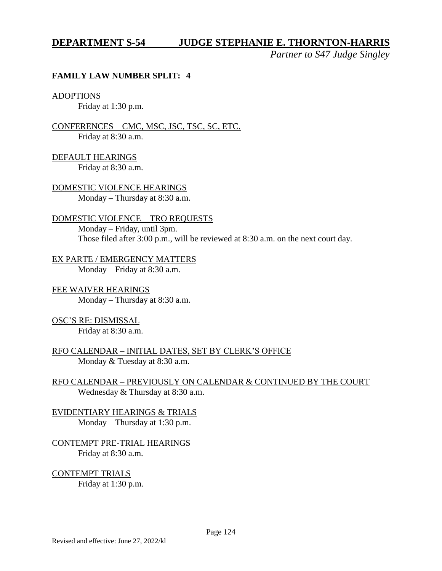### **DEPARTMENT S-54 JUDGE STEPHANIE E. THORNTON-HARRIS**

*Partner to S47 Judge Singley*

#### **FAMILY LAW NUMBER SPLIT: 4**

#### ADOPTIONS

Friday at 1:30 p.m.

CONFERENCES – CMC, MSC, JSC, TSC, SC, ETC. Friday at 8:30 a.m.

DEFAULT HEARINGS Friday at 8:30 a.m.

DOMESTIC VIOLENCE HEARINGS Monday – Thursday at 8:30 a.m.

#### DOMESTIC VIOLENCE – TRO REQUESTS

Monday – Friday, until 3pm. Those filed after 3:00 p.m., will be reviewed at 8:30 a.m. on the next court day.

EX PARTE / EMERGENCY MATTERS Monday – Friday at 8:30 a.m.

FEE WAIVER HEARINGS Monday – Thursday at 8:30 a.m.

OSC'S RE: DISMISSAL Friday at 8:30 a.m.

RFO CALENDAR – INITIAL DATES, SET BY CLERK'S OFFICE Monday & Tuesday at 8:30 a.m.

RFO CALENDAR – PREVIOUSLY ON CALENDAR & CONTINUED BY THE COURT Wednesday & Thursday at 8:30 a.m.

EVIDENTIARY HEARINGS & TRIALS Monday – Thursday at 1:30 p.m.

CONTEMPT PRE-TRIAL HEARINGS Friday at 8:30 a.m.

CONTEMPT TRIALS

Friday at 1:30 p.m.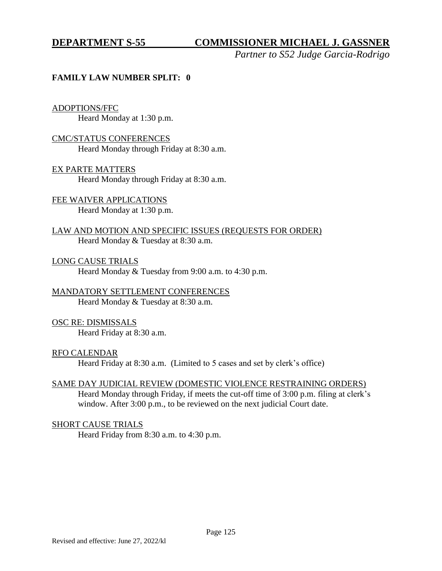# **DEPARTMENT S-55 COMMISSIONER MICHAEL J. GASSNER**

*Partner to S52 Judge Garcia-Rodrigo*

### **FAMILY LAW NUMBER SPLIT: 0**

#### ADOPTIONS/FFC

Heard Monday at 1:30 p.m.

#### CMC/STATUS CONFERENCES

Heard Monday through Friday at 8:30 a.m.

#### EX PARTE MATTERS

Heard Monday through Friday at 8:30 a.m.

# FEE WAIVER APPLICATIONS

Heard Monday at 1:30 p.m.

## LAW AND MOTION AND SPECIFIC ISSUES (REQUESTS FOR ORDER) Heard Monday & Tuesday at 8:30 a.m.

LONG CAUSE TRIALS Heard Monday & Tuesday from 9:00 a.m. to 4:30 p.m.

#### MANDATORY SETTLEMENT CONFERENCES Heard Monday & Tuesday at 8:30 a.m.

### OSC RE: DISMISSALS

Heard Friday at 8:30 a.m.

#### RFO CALENDAR

Heard Friday at 8:30 a.m. (Limited to 5 cases and set by clerk's office)

### SAME DAY JUDICIAL REVIEW (DOMESTIC VIOLENCE RESTRAINING ORDERS)

Heard Monday through Friday, if meets the cut-off time of 3:00 p.m. filing at clerk's window. After 3:00 p.m., to be reviewed on the next judicial Court date.

### SHORT CAUSE TRIALS

Heard Friday from 8:30 a.m. to 4:30 p.m.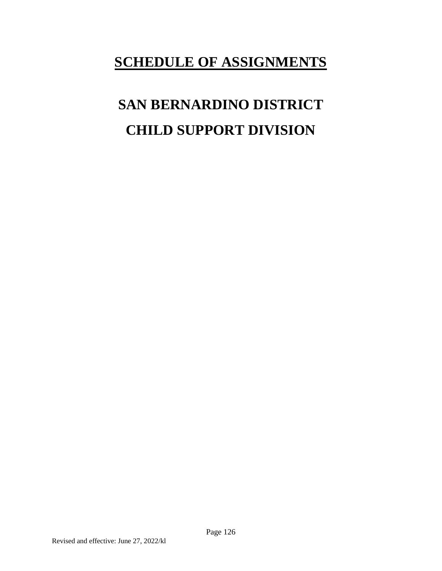# **SCHEDULE OF ASSIGNMENTS**

# **SAN BERNARDINO DISTRICT CHILD SUPPORT DIVISION**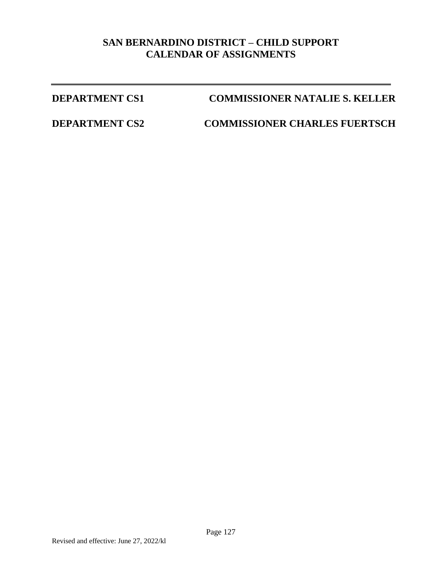# **SAN BERNARDINO DISTRICT – CHILD SUPPORT CALENDAR OF ASSIGNMENTS**

# **DEPARTMENT CS1 COMMISSIONER NATALIE S. KELLER**

**DEPARTMENT CS2 COMMISSIONER CHARLES FUERTSCH**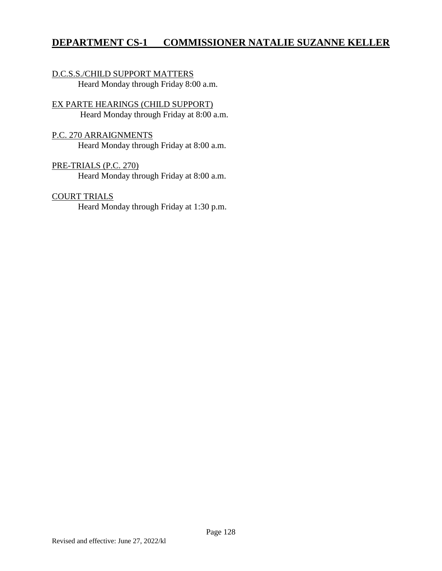# **DEPARTMENT CS-1 COMMISSIONER NATALIE SUZANNE KELLER**

### D.C.S.S./CHILD SUPPORT MATTERS Heard Monday through Friday 8:00 a.m.

## EX PARTE HEARINGS (CHILD SUPPORT) Heard Monday through Friday at 8:00 a.m.

### P.C. 270 ARRAIGNMENTS

Heard Monday through Friday at 8:00 a.m.

#### PRE-TRIALS (P.C. 270)

Heard Monday through Friday at 8:00 a.m.

#### COURT TRIALS

Heard Monday through Friday at 1:30 p.m.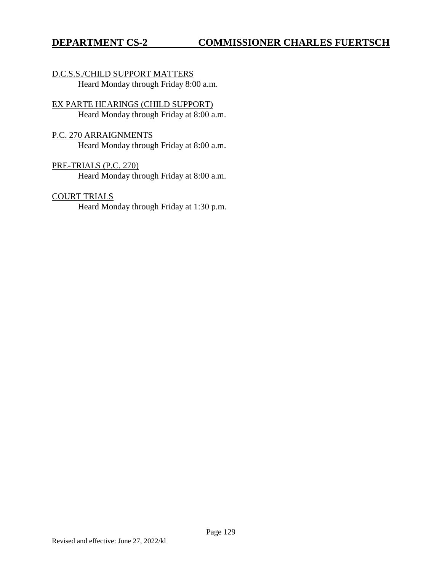#### D.C.S.S./CHILD SUPPORT MATTERS Heard Monday through Friday 8:00 a.m.

## EX PARTE HEARINGS (CHILD SUPPORT) Heard Monday through Friday at 8:00 a.m.

### P.C. 270 ARRAIGNMENTS

Heard Monday through Friday at 8:00 a.m.

# PRE-TRIALS (P.C. 270)

Heard Monday through Friday at 8:00 a.m.

## COURT TRIALS

Heard Monday through Friday at 1:30 p.m.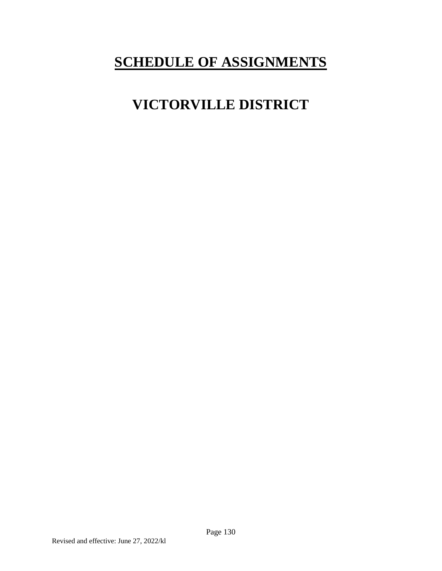# **SCHEDULE OF ASSIGNMENTS**

# **VICTORVILLE DISTRICT**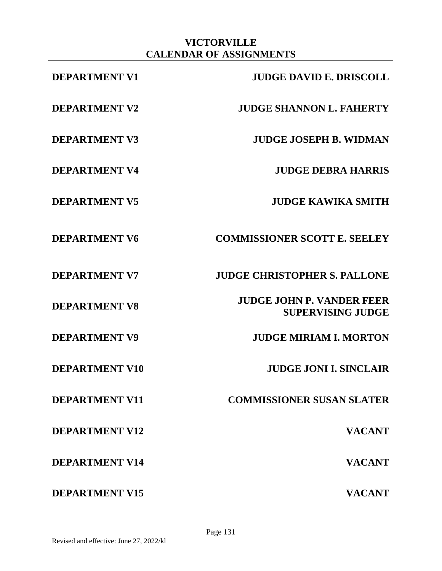# **VICTORVILLE CALENDAR OF ASSIGNMENTS**

| <b>DEPARTMENT V1</b>  | <b>JUDGE DAVID E. DRISCOLL</b>                               |
|-----------------------|--------------------------------------------------------------|
| <b>DEPARTMENT V2</b>  | <b>JUDGE SHANNON L. FAHERTY</b>                              |
| <b>DEPARTMENT V3</b>  | <b>JUDGE JOSEPH B. WIDMAN</b>                                |
| <b>DEPARTMENT V4</b>  | <b>JUDGE DEBRA HARRIS</b>                                    |
| <b>DEPARTMENT V5</b>  | <b>JUDGE KAWIKA SMITH</b>                                    |
| <b>DEPARTMENT V6</b>  | <b>COMMISSIONER SCOTT E. SEELEY</b>                          |
| <b>DEPARTMENT V7</b>  | <b>JUDGE CHRISTOPHER S. PALLONE</b>                          |
| <b>DEPARTMENT V8</b>  | <b>JUDGE JOHN P. VANDER FEER</b><br><b>SUPERVISING JUDGE</b> |
| <b>DEPARTMENT V9</b>  | <b>JUDGE MIRIAM I. MORTON</b>                                |
| <b>DEPARTMENT V10</b> | <b>JUDGE JONI I. SINCLAIR</b>                                |
| <b>DEPARTMENT V11</b> | <b>COMMISSIONER SUSAN SLATER</b>                             |
| <b>DEPARTMENT V12</b> | <b>VACANT</b>                                                |
| <b>DEPARTMENT V14</b> | <b>VACANT</b>                                                |
| <b>DEPARTMENT V15</b> | <b>VACANT</b>                                                |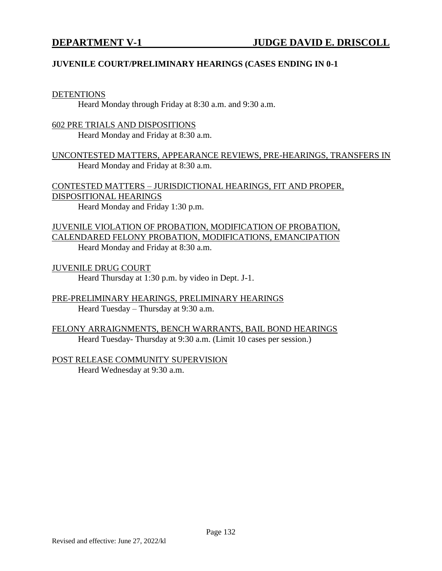### **JUVENILE COURT/PRELIMINARY HEARINGS (CASES ENDING IN 0-1**

#### DETENTIONS

Heard Monday through Friday at 8:30 a.m. and 9:30 a.m.

#### 602 PRE TRIALS AND DISPOSITIONS Heard Monday and Friday at 8:30 a.m.

UNCONTESTED MATTERS, APPEARANCE REVIEWS, PRE-HEARINGS, TRANSFERS IN Heard Monday and Friday at 8:30 a.m.

CONTESTED MATTERS – JURISDICTIONAL HEARINGS, FIT AND PROPER, DISPOSITIONAL HEARINGS

Heard Monday and Friday 1:30 p.m.

JUVENILE VIOLATION OF PROBATION, MODIFICATION OF PROBATION, CALENDARED FELONY PROBATION, MODIFICATIONS, EMANCIPATION Heard Monday and Friday at 8:30 a.m.

JUVENILE DRUG COURT Heard Thursday at 1:30 p.m. by video in Dept. J-1.

PRE-PRELIMINARY HEARINGS, PRELIMINARY HEARINGS Heard Tuesday – Thursday at 9:30 a.m.

FELONY ARRAIGNMENTS, BENCH WARRANTS, BAIL BOND HEARINGS Heard Tuesday- Thursday at 9:30 a.m. (Limit 10 cases per session.)

POST RELEASE COMMUNITY SUPERVISION Heard Wednesday at 9:30 a.m.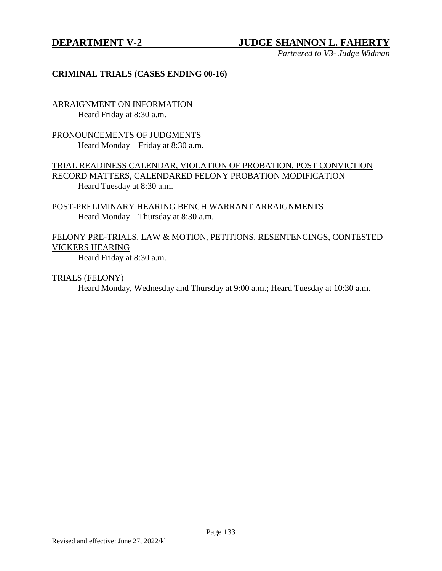# **DEPARTMENT V-2 JUDGE SHANNON L. FAHERTY**

*Partnered to V3- Judge Widman*

#### **CRIMINAL TRIALS (CASES ENDING 00-16)**

ARRAIGNMENT ON INFORMATION Heard Friday at 8:30 a.m.

PRONOUNCEMENTS OF JUDGMENTS Heard Monday – Friday at 8:30 a.m.

TRIAL READINESS CALENDAR, VIOLATION OF PROBATION, POST CONVICTION RECORD MATTERS, CALENDARED FELONY PROBATION MODIFICATION Heard Tuesday at 8:30 a.m.

POST-PRELIMINARY HEARING BENCH WARRANT ARRAIGNMENTS Heard Monday – Thursday at 8:30 a.m.

### FELONY PRE-TRIALS, LAW & MOTION, PETITIONS, RESENTENCINGS, CONTESTED VICKERS HEARING

Heard Friday at 8:30 a.m.

TRIALS (FELONY)

Heard Monday, Wednesday and Thursday at 9:00 a.m.; Heard Tuesday at 10:30 a.m.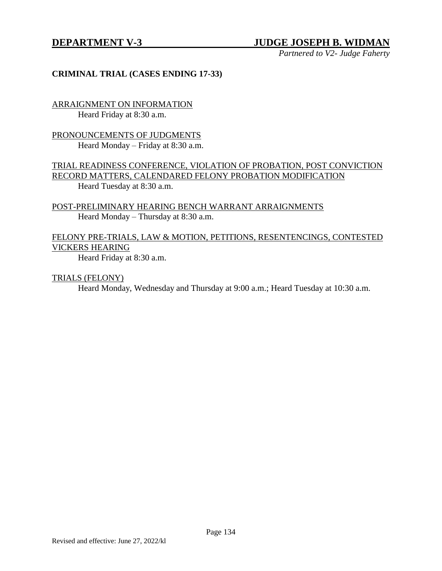# **DEPARTMENT V-3 JUDGE JOSEPH B. WIDMAN**

*Partnered to V2- Judge Faherty*

#### **CRIMINAL TRIAL (CASES ENDING 17-33)**

ARRAIGNMENT ON INFORMATION Heard Friday at 8:30 a.m.

PRONOUNCEMENTS OF JUDGMENTS Heard Monday – Friday at 8:30 a.m.

TRIAL READINESS CONFERENCE, VIOLATION OF PROBATION, POST CONVICTION RECORD MATTERS, CALENDARED FELONY PROBATION MODIFICATION Heard Tuesday at 8:30 a.m.

POST-PRELIMINARY HEARING BENCH WARRANT ARRAIGNMENTS Heard Monday – Thursday at 8:30 a.m.

#### FELONY PRE-TRIALS, LAW & MOTION, PETITIONS, RESENTENCINGS, CONTESTED VICKERS HEARING

Heard Friday at 8:30 a.m.

TRIALS (FELONY)

Heard Monday, Wednesday and Thursday at 9:00 a.m.; Heard Tuesday at 10:30 a.m.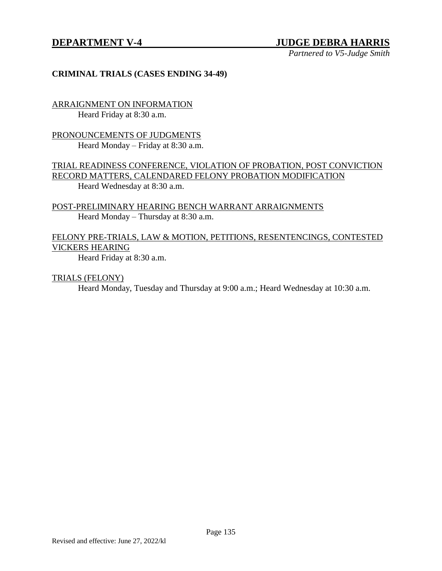# **DEPARTMENT V-4 JUDGE DEBRA HARRIS**

*Partnered to V5-Judge Smith*

#### **CRIMINAL TRIALS (CASES ENDING 34-49)**

ARRAIGNMENT ON INFORMATION Heard Friday at 8:30 a.m.

PRONOUNCEMENTS OF JUDGMENTS Heard Monday – Friday at 8:30 a.m.

TRIAL READINESS CONFERENCE, VIOLATION OF PROBATION, POST CONVICTION RECORD MATTERS, CALENDARED FELONY PROBATION MODIFICATION Heard Wednesday at 8:30 a.m.

POST-PRELIMINARY HEARING BENCH WARRANT ARRAIGNMENTS Heard Monday – Thursday at 8:30 a.m.

### FELONY PRE-TRIALS, LAW & MOTION, PETITIONS, RESENTENCINGS, CONTESTED VICKERS HEARING

Heard Friday at 8:30 a.m.

TRIALS (FELONY)

Heard Monday, Tuesday and Thursday at 9:00 a.m.; Heard Wednesday at 10:30 a.m.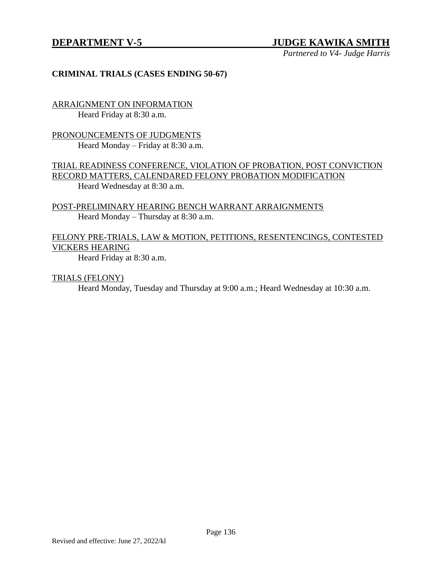# **DEPARTMENT V-5 JUDGE KAWIKA SMITH**

*Partnered to V4- Judge Harris*

#### **CRIMINAL TRIALS (CASES ENDING 50-67)**

ARRAIGNMENT ON INFORMATION Heard Friday at 8:30 a.m.

PRONOUNCEMENTS OF JUDGMENTS Heard Monday – Friday at 8:30 a.m.

TRIAL READINESS CONFERENCE, VIOLATION OF PROBATION, POST CONVICTION RECORD MATTERS, CALENDARED FELONY PROBATION MODIFICATION Heard Wednesday at 8:30 a.m.

POST-PRELIMINARY HEARING BENCH WARRANT ARRAIGNMENTS Heard Monday – Thursday at 8:30 a.m.

#### FELONY PRE-TRIALS, LAW & MOTION, PETITIONS, RESENTENCINGS, CONTESTED VICKERS HEARING

Heard Friday at 8:30 a.m.

TRIALS (FELONY)

Heard Monday, Tuesday and Thursday at 9:00 a.m.; Heard Wednesday at 10:30 a.m.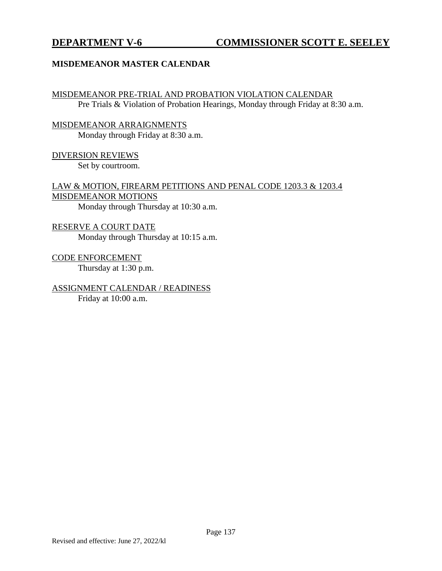### **MISDEMEANOR MASTER CALENDAR**

MISDEMEANOR PRE-TRIAL AND PROBATION VIOLATION CALENDAR Pre Trials & Violation of Probation Hearings, Monday through Friday at 8:30 a.m.

MISDEMEANOR ARRAIGNMENTS Monday through Friday at 8:30 a.m.

DIVERSION REVIEWS

Set by courtroom.

LAW & MOTION, FIREARM PETITIONS AND PENAL CODE 1203.3 & 1203.4 MISDEMEANOR MOTIONS

Monday through Thursday at 10:30 a.m.

RESERVE A COURT DATE Monday through Thursday at 10:15 a.m.

CODE ENFORCEMENT Thursday at 1:30 p.m.

ASSIGNMENT CALENDAR / READINESS Friday at 10:00 a.m.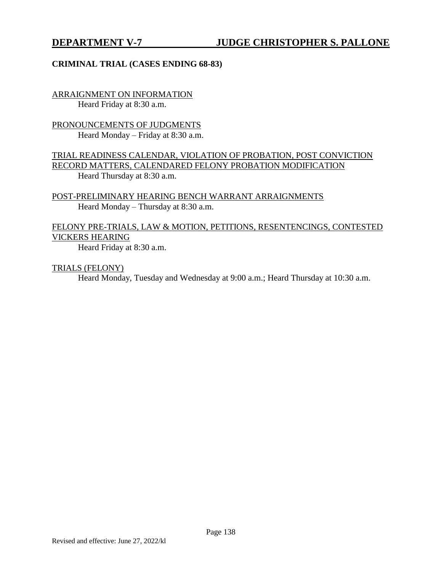### **CRIMINAL TRIAL (CASES ENDING 68-83)**

ARRAIGNMENT ON INFORMATION Heard Friday at 8:30 a.m.

PRONOUNCEMENTS OF JUDGMENTS Heard Monday – Friday at 8:30 a.m.

TRIAL READINESS CALENDAR, VIOLATION OF PROBATION, POST CONVICTION RECORD MATTERS, CALENDARED FELONY PROBATION MODIFICATION Heard Thursday at 8:30 a.m.

POST-PRELIMINARY HEARING BENCH WARRANT ARRAIGNMENTS Heard Monday – Thursday at 8:30 a.m.

# FELONY PRE-TRIALS, LAW & MOTION, PETITIONS, RESENTENCINGS, CONTESTED VICKERS HEARING

Heard Friday at 8:30 a.m.

TRIALS (FELONY)

Heard Monday, Tuesday and Wednesday at 9:00 a.m.; Heard Thursday at 10:30 a.m.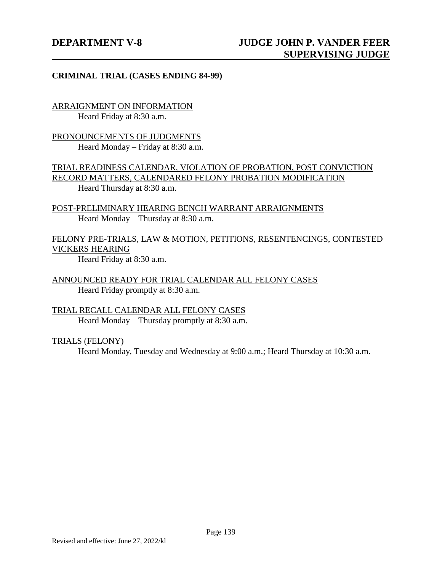### **CRIMINAL TRIAL (CASES ENDING 84-99)**

ARRAIGNMENT ON INFORMATION Heard Friday at 8:30 a.m.

PRONOUNCEMENTS OF JUDGMENTS Heard Monday – Friday at 8:30 a.m.

TRIAL READINESS CALENDAR, VIOLATION OF PROBATION, POST CONVICTION RECORD MATTERS, CALENDARED FELONY PROBATION MODIFICATION Heard Thursday at 8:30 a.m.

POST-PRELIMINARY HEARING BENCH WARRANT ARRAIGNMENTS Heard Monday – Thursday at 8:30 a.m.

FELONY PRE-TRIALS, LAW & MOTION, PETITIONS, RESENTENCINGS, CONTESTED VICKERS HEARING

Heard Friday at 8:30 a.m.

ANNOUNCED READY FOR TRIAL CALENDAR ALL FELONY CASES Heard Friday promptly at 8:30 a.m.

TRIAL RECALL CALENDAR ALL FELONY CASES Heard Monday – Thursday promptly at 8:30 a.m.

#### TRIALS (FELONY)

Heard Monday, Tuesday and Wednesday at 9:00 a.m.; Heard Thursday at 10:30 a.m.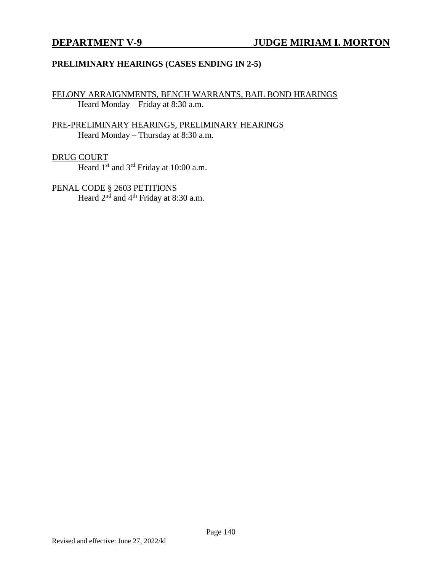### **PRELIMINARY HEARINGS (CASES ENDING IN 2-5)**

FELONY ARRAIGNMENTS, BENCH WARRANTS, BAIL BOND HEARINGS Heard Monday – Friday at 8:30 a.m.

### PRE-PRELIMINARY HEARINGS, PRELIMINARY HEARINGS Heard Monday – Thursday at 8:30 a.m.

#### DRUG COURT

Heard 1<sup>st</sup> and 3<sup>rd</sup> Friday at 10:00 a.m.

PENAL CODE § 2603 PETITIONS Heard  $2<sup>nd</sup>$  and  $4<sup>th</sup>$  Friday at 8:30 a.m.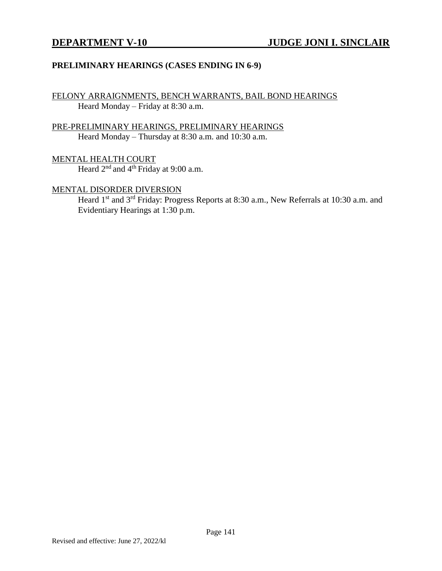### **PRELIMINARY HEARINGS (CASES ENDING IN 6-9)**

FELONY ARRAIGNMENTS, BENCH WARRANTS, BAIL BOND HEARINGS Heard Monday – Friday at 8:30 a.m.

PRE-PRELIMINARY HEARINGS, PRELIMINARY HEARINGS Heard Monday – Thursday at 8:30 a.m. and 10:30 a.m.

MENTAL HEALTH COURT Heard 2<sup>nd</sup> and 4<sup>th</sup> Friday at 9:00 a.m.

#### MENTAL DISORDER DIVERSION

Heard 1<sup>st</sup> and 3<sup>rd</sup> Friday: Progress Reports at 8:30 a.m., New Referrals at 10:30 a.m. and Evidentiary Hearings at 1:30 p.m.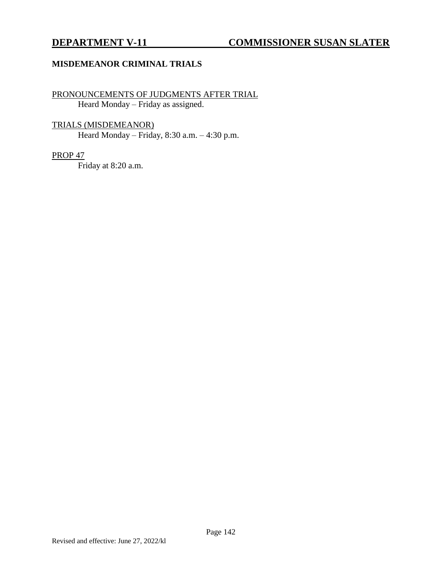#### **MISDEMEANOR CRIMINAL TRIALS**

## PRONOUNCEMENTS OF JUDGMENTS AFTER TRIAL Heard Monday – Friday as assigned.

TRIALS (MISDEMEANOR)

Heard Monday – Friday, 8:30 a.m. – 4:30 p.m.

# PROP 47

Friday at 8:20 a.m.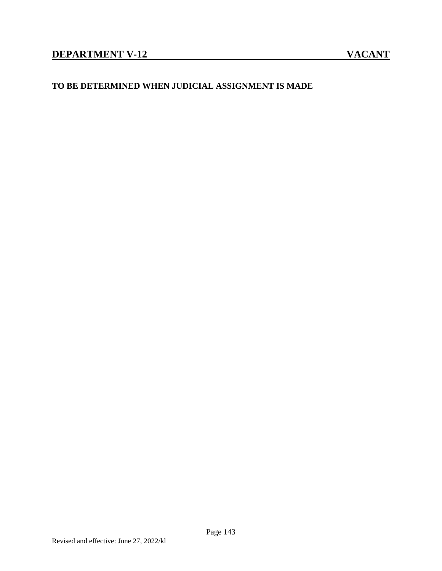## **TO BE DETERMINED WHEN JUDICIAL ASSIGNMENT IS MADE**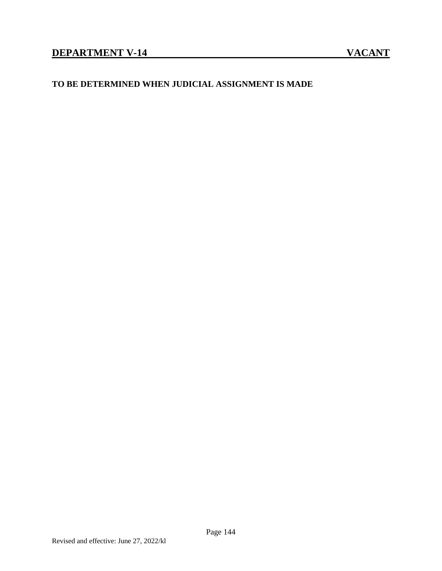## **TO BE DETERMINED WHEN JUDICIAL ASSIGNMENT IS MADE**